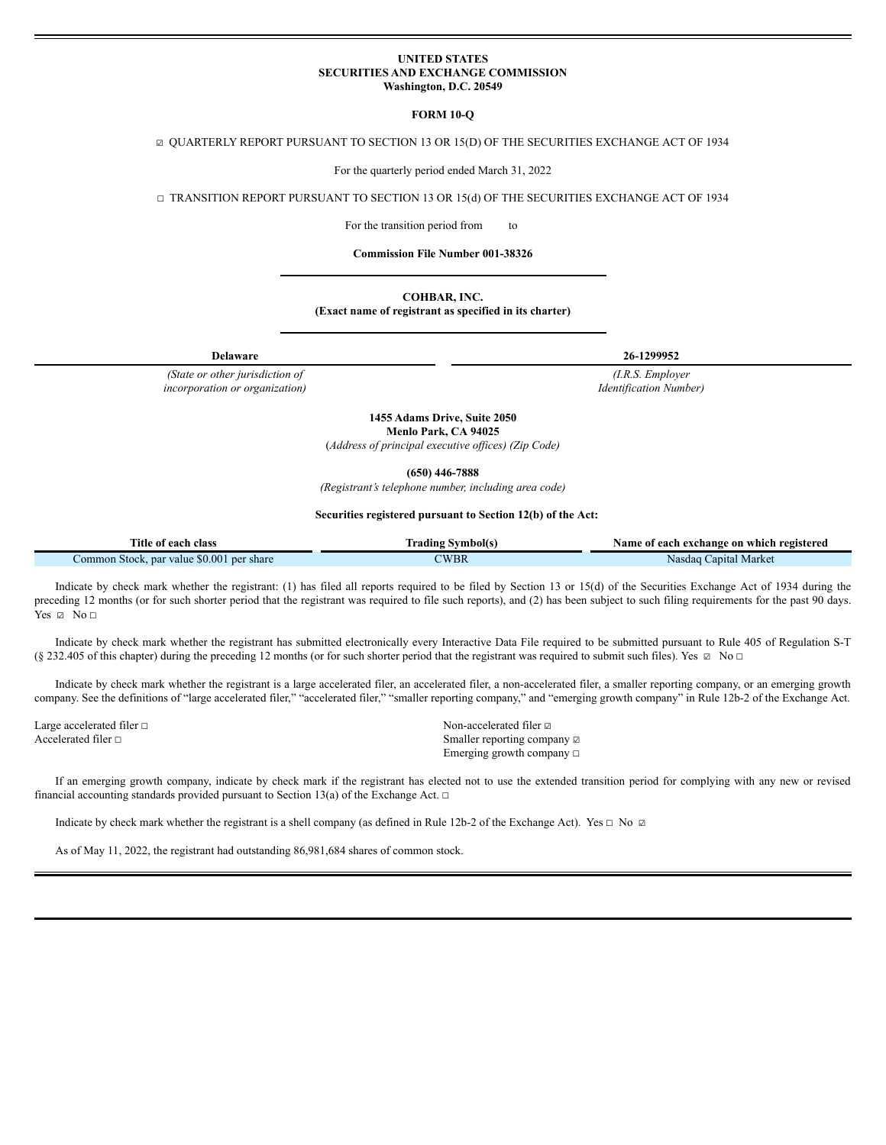## **UNITED STATES SECURITIES AND EXCHANGE COMMISSION Washington, D.C. 20549**

### **FORM 10-Q**

☑ QUARTERLY REPORT PURSUANT TO SECTION 13 OR 15(D) OF THE SECURITIES EXCHANGE ACT OF 1934

For the quarterly period ended March 31, 2022

☐ TRANSITION REPORT PURSUANT TO SECTION 13 OR 15(d) OF THE SECURITIES EXCHANGE ACT OF 1934

For the transition period from to

## **Commission File Number 001-38326**

## **COHBAR, INC. (Exact name of registrant as specified in its charter)**

| <b>Delaware</b>                        | 26-1299952                     |
|----------------------------------------|--------------------------------|
| (State or other jurisdiction of        | $(I.R.S.$ <i>Employer</i>      |
| <i>incorporation or organization</i> ) | <i>Identification Number</i> ) |

**1455 Adams Drive, Suite 2050 Menlo Park, CA 94025**

(*Address of principal executive of ices) (Zip Code)*

**(650) 446-7888**

*(Registrant's telephone number, including area code)*

**Securities registered pursuant to Section 12(b) of the Act:**

| Title of each<br>class                                   | tradıng<br>Symbolts | . exchange on which<br>registered<br>each<br>Name<br>` 01 |
|----------------------------------------------------------|---------------------|-----------------------------------------------------------|
| \$0,001<br>common<br>share<br>par value<br>per<br>Stock. | <b>WBK</b>          | Market<br>Capital<br>Nasdad                               |

Indicate by check mark whether the registrant: (1) has filed all reports required to be filed by Section 13 or 15(d) of the Securities Exchange Act of 1934 during the preceding 12 months (or for such shorter period that the registrant was required to file such reports), and (2) has been subject to such filing requirements for the past 90 days. Yes **☑** No <del></del>

Indicate by check mark whether the registrant has submitted electronically every Interactive Data File required to be submitted pursuant to Rule 405 of Regulation S-T (§ 232.405 of this chapter) during the preceding 12 months (or for such shorter period that the registrant was required to submit such files). Yes  $\Box$  No  $\Box$ 

Indicate by check mark whether the registrant is a large accelerated filer, an accelerated filer, a non-accelerated filer, a smaller reporting company, or an emerging growth company. See the definitions of "large accelerated filer," "accelerated filer," "smaller reporting company," and "emerging growth company" in Rule 12b-2 of the Exchange Act.

Large accelerated filer □ Non-accelerated filer □

Accelerated filer □ state is the state of the state of the Smaller reporting company ☑ Smaller reporting company ☑ Emerging growth company □

If an emerging growth company, indicate by check mark if the registrant has elected not to use the extended transition period for complying with any new or revised financial accounting standards provided pursuant to Section 13(a) of the Exchange Act.  $□$ 

Indicate by check mark whether the registrant is a shell company (as defined in Rule 12b-2 of the Exchange Act). Yes ☐ No ☑

As of May 11, 2022, the registrant had outstanding 86,981,684 shares of common stock.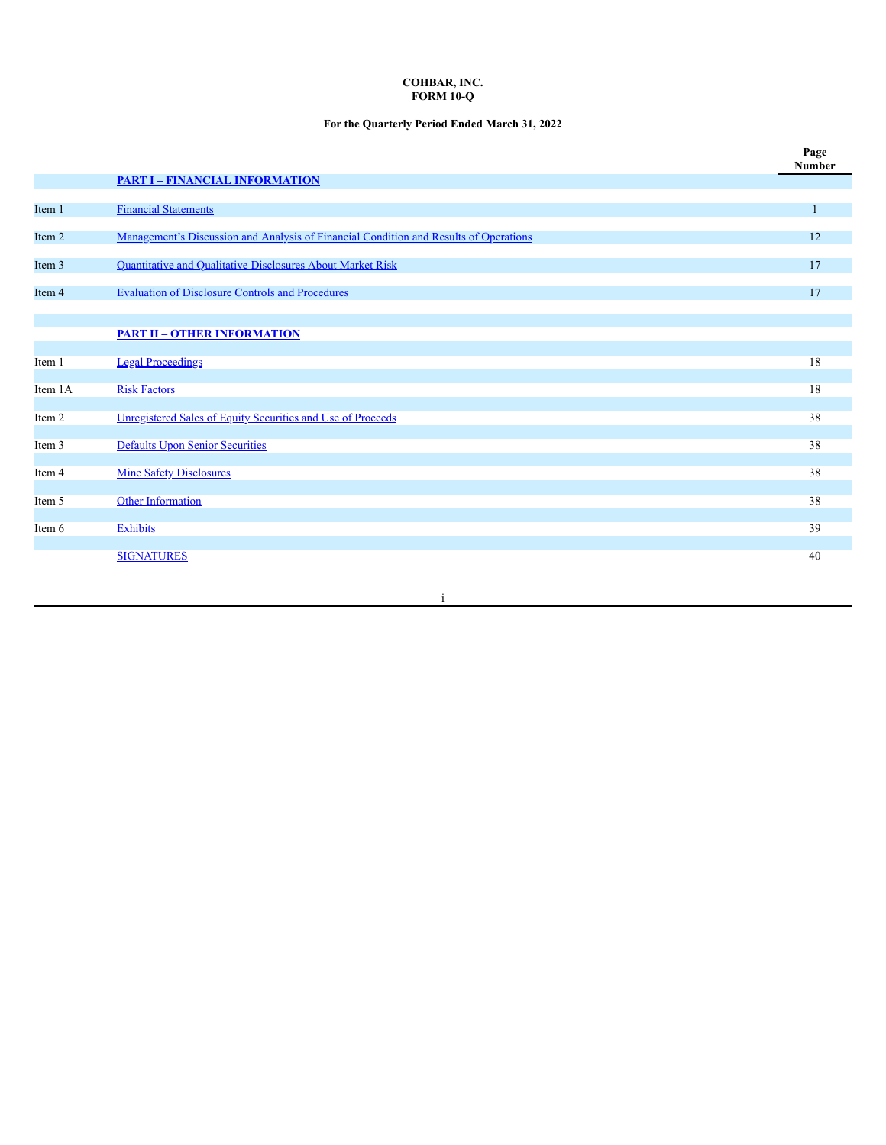## **COHBAR, INC. FORM 10-Q**

# **For the Quarterly Period Ended March 31, 2022**

|         |                                                                                       | Page<br><b>Number</b> |
|---------|---------------------------------------------------------------------------------------|-----------------------|
|         | <b>PART I - FINANCIAL INFORMATION</b>                                                 |                       |
| Item 1  | <b>Financial Statements</b>                                                           | 1                     |
| Item 2  | Management's Discussion and Analysis of Financial Condition and Results of Operations | 12                    |
| Item 3  | Quantitative and Qualitative Disclosures About Market Risk                            | 17                    |
| Item 4  | <b>Evaluation of Disclosure Controls and Procedures</b>                               | 17                    |
|         |                                                                                       |                       |
|         | <b>PART II - OTHER INFORMATION</b>                                                    |                       |
| Item 1  | <b>Legal Proceedings</b>                                                              | 18                    |
| Item 1A | <b>Risk Factors</b>                                                                   | 18                    |
| Item 2  | Unregistered Sales of Equity Securities and Use of Proceeds                           | 38                    |
| Item 3  | <b>Defaults Upon Senior Securities</b>                                                | 38                    |
| Item 4  | <b>Mine Safety Disclosures</b>                                                        | 38                    |
| Item 5  | <b>Other Information</b>                                                              | 38                    |
| Item 6  | <b>Exhibits</b>                                                                       | 39                    |
|         |                                                                                       |                       |
|         | <b>SIGNATURES</b>                                                                     | 40                    |

i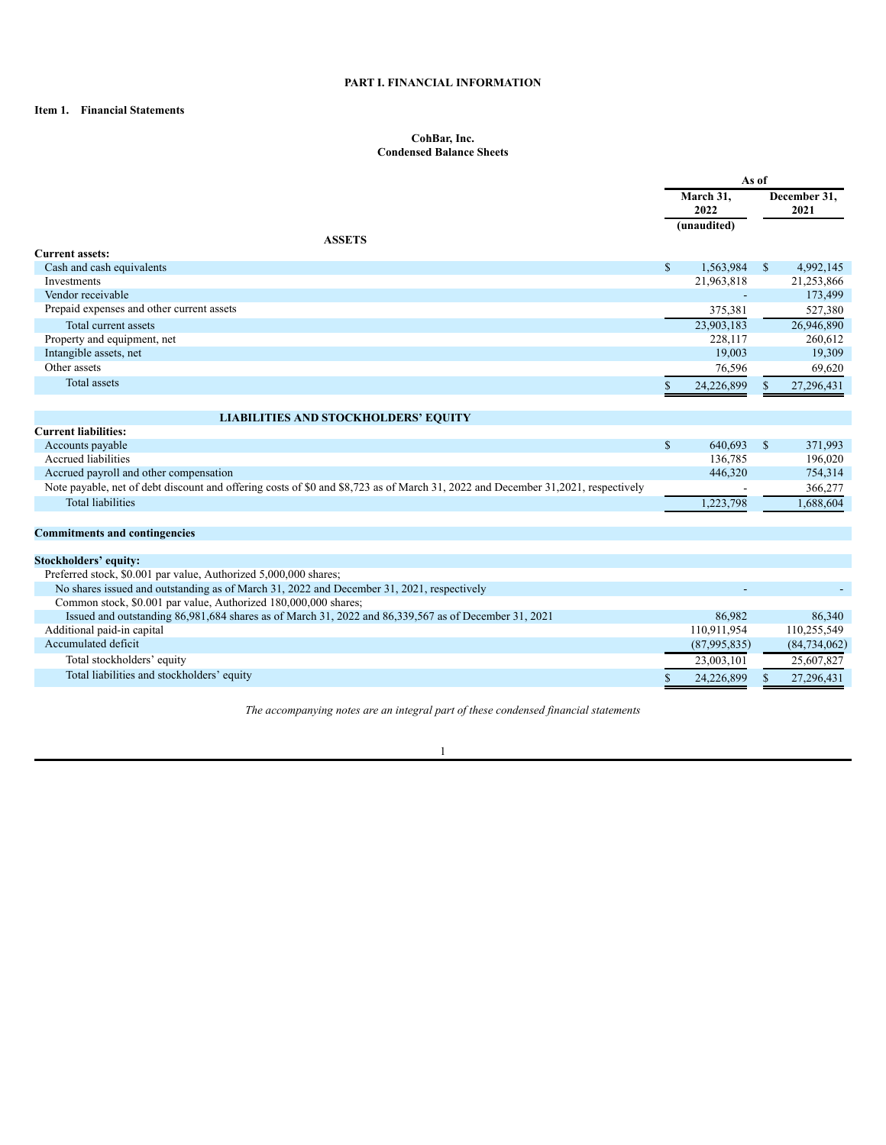# **PART I. FINANCIAL INFORMATION**

# <span id="page-2-1"></span><span id="page-2-0"></span>**Item 1. Financial Statements**

# **CohBar, Inc. Condensed Balance Sheets**

|                                                                                                                                  | As of        |                   |              |                      |
|----------------------------------------------------------------------------------------------------------------------------------|--------------|-------------------|--------------|----------------------|
|                                                                                                                                  |              | March 31.<br>2022 |              | December 31,<br>2021 |
|                                                                                                                                  |              | (unaudited)       |              |                      |
| <b>ASSETS</b>                                                                                                                    |              |                   |              |                      |
| <b>Current assets:</b>                                                                                                           |              |                   |              |                      |
| Cash and cash equivalents                                                                                                        | $\mathbb{S}$ | 1,563,984         | <sup>S</sup> | 4,992,145            |
| Investments                                                                                                                      |              | 21,963,818        |              | 21,253,866           |
| Vendor receivable                                                                                                                |              |                   |              | 173,499              |
| Prepaid expenses and other current assets                                                                                        |              | 375,381           |              | 527,380              |
| Total current assets                                                                                                             |              | 23,903,183        |              | 26,946,890           |
| Property and equipment, net                                                                                                      |              | 228,117           |              | 260,612              |
| Intangible assets, net                                                                                                           |              | 19,003            |              | 19,309               |
| Other assets                                                                                                                     |              | 76,596            |              | 69,620               |
| Total assets                                                                                                                     | \$           | 24,226,899        | <sup>S</sup> | 27,296,431           |
|                                                                                                                                  |              |                   |              |                      |
| <b>LIABILITIES AND STOCKHOLDERS' EQUITY</b><br><b>Current liabilities:</b>                                                       |              |                   |              |                      |
| Accounts payable                                                                                                                 | \$           | 640,693           | $\mathbb{S}$ | 371,993              |
| Accrued liabilities                                                                                                              |              | 136,785           |              | 196,020              |
| Accrued payroll and other compensation                                                                                           |              | 446,320           |              | 754,314              |
| Note payable, net of debt discount and offering costs of \$0 and \$8,723 as of March 31, 2022 and December 31,2021, respectively |              |                   |              | 366,277              |
| <b>Total liabilities</b>                                                                                                         |              | 1,223,798         |              | 1,688,604            |
|                                                                                                                                  |              |                   |              |                      |
| <b>Commitments and contingencies</b>                                                                                             |              |                   |              |                      |
| <b>Stockholders' equity:</b>                                                                                                     |              |                   |              |                      |
| Preferred stock, \$0.001 par value, Authorized 5,000,000 shares;                                                                 |              |                   |              |                      |
| No shares issued and outstanding as of March 31, 2022 and December 31, 2021, respectively                                        |              |                   |              |                      |
| Common stock, \$0.001 par value, Authorized 180,000,000 shares;                                                                  |              |                   |              |                      |
| Issued and outstanding 86,981,684 shares as of March 31, 2022 and 86,339,567 as of December 31, 2021                             |              | 86.982            |              | 86,340               |
| Additional paid-in capital                                                                                                       |              | 110,911,954       |              | 110,255,549          |
| Accumulated deficit                                                                                                              |              | (87,995,835)      |              | (84, 734, 062)       |
| Total stockholders' equity                                                                                                       |              | 23,003,101        |              | 25,607,827           |
| Total liabilities and stockholders' equity                                                                                       |              | 24,226,899        | \$           | 27,296,431           |
|                                                                                                                                  |              |                   |              |                      |

*The accompanying notes are an integral part of these condensed financial statements*

1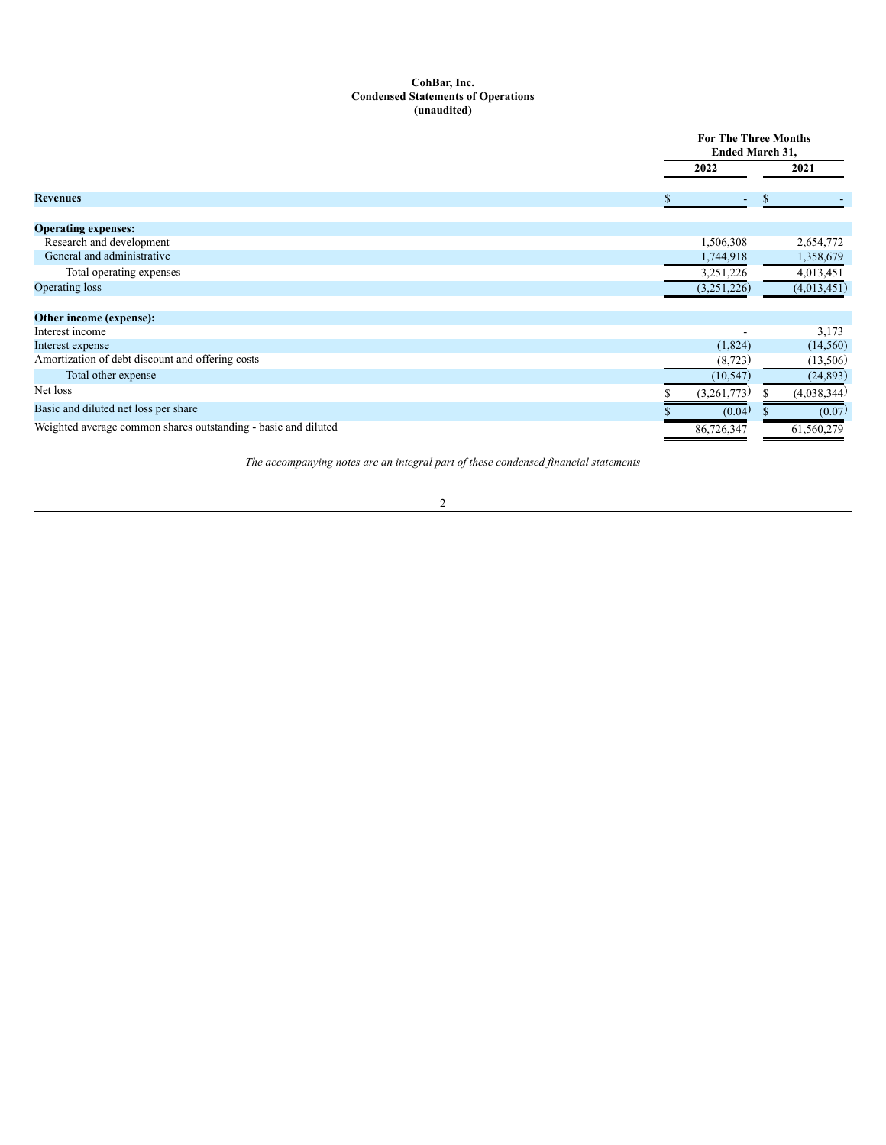## **CohBar, Inc. Condensed Statements of Operations (unaudited)**

|                                                                |             | <b>For The Three Months</b><br><b>Ended March 31,</b> |             |  |  |
|----------------------------------------------------------------|-------------|-------------------------------------------------------|-------------|--|--|
|                                                                | 2022        |                                                       | 2021        |  |  |
| <b>Revenues</b>                                                |             | S<br>٠                                                |             |  |  |
| <b>Operating expenses:</b>                                     |             |                                                       |             |  |  |
| Research and development                                       | 1,506,308   |                                                       | 2,654,772   |  |  |
| General and administrative                                     | 1,744,918   |                                                       | 1,358,679   |  |  |
| Total operating expenses                                       | 3,251,226   |                                                       | 4,013,451   |  |  |
| Operating loss                                                 | (3,251,226) |                                                       | (4,013,451) |  |  |
| Other income (expense):                                        |             |                                                       |             |  |  |
| Interest income                                                |             |                                                       | 3,173       |  |  |
| Interest expense                                               | (1,824)     |                                                       | (14, 560)   |  |  |
| Amortization of debt discount and offering costs               | (8, 723)    |                                                       | (13,506)    |  |  |
| Total other expense                                            | (10, 547)   |                                                       | (24, 893)   |  |  |
| Net loss                                                       | (3,261,773) | Ж                                                     | (4,038,344) |  |  |
| Basic and diluted net loss per share                           | (0.04)      |                                                       | (0.07)      |  |  |
| Weighted average common shares outstanding - basic and diluted | 86,726,347  |                                                       | 61,560,279  |  |  |

*The accompanying notes are an integral part of these condensed financial statements*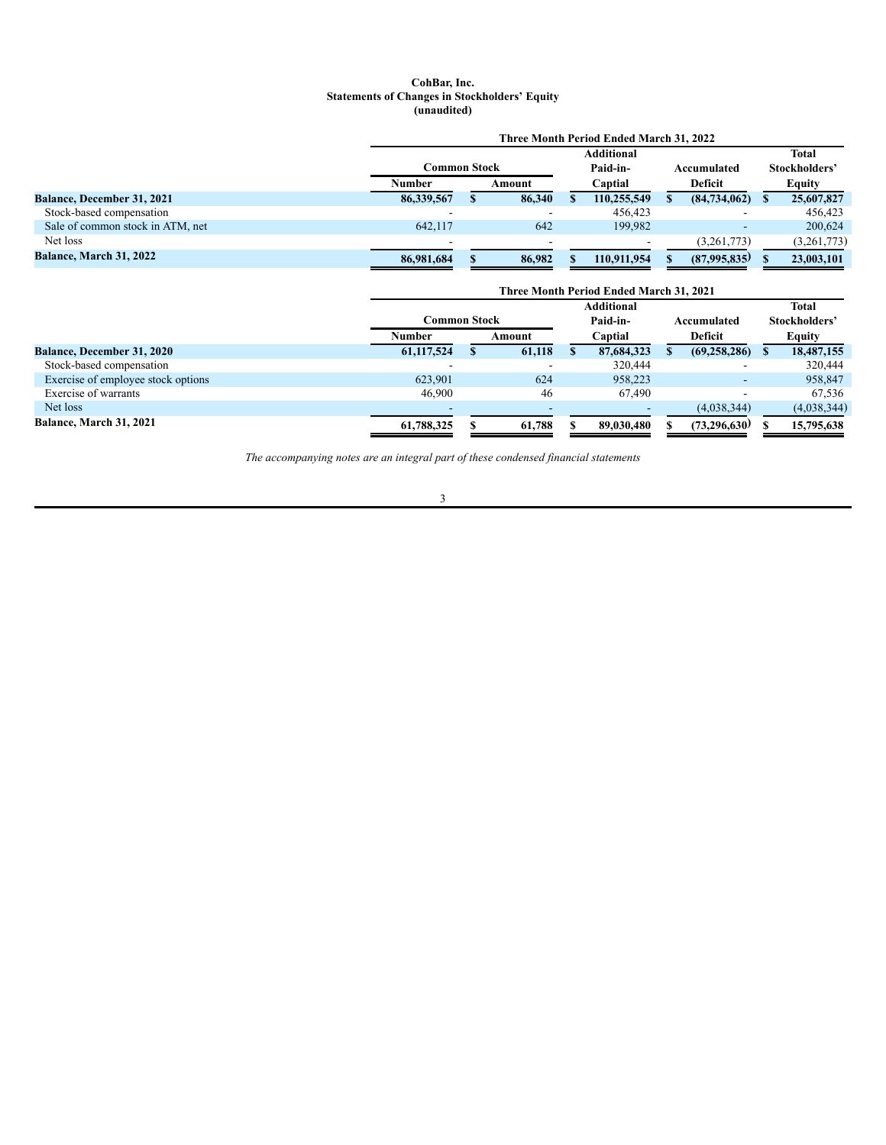## **CohBar, Inc. Statements of Changes in Stockholders' Equity (unaudited)**

|                                   | Three Month Period Ended March 31, 2022 |   |        |          |                   |         |                |               |              |               |
|-----------------------------------|-----------------------------------------|---|--------|----------|-------------------|---------|----------------|---------------|--------------|---------------|
|                                   |                                         |   |        |          | <b>Additional</b> |         |                |               | <b>Total</b> |               |
|                                   | Common Stock                            |   |        | Paid-in- |                   |         |                | Accumulated   |              | Stockholders' |
|                                   | Number                                  |   | Amount | Captial  |                   | Deficit |                | <b>Equity</b> |              |               |
| <b>Balance, December 31, 2021</b> | 86,339,567                              | ж | 86,340 |          | 110,255,549       |         | (84, 734, 062) |               | 25,607,827   |               |
| Stock-based compensation          |                                         |   |        |          | 456.423           |         |                |               | 456.423      |               |
| Sale of common stock in ATM, net  | 642.117                                 |   | 642    |          | 199,982           |         |                |               | 200,624      |               |
| Net loss                          |                                         |   |        |          |                   |         | (3,261,773)    |               | (3,261,773)  |               |
| <b>Balance, March 31, 2022</b>    | 86,981,684                              |   | 86,982 |          | 110.911.954       |         | (87,995,835)   |               | 23,003,101   |               |

|                                    | <b>Three Month Period Ended March 31, 2021</b> |              |        |          |                   |         |                |             |              |  |               |  |
|------------------------------------|------------------------------------------------|--------------|--------|----------|-------------------|---------|----------------|-------------|--------------|--|---------------|--|
|                                    |                                                |              |        |          | <b>Additional</b> |         |                |             | <b>Total</b> |  |               |  |
|                                    |                                                | Common Stock |        | Paid-in- |                   | Captial |                | Accumulated |              |  | Stockholders' |  |
|                                    | Number                                         |              | Amount | Deficit  | <b>Equity</b>     |         |                |             |              |  |               |  |
| <b>Balance, December 31, 2020</b>  | 61, 117, 524                                   | ъ            | 61,118 |          | 87,684,323        |         | (69, 258, 286) |             | 18,487,155   |  |               |  |
| Stock-based compensation           |                                                |              |        |          | 320,444           |         |                |             | 320,444      |  |               |  |
| Exercise of employee stock options | 623.901                                        |              | 624    |          | 958.223           |         |                |             | 958,847      |  |               |  |
| Exercise of warrants               | 46.900                                         |              | 46     |          | 67,490            |         |                |             | 67.536       |  |               |  |
| Net loss                           |                                                |              |        |          |                   |         | (4,038,344)    |             | (4,038,344)  |  |               |  |
| Balance, March 31, 2021            | 61,788,325                                     |              | 61,788 |          | 89,030,480        |         | (73, 296, 630) |             | 15,795,638   |  |               |  |

*The accompanying notes are an integral part of these condensed financial statements*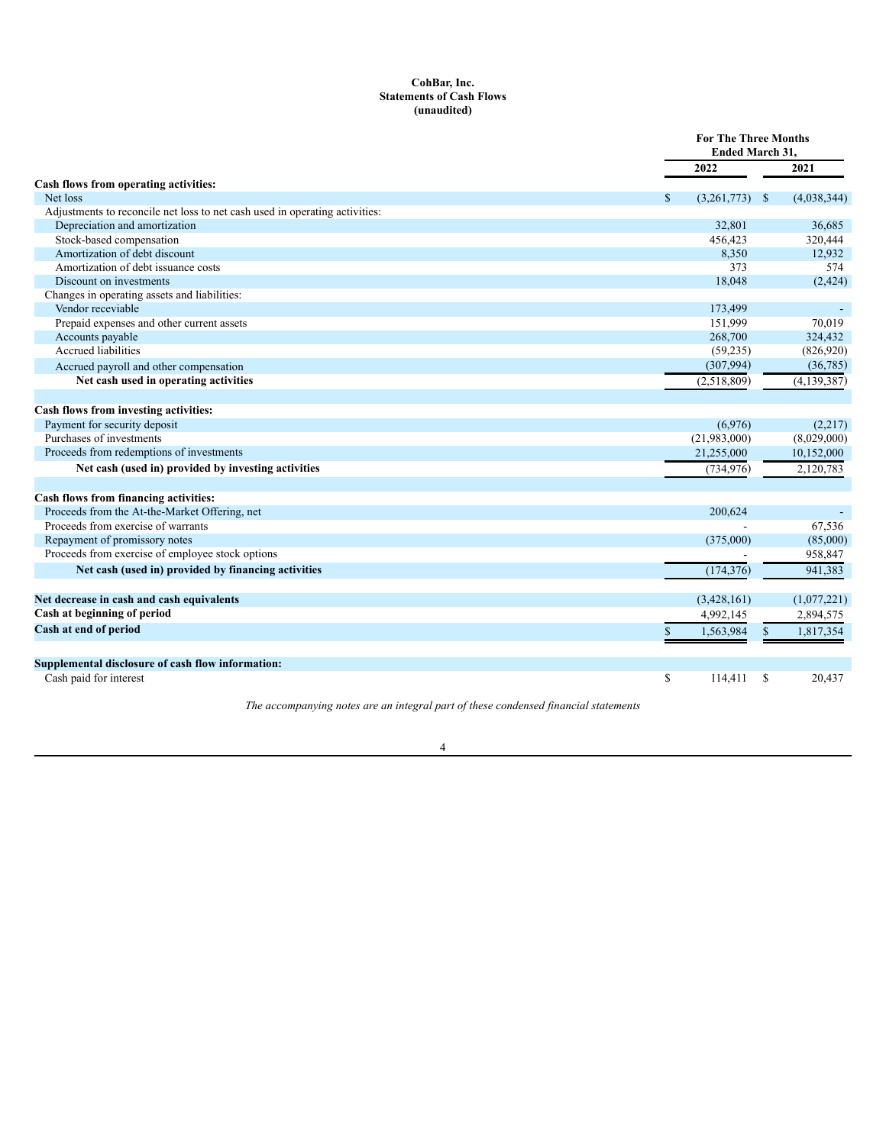## **CohBar, Inc. Statements of Cash Flows (unaudited)**

|                                                                             |                             | <b>For The Three Months</b><br><b>Ended March 31.</b> |               |  |
|-----------------------------------------------------------------------------|-----------------------------|-------------------------------------------------------|---------------|--|
|                                                                             | 2022                        |                                                       | 2021          |  |
| Cash flows from operating activities:                                       |                             |                                                       |               |  |
| Net loss                                                                    | $\mathbb{S}$<br>(3,261,773) | - \$                                                  | (4,038,344)   |  |
| Adjustments to reconcile net loss to net cash used in operating activities: |                             |                                                       |               |  |
| Depreciation and amortization                                               | 32,801                      |                                                       | 36,685        |  |
| Stock-based compensation                                                    | 456,423                     |                                                       | 320,444       |  |
| Amortization of debt discount                                               | 8,350                       |                                                       | 12,932        |  |
| Amortization of debt issuance costs                                         | 373                         |                                                       | 574           |  |
| Discount on investments                                                     | 18,048                      |                                                       | (2, 424)      |  |
| Changes in operating assets and liabilities:                                |                             |                                                       |               |  |
| Vendor receviable                                                           | 173,499                     |                                                       |               |  |
| Prepaid expenses and other current assets                                   | 151,999                     |                                                       | 70,019        |  |
| Accounts payable                                                            | 268,700                     |                                                       | 324,432       |  |
| Accrued liabilities                                                         | (59, 235)                   |                                                       | (826,920)     |  |
| Accrued payroll and other compensation                                      | (307, 994)                  |                                                       | (36, 785)     |  |
| Net cash used in operating activities                                       | (2,518,809)                 |                                                       | (4, 139, 387) |  |
| Cash flows from investing activities:                                       |                             |                                                       |               |  |
| Payment for security deposit                                                | (6.976)                     |                                                       | (2,217)       |  |
| Purchases of investments                                                    | (21,983,000)                |                                                       | (8,029,000)   |  |
| Proceeds from redemptions of investments                                    | 21,255,000                  |                                                       | 10,152,000    |  |
| Net cash (used in) provided by investing activities                         | (734, 976)                  |                                                       | 2,120,783     |  |
| Cash flows from financing activities:                                       |                             |                                                       |               |  |
| Proceeds from the At-the-Market Offering, net                               |                             |                                                       |               |  |
| Proceeds from exercise of warrants                                          | 200,624                     |                                                       | 67,536        |  |
|                                                                             | (375,000)                   |                                                       |               |  |
| Repayment of promissory notes                                               |                             |                                                       | (85,000)      |  |
| Proceeds from exercise of employee stock options                            |                             |                                                       | 958,847       |  |
| Net cash (used in) provided by financing activities                         | (174, 376)                  |                                                       | 941,383       |  |
| Net decrease in cash and cash equivalents                                   | (3,428,161)                 |                                                       | (1,077,221)   |  |
| Cash at beginning of period                                                 | 4,992,145                   |                                                       | 2,894,575     |  |
| Cash at end of period                                                       | \$<br>1,563,984             | \$                                                    | 1,817,354     |  |
| Supplemental disclosure of cash flow information:                           |                             |                                                       |               |  |
| Cash paid for interest                                                      | \$<br>114,411               | S                                                     | 20,437        |  |
|                                                                             |                             |                                                       |               |  |

*The accompanying notes are an integral part of these condensed financial statements*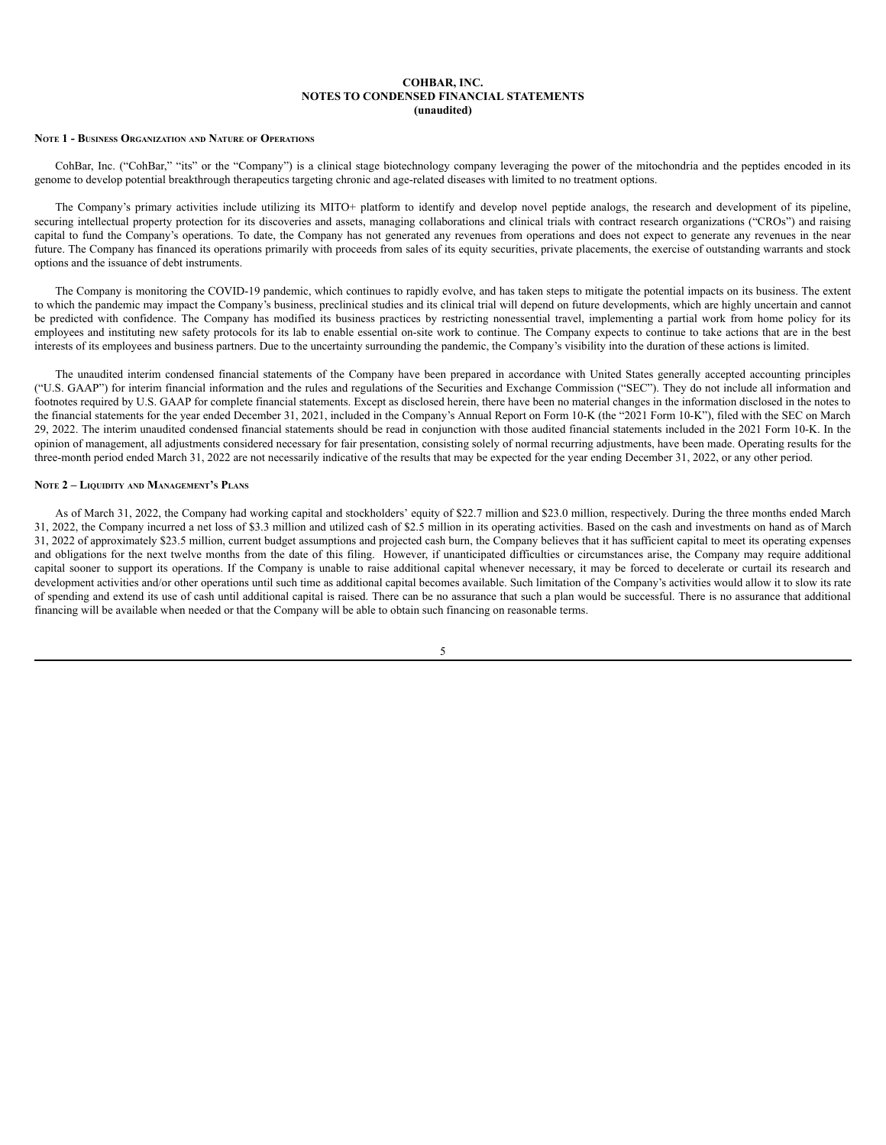### **NOTE 1 - BUSINESS ORGANIZATION AND NATURE OF OPERATIONS**

CohBar, Inc. ("CohBar," "its" or the "Company") is a clinical stage biotechnology company leveraging the power of the mitochondria and the peptides encoded in its genome to develop potential breakthrough therapeutics targeting chronic and age-related diseases with limited to no treatment options.

The Company's primary activities include utilizing its MITO+ platform to identify and develop novel peptide analogs, the research and development of its pipeline, securing intellectual property protection for its discoveries and assets, managing collaborations and clinical trials with contract research organizations ("CROs") and raising capital to fund the Company's operations. To date, the Company has not generated any revenues from operations and does not expect to generate any revenues in the near future. The Company has financed its operations primarily with proceeds from sales of its equity securities, private placements, the exercise of outstanding warrants and stock options and the issuance of debt instruments.

The Company is monitoring the COVID-19 pandemic, which continues to rapidly evolve, and has taken steps to mitigate the potential impacts on its business. The extent to which the pandemic may impact the Company's business, preclinical studies and its clinical trial will depend on future developments, which are highly uncertain and cannot be predicted with confidence. The Company has modified its business practices by restricting nonessential travel, implementing a partial work from home policy for its employees and instituting new safety protocols for its lab to enable essential on-site work to continue. The Company expects to continue to take actions that are in the best interests of its employees and business partners. Due to the uncertainty surrounding the pandemic, the Company's visibility into the duration of these actions is limited.

The unaudited interim condensed financial statements of the Company have been prepared in accordance with United States generally accepted accounting principles ("U.S. GAAP") for interim financial information and the rules and regulations of the Securities and Exchange Commission ("SEC"). They do not include all information and footnotes required by U.S. GAAP for complete financial statements. Except as disclosed herein, there have been no material changes in the information disclosed in the notes to the financial statements for the year ended December 31, 2021, included in the Company's Annual Report on Form 10-K (the "2021 Form 10-K"), filed with the SEC on March 29, 2022. The interim unaudited condensed financial statements should be read in conjunction with those audited financial statements included in the 2021 Form 10-K. In the opinion of management, all adjustments considered necessary for fair presentation, consisting solely of normal recurring adjustments, have been made. Operating results for the three-month period ended March 31, 2022 are not necessarily indicative of the results that may be expected for the year ending December 31, 2022, or any other period.

### **NOTE 2 – LIQUIDITY AND MANAGEMENT'<sup>S</sup> PLANS**

As of March 31, 2022, the Company had working capital and stockholders' equity of \$22.7 million and \$23.0 million, respectively. During the three months ended March 31, 2022, the Company incurred a net loss of \$3.3 million and utilized cash of \$2.5 million in its operating activities. Based on the cash and investments on hand as of March 31, 2022 of approximately \$23.5 million, current budget assumptions and projected cash burn, the Company believes that it has sufficient capital to meet its operating expenses and obligations for the next twelve months from the date of this filing. However, if unanticipated difficulties or circumstances arise, the Company may require additional capital sooner to support its operations. If the Company is unable to raise additional capital whenever necessary, it may be forced to decelerate or curtail its research and development activities and/or other operations until such time as additional capital becomes available. Such limitation of the Company's activities would allow it to slow its rate of spending and extend its use of cash until additional capital is raised. There can be no assurance that such a plan would be successful. There is no assurance that additional financing will be available when needed or that the Company will be able to obtain such financing on reasonable terms.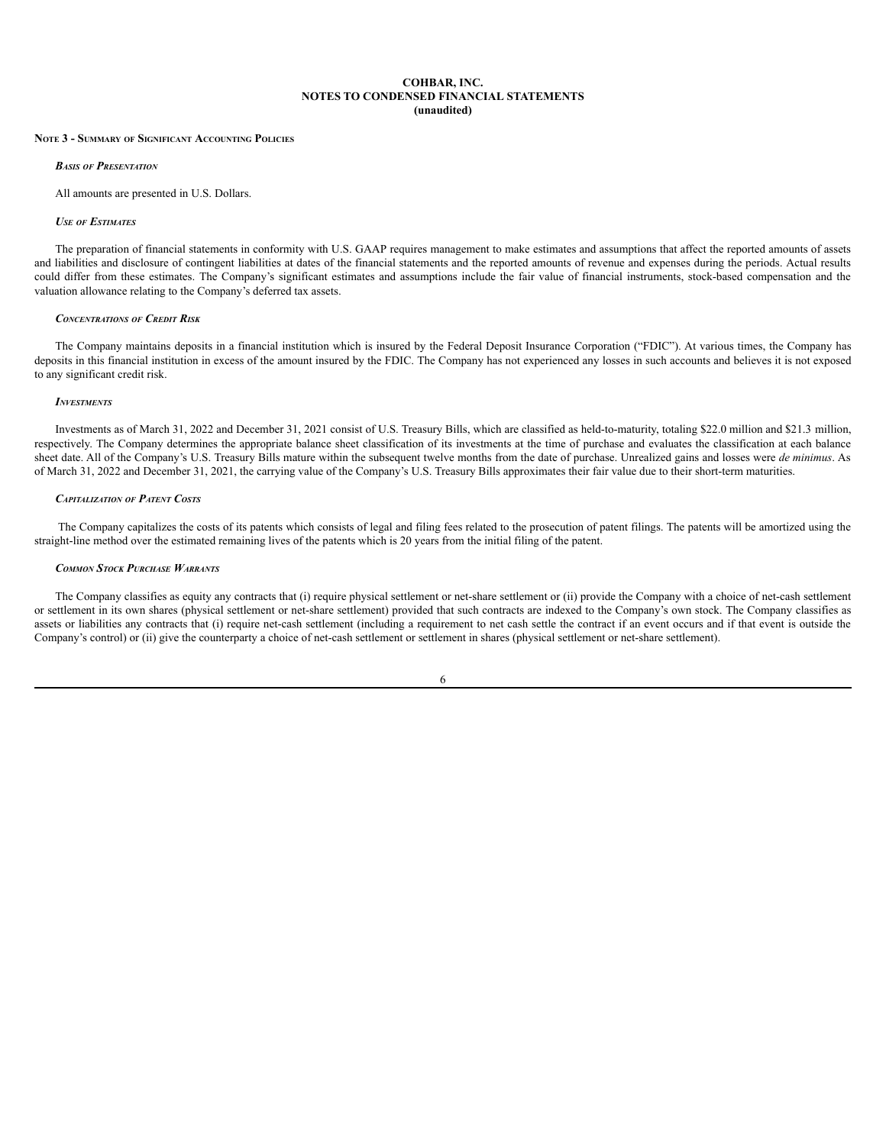#### **NOTE 3 - SUMMARY OF SIGNIFICANT ACCOUNTING POLICIES**

#### *BASIS OF PRESENTATION*

All amounts are presented in U.S. Dollars.

### *USE OF ESTIMATES*

The preparation of financial statements in conformity with U.S. GAAP requires management to make estimates and assumptions that affect the reported amounts of assets and liabilities and disclosure of contingent liabilities at dates of the financial statements and the reported amounts of revenue and expenses during the periods. Actual results could differ from these estimates. The Company's significant estimates and assumptions include the fair value of financial instruments, stock-based compensation and the valuation allowance relating to the Company's deferred tax assets.

### *CONCENTRATIONS OF CREDIT RISK*

The Company maintains deposits in a financial institution which is insured by the Federal Deposit Insurance Corporation ("FDIC"). At various times, the Company has deposits in this financial institution in excess of the amount insured by the FDIC. The Company has not experienced any losses in such accounts and believes it is not exposed to any significant credit risk.

#### *INVESTMENTS*

Investments as of March 31, 2022 and December 31, 2021 consist of U.S. Treasury Bills, which are classified as held-to-maturity, totaling \$22.0 million and \$21.3 million, respectively. The Company determines the appropriate balance sheet classification of its investments at the time of purchase and evaluates the classification at each balance sheet date. All of the Company's U.S. Treasury Bills mature within the subsequent twelve months from the date of purchase. Unrealized gains and losses were *de minimus*. As of March 31, 2022 and December 31, 2021, the carrying value of the Company's U.S. Treasury Bills approximates their fair value due to their short-term maturities.

#### *CAPITALIZATION OF PATENT COSTS*

The Company capitalizes the costs of its patents which consists of legal and filing fees related to the prosecution of patent filings. The patents will be amortized using the straight-line method over the estimated remaining lives of the patents which is 20 years from the initial filing of the patent.

### *COMMON STOCK PURCHASE WARRANTS*

The Company classifies as equity any contracts that (i) require physical settlement or net-share settlement or (ii) provide the Company with a choice of net-cash settlement or settlement in its own shares (physical settlement or net-share settlement) provided that such contracts are indexed to the Company's own stock. The Company classifies as assets or liabilities any contracts that (i) require net-cash settlement (including a requirement to net cash settle the contract if an event occurs and if that event is outside the Company's control) or (ii) give the counterparty a choice of net-cash settlement or settlement in shares (physical settlement or net-share settlement).

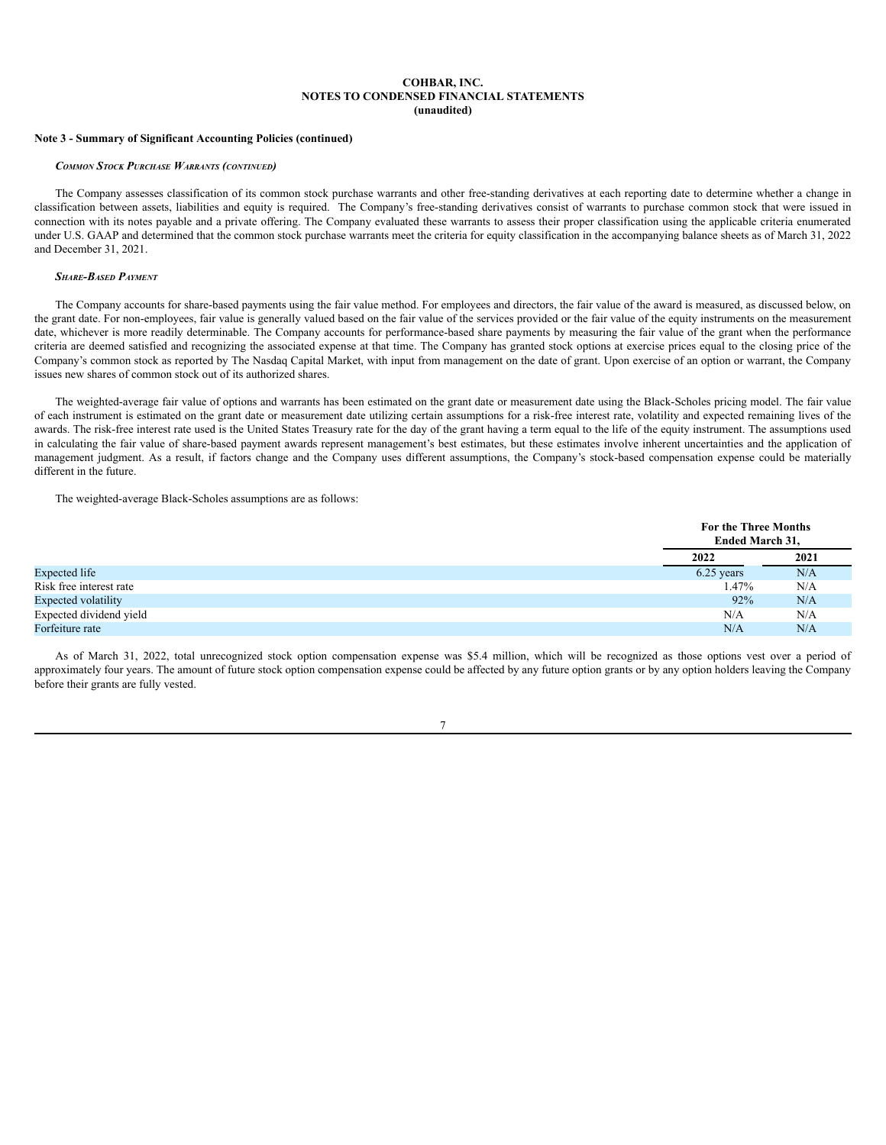### **Note 3 - Summary of Significant Accounting Policies (continued)**

#### *COMMON STOCK PURCHASE WARRANTS (CONTINUED)*

The Company assesses classification of its common stock purchase warrants and other free-standing derivatives at each reporting date to determine whether a change in classification between assets, liabilities and equity is required. The Company's free-standing derivatives consist of warrants to purchase common stock that were issued in connection with its notes payable and a private offering. The Company evaluated these warrants to assess their proper classification using the applicable criteria enumerated under U.S. GAAP and determined that the common stock purchase warrants meet the criteria for equity classification in the accompanying balance sheets as of March 31, 2022 and December 31, 2021.

### *SHARE-BASED PAYMENT*

The Company accounts for share-based payments using the fair value method. For employees and directors, the fair value of the award is measured, as discussed below, on the grant date. For non-employees, fair value is generally valued based on the fair value of the services provided or the fair value of the equity instruments on the measurement date, whichever is more readily determinable. The Company accounts for performance-based share payments by measuring the fair value of the grant when the performance criteria are deemed satisfied and recognizing the associated expense at that time. The Company has granted stock options at exercise prices equal to the closing price of the Company's common stock as reported by The Nasdaq Capital Market, with input from management on the date of grant. Upon exercise of an option or warrant, the Company issues new shares of common stock out of its authorized shares.

The weighted-average fair value of options and warrants has been estimated on the grant date or measurement date using the Black-Scholes pricing model. The fair value of each instrument is estimated on the grant date or measurement date utilizing certain assumptions for a risk-free interest rate, volatility and expected remaining lives of the awards. The risk-free interest rate used is the United States Treasury rate for the day of the grant having a term equal to the life of the equity instrument. The assumptions used in calculating the fair value of share-based payment awards represent management's best estimates, but these estimates involve inherent uncertainties and the application of management judgment. As a result, if factors change and the Company uses different assumptions, the Company's stock-based compensation expense could be materially different in the future.

The weighted-average Black-Scholes assumptions are as follows:

|                         | <b>For the Three Months</b><br>Ended March 31, |      |
|-------------------------|------------------------------------------------|------|
|                         | 2022                                           | 2021 |
| Expected life           | 6.25 years                                     | N/A  |
| Risk free interest rate | 1.47%                                          | N/A  |
| Expected volatility     | 92%                                            | N/A  |
| Expected dividend yield | N/A                                            | N/A  |
| Forfeiture rate         | N/A                                            | N/A  |

As of March 31, 2022, total unrecognized stock option compensation expense was \$5.4 million, which will be recognized as those options vest over a period of approximately four years. The amount of future stock option compensation expense could be affected by any future option grants or by any option holders leaving the Company before their grants are fully vested.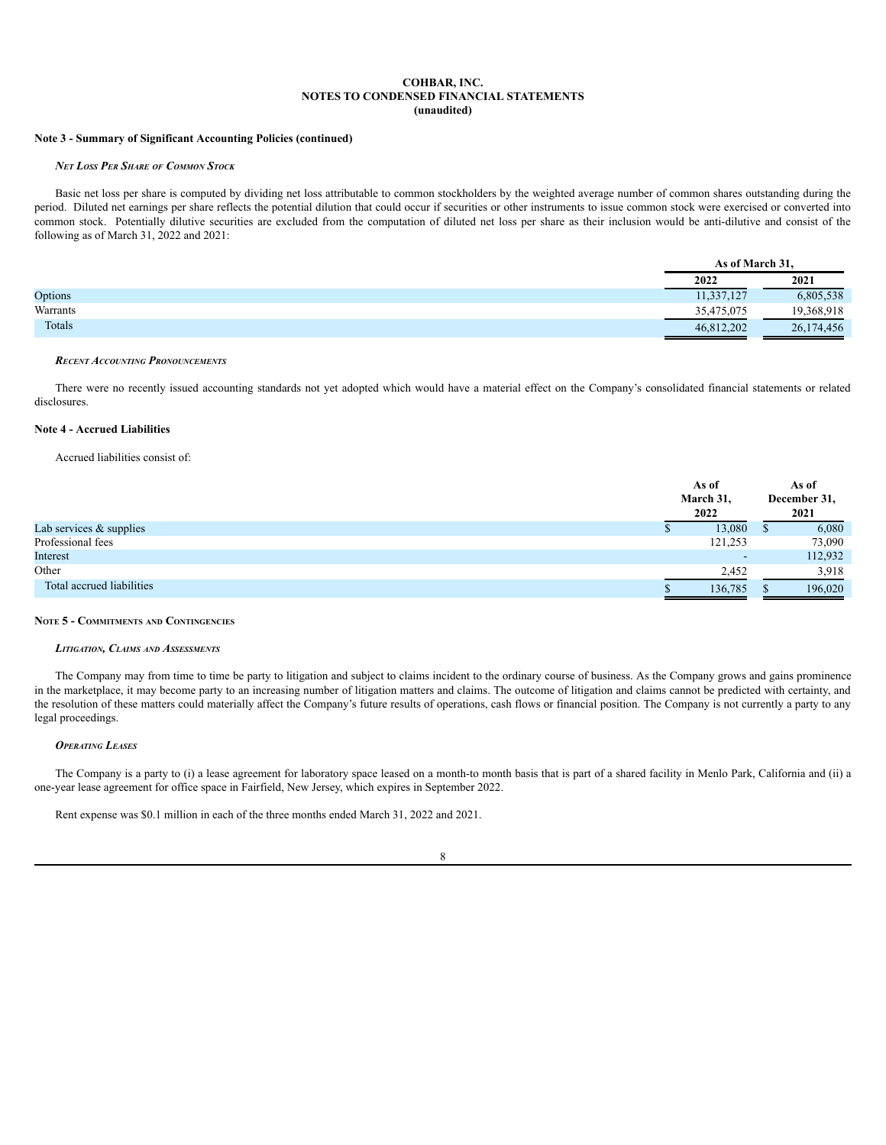### **Note 3 - Summary of Significant Accounting Policies (continued)**

### *NET LOSS PER SHARE OF COMMON STOCK*

Basic net loss per share is computed by dividing net loss attributable to common stockholders by the weighted average number of common shares outstanding during the period. Diluted net earnings per share reflects the potential dilution that could occur if securities or other instruments to issue common stock were exercised or converted into common stock. Potentially dilutive securities are excluded from the computation of diluted net loss per share as their inclusion would be anti-dilutive and consist of the following as of March 31, 2022 and 2021:

|          | As of March 31. |            |
|----------|-----------------|------------|
|          | 2022            | 2021       |
| Options  | 11,337,127      | 6,805,538  |
| Warrants | 35,475,075      | 19.368.918 |
| Totals   | 46,812,202      | 26,174,456 |

#### *RECENT ACCOUNTING PRONOUNCEMENTS*

There were no recently issued accounting standards not yet adopted which would have a material effect on the Company's consolidated financial statements or related disclosures.

### **Note 4 - Accrued Liabilities**

## Accrued liabilities consist of:

| 2022<br>2021                         |         |
|--------------------------------------|---------|
| 13,080<br>Lab services $\&$ supplies | 6,080   |
| Professional fees<br>121,253         | 73,090  |
| Interest<br>$\overline{\phantom{0}}$ | 112,932 |
| Other<br>2,452                       | 3,918   |
| Total accrued liabilities<br>136,785 | 196,020 |

#### **NOTE 5 - COMMITMENTS AND CONTINGENCIES**

## *LITIGATION, CLAIMS AND ASSESSMENTS*

The Company may from time to time be party to litigation and subject to claims incident to the ordinary course of business. As the Company grows and gains prominence in the marketplace, it may become party to an increasing number of litigation matters and claims. The outcome of litigation and claims cannot be predicted with certainty, and the resolution of these matters could materially affect the Company's future results of operations, cash flows or financial position. The Company is not currently a party to any legal proceedings.

### *OPERATING LEASES*

The Company is a party to (i) a lease agreement for laboratory space leased on a month-to month basis that is part of a shared facility in Menlo Park, California and (ii) a one-year lease agreement for office space in Fairfield, New Jersey, which expires in September 2022.

Rent expense was \$0.1 million in each of the three months ended March 31, 2022 and 2021.

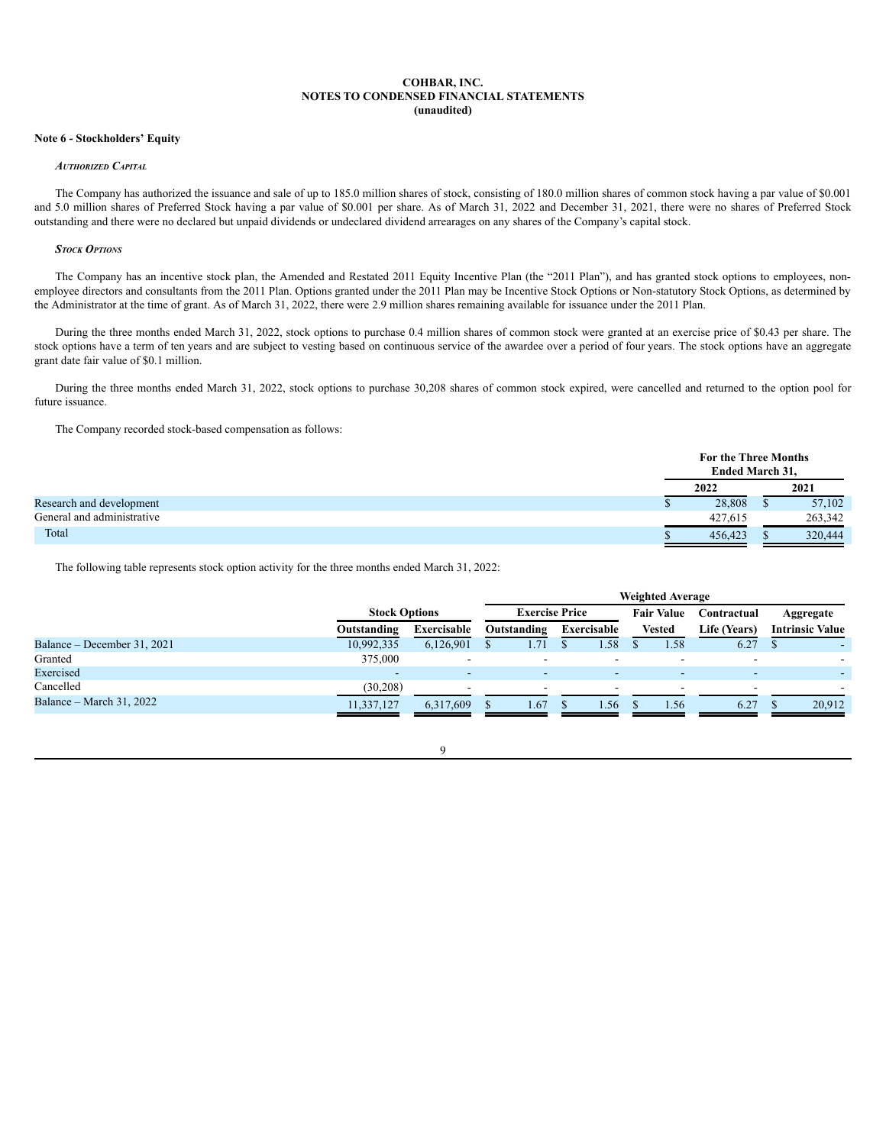### **Note 6 - Stockholders' Equity**

## *AUTHORIZED CAPITAL*

The Company has authorized the issuance and sale of up to 185.0 million shares of stock, consisting of 180.0 million shares of common stock having a par value of \$0.001 and 5.0 million shares of Preferred Stock having a par value of \$0.001 per share. As of March 31, 2022 and December 31, 2021, there were no shares of Preferred Stock outstanding and there were no declared but unpaid dividends or undeclared dividend arrearages on any shares of the Company's capital stock.

### *STOCK OPTIONS*

The Company has an incentive stock plan, the Amended and Restated 2011 Equity Incentive Plan (the "2011 Plan"), and has granted stock options to employees, nonemployee directors and consultants from the 2011 Plan. Options granted under the 2011 Plan may be Incentive Stock Options or Non-statutory Stock Options, as determined by the Administrator at the time of grant. As of March 31, 2022, there were 2.9 million shares remaining available for issuance under the 2011 Plan.

During the three months ended March 31, 2022, stock options to purchase 0.4 million shares of common stock were granted at an exercise price of \$0.43 per share. The stock options have a term of ten years and are subject to vesting based on continuous service of the awardee over a period of four years. The stock options have an aggregate grant date fair value of \$0.1 million.

During the three months ended March 31, 2022, stock options to purchase 30,208 shares of common stock expired, were cancelled and returned to the option pool for future issuance.

The Company recorded stock-based compensation as follows:

|                            | <b>For the Three Months</b><br><b>Ended March 31,</b> |         |
|----------------------------|-------------------------------------------------------|---------|
|                            | 2022                                                  | 2021    |
| Research and development   | 28,808<br><b>D</b>                                    | 57,102  |
| General and administrative | 427,615                                               | 263,342 |
| Total                      | 456.423                                               | 320,444 |

The following table represents stock option activity for the three months ended March 31, 2022:

|                             |                      |             | <b>Weighted Average</b> |                       |             |      |               |                   |              |                        |        |
|-----------------------------|----------------------|-------------|-------------------------|-----------------------|-------------|------|---------------|-------------------|--------------|------------------------|--------|
|                             | <b>Stock Options</b> |             |                         | <b>Exercise Price</b> |             |      |               | <b>Fair Value</b> | Contractual  | Aggregate              |        |
|                             | Outstanding          | Exercisable | Outstanding             |                       | Exercisable |      | <b>Vested</b> |                   | Life (Years) | <b>Intrinsic Value</b> |        |
| Balance – December 31, 2021 | 10,992,335           | 6,126,901   |                         | 1.71                  |             | l.58 |               | .58               | 6.27         |                        |        |
| Granted                     | 375,000              |             |                         |                       |             |      |               |                   |              |                        |        |
| Exercised                   |                      |             |                         |                       |             |      |               |                   |              |                        |        |
| Cancelled                   | (30,208)             |             |                         |                       |             | -    |               | -                 |              |                        |        |
| Balance – March 31, 2022    | 11,337,127           | 6,317,609   |                         | 1.67                  |             | 1.56 |               | 1.56              | 6.27         |                        | 20,912 |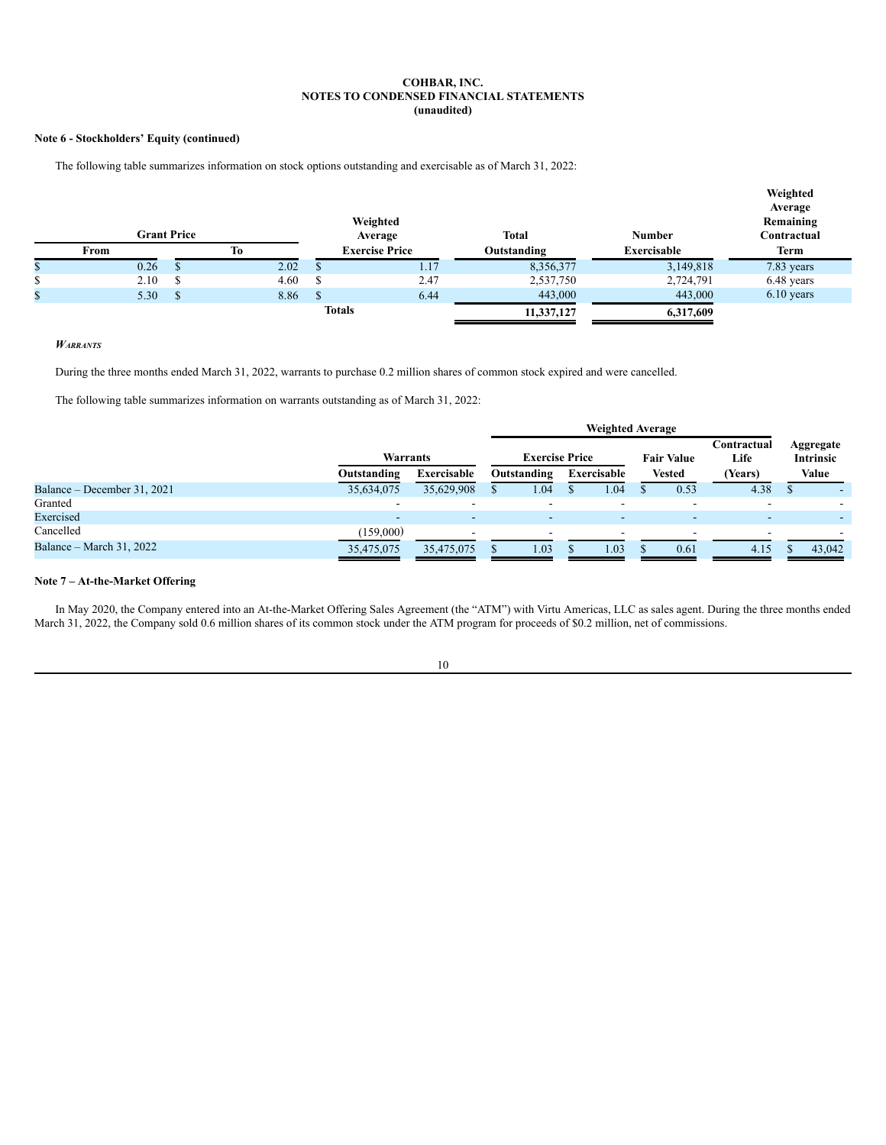## **Note 6 - Stockholders' Equity (continued)**

The following table summarizes information on stock options outstanding and exercisable as of March 31, 2022:

|    |      | <b>Grant Price</b> |      | Weighted |                                  | <b>Total</b> | <b>Number</b> | Weighted<br>Average<br>Remaining<br>Contractual |
|----|------|--------------------|------|----------|----------------------------------|--------------|---------------|-------------------------------------------------|
|    | From |                    | To   |          | Average<br><b>Exercise Price</b> | Outstanding  | Exercisable   | Term                                            |
| P. | 0.26 |                    | 2.02 |          | 1.17                             | 8,356,377    | 3,149,818     | 7.83 years                                      |
| \$ | 2.10 |                    | 4.60 |          | 2.47                             | 2,537,750    | 2,724,791     | 6.48 years                                      |
| \$ | 5.30 |                    | 8.86 |          | 6.44                             | 443,000      | 443,000       | $6.10$ years                                    |
|    |      |                    |      |          | <b>Totals</b>                    | 11,337,127   | 6,317,609     |                                                 |

## *WARRANTS*

During the three months ended March 31, 2022, warrants to purchase 0.2 million shares of common stock expired and were cancelled.

The following table summarizes information on warrants outstanding as of March 31, 2022:

|                             | <b>Weighted Average</b> |             |                       |             |  |             |               |                   |                     |                               |        |
|-----------------------------|-------------------------|-------------|-----------------------|-------------|--|-------------|---------------|-------------------|---------------------|-------------------------------|--------|
|                             | Warrants                |             | <b>Exercise Price</b> |             |  |             |               | <b>Fair Value</b> | Contractual<br>Life | Aggregate<br><b>Intrinsic</b> |        |
|                             | Outstanding             | Exercisable |                       | Outstanding |  | Exercisable | <b>Vested</b> |                   | (Years)             | Value                         |        |
| Balance – December 31, 2021 | 35,634,075              | 35,629,908  |                       | 1.04        |  | .04         |               | 0.53              | 4.38                |                               |        |
| Granted                     |                         |             |                       |             |  |             |               |                   |                     |                               |        |
| Exercised                   | -                       | -           |                       |             |  |             |               | -                 |                     |                               |        |
| Cancelled                   | (159,000)               |             |                       |             |  |             |               |                   |                     |                               |        |
| Balance – March 31, 2022    | 35,475,075              | 35,475,075  |                       | 1.03        |  | 1.03        |               | 0.61              | 4.15                |                               | 43.042 |

## **Note 7 – At-the-Market Offering**

In May 2020, the Company entered into an At-the-Market Offering Sales Agreement (the "ATM") with Virtu Americas, LLC as sales agent. During the three months ended March 31, 2022, the Company sold 0.6 million shares of its common stock under the ATM program for proceeds of \$0.2 million, net of commissions.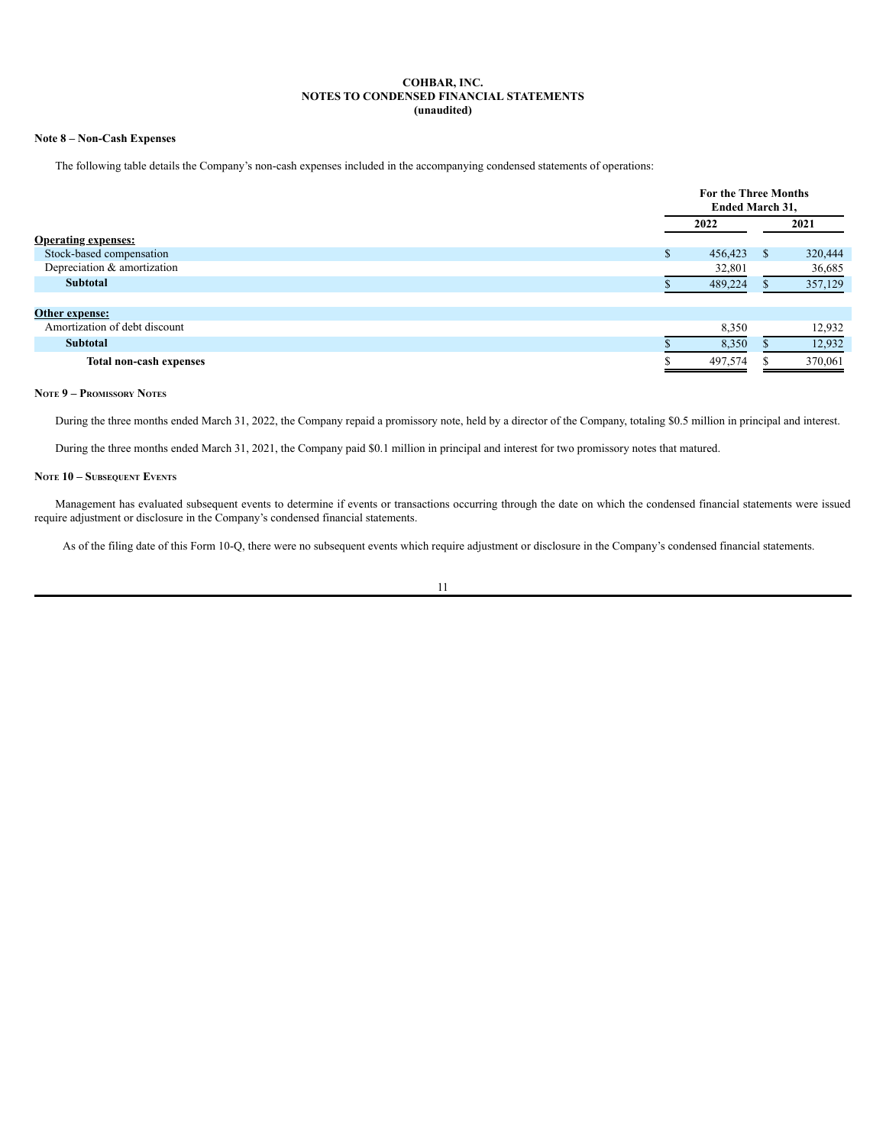# **Note 8 – Non-Cash Expenses**

The following table details the Company's non-cash expenses included in the accompanying condensed statements of operations:

|                                | <b>For the Three Months</b><br><b>Ended March 31,</b> |              |         |  |
|--------------------------------|-------------------------------------------------------|--------------|---------|--|
|                                | 2022                                                  |              | 2021    |  |
| <b>Operating expenses:</b>     |                                                       |              |         |  |
| Stock-based compensation       | \$<br>456,423                                         | <sup>S</sup> | 320,444 |  |
| Depreciation & amortization    | 32,801                                                |              | 36,685  |  |
| <b>Subtotal</b>                | 489,224                                               |              | 357,129 |  |
| Other expense:                 |                                                       |              |         |  |
| Amortization of debt discount  | 8,350                                                 |              | 12,932  |  |
| <b>Subtotal</b>                | 8,350                                                 |              | 12,932  |  |
| <b>Total non-cash expenses</b> | 497,574                                               |              | 370,061 |  |

#### **NOTE 9 – PROMISSORY NOTES**

During the three months ended March 31, 2022, the Company repaid a promissory note, held by a director of the Company, totaling \$0.5 million in principal and interest.

During the three months ended March 31, 2021, the Company paid \$0.1 million in principal and interest for two promissory notes that matured.

## **NOTE 10 – SUBSEQUENT EVENTS**

Management has evaluated subsequent events to determine if events or transactions occurring through the date on which the condensed financial statements were issued require adjustment or disclosure in the Company's condensed financial statements.

As of the filing date of this Form 10-Q, there were no subsequent events which require adjustment or disclosure in the Company's condensed financial statements.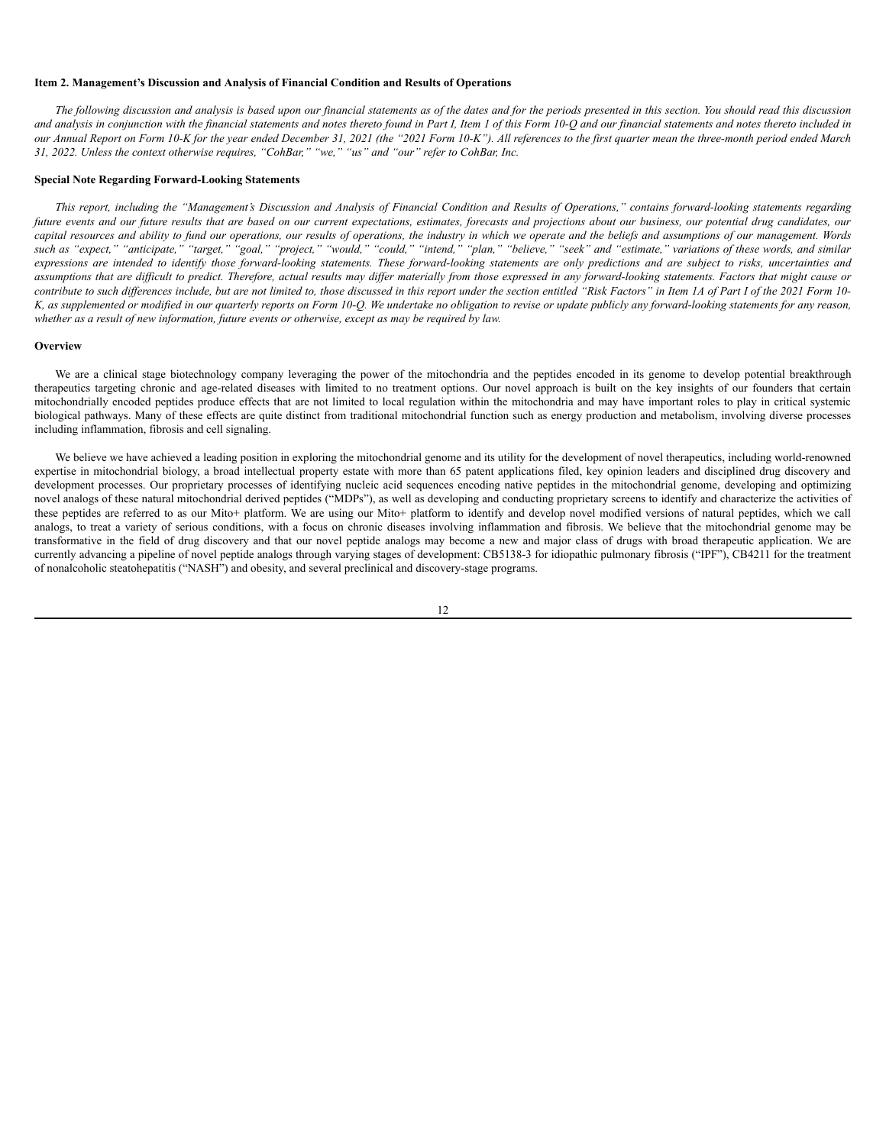#### <span id="page-13-0"></span>**Item 2. Management's Discussion and Analysis of Financial Condition and Results of Operations**

The following discussion and analysis is based upon our financial statements as of the dates and for the periods presented in this section. You should read this discussion and analysis in conjunction with the financial statements and notes thereto found in Part I, Item 1 of this Form 10-Q and our financial statements and notes thereto included in our Annual Report on Form 10-K for the year ended December 31, 2021 (the "2021 Form 10-K"). All references to the first quarter mean the three-month period ended March *31, 2022. Unless the context otherwise requires, "CohBar," "we," "us" and "our" refer to CohBar, Inc.*

#### **Special Note Regarding Forward-Looking Statements**

This report, including the "Management's Discussion and Analysis of Financial Condition and Results of Operations," contains forward-looking statements regarding future events and our future results that are based on our current expectations, estimates, forecasts and projections about our business, our potential drug candidates, our capital resources and ability to fund our operations, our results of operations, the industry in which we operate and the beliefs and assumptions of our management. Words such as "expect," "anticipate," "target," "goal," "project," "would," "could," "intend," "plan," "believe," "seek" and "estimate," variations of these words, and similar expressions are intended to identify those forward-looking statements. These forward-looking statements are only predictions and are subject to risks, uncertainties and assumptions that are difficult to predict. Therefore, actual results may differ materially from those expressed in any forward-looking statements. Factors that might cause or contribute to such differences include, but are not limited to, those discussed in this report under the section entitled "Risk Factors" in Item 1A of Part I of the 2021 Form 10-K, as supplemented or modified in our quarterly reports on Form 10-Q. We undertake no obligation to revise or update publicly any forward-looking statements for any reason, whether as a result of new information, future events or otherwise, except as may be required by law.

#### **Overview**

We are a clinical stage biotechnology company leveraging the power of the mitochondria and the peptides encoded in its genome to develop potential breakthrough therapeutics targeting chronic and age-related diseases with limited to no treatment options. Our novel approach is built on the key insights of our founders that certain mitochondrially encoded peptides produce effects that are not limited to local regulation within the mitochondria and may have important roles to play in critical systemic biological pathways. Many of these effects are quite distinct from traditional mitochondrial function such as energy production and metabolism, involving diverse processes including inflammation, fibrosis and cell signaling.

We believe we have achieved a leading position in exploring the mitochondrial genome and its utility for the development of novel therapeutics, including world-renowned expertise in mitochondrial biology, a broad intellectual property estate with more than 65 patent applications filed, key opinion leaders and disciplined drug discovery and development processes. Our proprietary processes of identifying nucleic acid sequences encoding native peptides in the mitochondrial genome, developing and optimizing novel analogs of these natural mitochondrial derived peptides ("MDPs"), as well as developing and conducting proprietary screens to identify and characterize the activities of these peptides are referred to as our Mito+ platform. We are using our Mito+ platform to identify and develop novel modified versions of natural peptides, which we call analogs, to treat a variety of serious conditions, with a focus on chronic diseases involving inflammation and fibrosis. We believe that the mitochondrial genome may be transformative in the field of drug discovery and that our novel peptide analogs may become a new and major class of drugs with broad therapeutic application. We are currently advancing a pipeline of novel peptide analogs through varying stages of development: CB5138-3 for idiopathic pulmonary fibrosis ("IPF"), CB4211 for the treatment of nonalcoholic steatohepatitis ("NASH") and obesity, and several preclinical and discovery-stage programs.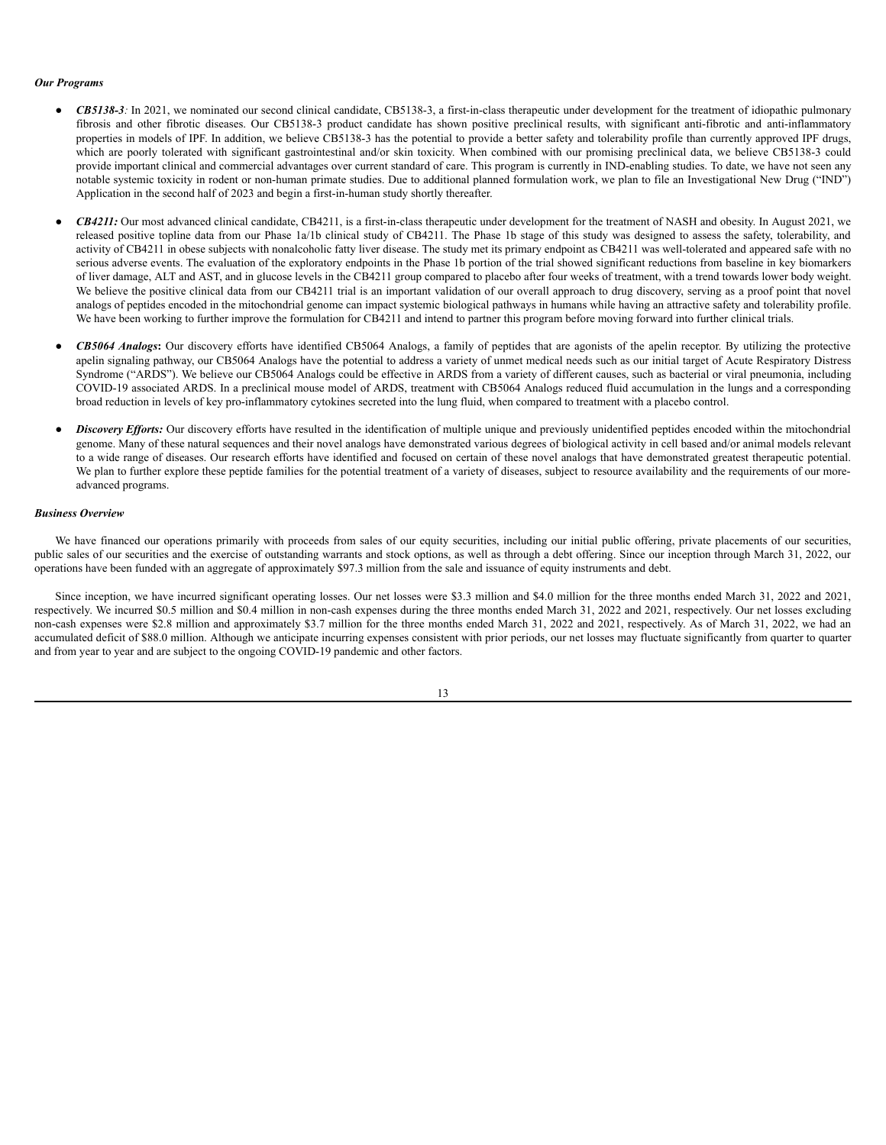#### *Our Programs*

- *CB5138-3:* In 2021, we nominated our second clinical candidate, CB5138-3, a first-in-class therapeutic under development for the treatment of idiopathic pulmonary fibrosis and other fibrotic diseases. Our CB5138-3 product candidate has shown positive preclinical results, with significant anti-fibrotic and anti-inflammatory properties in models of IPF. In addition, we believe CB5138-3 has the potential to provide a better safety and tolerability profile than currently approved IPF drugs, which are poorly tolerated with significant gastrointestinal and/or skin toxicity. When combined with our promising preclinical data, we believe CB5138-3 could provide important clinical and commercial advantages over current standard of care. This program is currently in IND-enabling studies. To date, we have not seen any notable systemic toxicity in rodent or non-human primate studies. Due to additional planned formulation work, we plan to file an Investigational New Drug ("IND") Application in the second half of 2023 and begin a first-in-human study shortly thereafter.
- *CB4211:* Our most advanced clinical candidate, CB4211, is a first-in-class therapeutic under development for the treatment of NASH and obesity. In August 2021, we released positive topline data from our Phase 1a/1b clinical study of CB4211. The Phase 1b stage of this study was designed to assess the safety, tolerability, and activity of CB4211 in obese subjects with nonalcoholic fatty liver disease. The study met its primary endpoint as CB4211 was well-tolerated and appeared safe with no serious adverse events. The evaluation of the exploratory endpoints in the Phase 1b portion of the trial showed significant reductions from baseline in key biomarkers of liver damage, ALT and AST, and in glucose levels in the CB4211 group compared to placebo after four weeks of treatment, with a trend towards lower body weight. We believe the positive clinical data from our CB4211 trial is an important validation of our overall approach to drug discovery, serving as a proof point that novel analogs of peptides encoded in the mitochondrial genome can impact systemic biological pathways in humans while having an attractive safety and tolerability profile. We have been working to further improve the formulation for CB4211 and intend to partner this program before moving forward into further clinical trials.
- CB5064 Analogs: Our discovery efforts have identified CB5064 Analogs, a family of peptides that are agonists of the apelin receptor. By utilizing the protective apelin signaling pathway, our CB5064 Analogs have the potential to address a variety of unmet medical needs such as our initial target of Acute Respiratory Distress Syndrome ("ARDS"). We believe our CB5064 Analogs could be effective in ARDS from a variety of different causes, such as bacterial or viral pneumonia, including COVID-19 associated ARDS. In a preclinical mouse model of ARDS, treatment with CB5064 Analogs reduced fluid accumulation in the lungs and a corresponding broad reduction in levels of key pro-inflammatory cytokines secreted into the lung fluid, when compared to treatment with a placebo control.
- **Discovery Efforts:** Our discovery efforts have resulted in the identification of multiple unique and previously unidentified peptides encoded within the mitochondrial genome. Many of these natural sequences and their novel analogs have demonstrated various degrees of biological activity in cell based and/or animal models relevant to a wide range of diseases. Our research efforts have identified and focused on certain of these novel analogs that have demonstrated greatest therapeutic potential. We plan to further explore these peptide families for the potential treatment of a variety of diseases, subject to resource availability and the requirements of our moreadvanced programs.

### *Business Overview*

We have financed our operations primarily with proceeds from sales of our equity securities, including our initial public offering, private placements of our securities, public sales of our securities and the exercise of outstanding warrants and stock options, as well as through a debt offering. Since our inception through March 31, 2022, our operations have been funded with an aggregate of approximately \$97.3 million from the sale and issuance of equity instruments and debt.

Since inception, we have incurred significant operating losses. Our net losses were \$3.3 million and \$4.0 million for the three months ended March 31, 2022 and 2021, respectively. We incurred \$0.5 million and \$0.4 million in non-cash expenses during the three months ended March 31, 2022 and 2021, respectively. Our net losses excluding non-cash expenses were \$2.8 million and approximately \$3.7 million for the three months ended March 31, 2022 and 2021, respectively. As of March 31, 2022, we had an accumulated deficit of \$88.0 million. Although we anticipate incurring expenses consistent with prior periods, our net losses may fluctuate significantly from quarter to quarter and from year to year and are subject to the ongoing COVID-19 pandemic and other factors.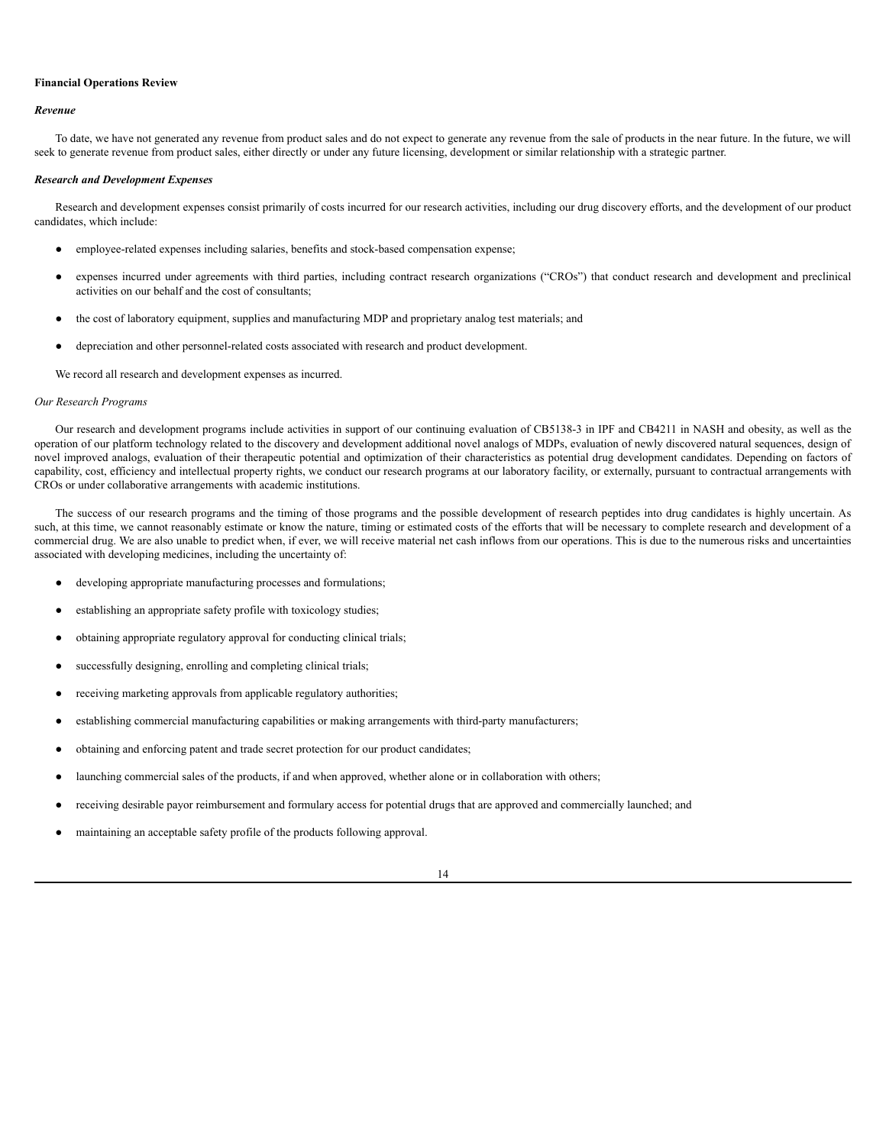#### **Financial Operations Review**

### *Revenue*

To date, we have not generated any revenue from product sales and do not expect to generate any revenue from the sale of products in the near future. In the future, we will seek to generate revenue from product sales, either directly or under any future licensing, development or similar relationship with a strategic partner.

#### *Research and Development Expenses*

Research and development expenses consist primarily of costs incurred for our research activities, including our drug discovery efforts, and the development of our product candidates, which include:

- employee-related expenses including salaries, benefits and stock-based compensation expense;
- expenses incurred under agreements with third parties, including contract research organizations ("CROs") that conduct research and development and preclinical activities on our behalf and the cost of consultants;
- the cost of laboratory equipment, supplies and manufacturing MDP and proprietary analog test materials; and
- depreciation and other personnel-related costs associated with research and product development.

We record all research and development expenses as incurred.

## *Our Research Programs*

Our research and development programs include activities in support of our continuing evaluation of CB5138-3 in IPF and CB4211 in NASH and obesity, as well as the operation of our platform technology related to the discovery and development additional novel analogs of MDPs, evaluation of newly discovered natural sequences, design of novel improved analogs, evaluation of their therapeutic potential and optimization of their characteristics as potential drug development candidates. Depending on factors of capability, cost, efficiency and intellectual property rights, we conduct our research programs at our laboratory facility, or externally, pursuant to contractual arrangements with CROs or under collaborative arrangements with academic institutions.

The success of our research programs and the timing of those programs and the possible development of research peptides into drug candidates is highly uncertain. As such, at this time, we cannot reasonably estimate or know the nature, timing or estimated costs of the efforts that will be necessary to complete research and development of a commercial drug. We are also unable to predict when, if ever, we will receive material net cash inflows from our operations. This is due to the numerous risks and uncertainties associated with developing medicines, including the uncertainty of:

- developing appropriate manufacturing processes and formulations;
- establishing an appropriate safety profile with toxicology studies;
- obtaining appropriate regulatory approval for conducting clinical trials;
- successfully designing, enrolling and completing clinical trials;
- receiving marketing approvals from applicable regulatory authorities;
- establishing commercial manufacturing capabilities or making arrangements with third-party manufacturers;
- obtaining and enforcing patent and trade secret protection for our product candidates;
- launching commercial sales of the products, if and when approved, whether alone or in collaboration with others;
- receiving desirable payor reimbursement and formulary access for potential drugs that are approved and commercially launched; and
- maintaining an acceptable safety profile of the products following approval.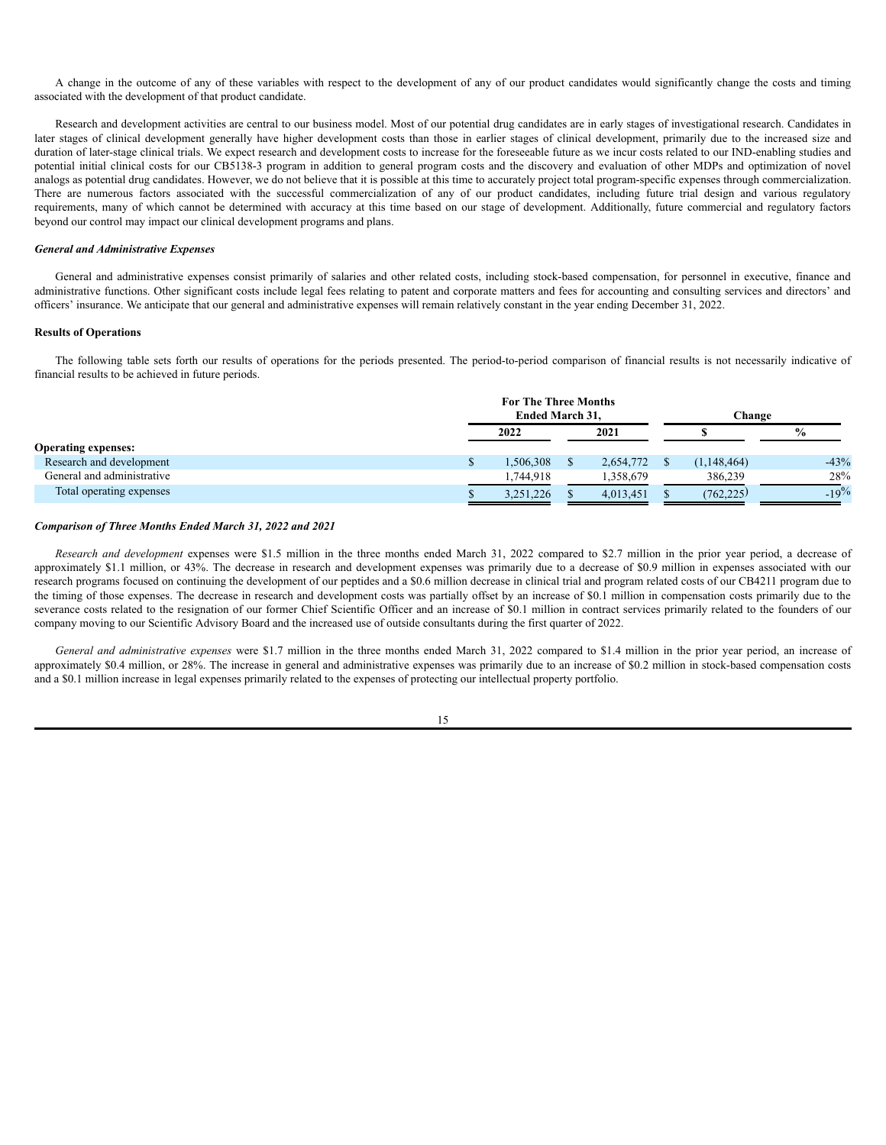A change in the outcome of any of these variables with respect to the development of any of our product candidates would significantly change the costs and timing associated with the development of that product candidate.

Research and development activities are central to our business model. Most of our potential drug candidates are in early stages of investigational research. Candidates in later stages of clinical development generally have higher development costs than those in earlier stages of clinical development, primarily due to the increased size and duration of later-stage clinical trials. We expect research and development costs to increase for the foreseeable future as we incur costs related to our IND-enabling studies and potential initial clinical costs for our CB5138-3 program in addition to general program costs and the discovery and evaluation of other MDPs and optimization of novel analogs as potential drug candidates. However, we do not believe that it is possible at this time to accurately project total program-specific expenses through commercialization. There are numerous factors associated with the successful commercialization of any of our product candidates, including future trial design and various regulatory requirements, many of which cannot be determined with accuracy at this time based on our stage of development. Additionally, future commercial and regulatory factors beyond our control may impact our clinical development programs and plans.

## *General and Administrative Expenses*

General and administrative expenses consist primarily of salaries and other related costs, including stock-based compensation, for personnel in executive, finance and administrative functions. Other significant costs include legal fees relating to patent and corporate matters and fees for accounting and consulting services and directors' and officers' insurance. We anticipate that our general and administrative expenses will remain relatively constant in the year ending December 31, 2022.

### **Results of Operations**

The following table sets forth our results of operations for the periods presented. The period-to-period comparison of financial results is not necessarily indicative of financial results to be achieved in future periods.

|                            | <b>For The Three Months</b><br><b>Ended March 31,</b> |           | Change |             |               |  |
|----------------------------|-------------------------------------------------------|-----------|--------|-------------|---------------|--|
|                            | 2022                                                  | 2021      |        |             | $\frac{6}{9}$ |  |
| <b>Operating expenses:</b> |                                                       |           |        |             |               |  |
| Research and development   | 1,506,308                                             | 2,654,772 |        | (1,148,464) | $-43%$        |  |
| General and administrative | .744.918                                              | .358.679  |        | 386.239     | 28%           |  |
| Total operating expenses   | 3,251,226                                             | 4,013,451 |        | (762, 225)  | $-19%$        |  |

## *Comparison of Three Months Ended March 31, 2022 and 2021*

*Research and development* expenses were \$1.5 million in the three months ended March 31, 2022 compared to \$2.7 million in the prior year period, a decrease of approximately \$1.1 million, or 43%. The decrease in research and development expenses was primarily due to a decrease of \$0.9 million in expenses associated with our research programs focused on continuing the development of our peptides and a \$0.6 million decrease in clinical trial and program related costs of our CB4211 program due to the timing of those expenses. The decrease in research and development costs was partially offset by an increase of \$0.1 million in compensation costs primarily due to the severance costs related to the resignation of our former Chief Scientific Officer and an increase of \$0.1 million in contract services primarily related to the founders of our company moving to our Scientific Advisory Board and the increased use of outside consultants during the first quarter of 2022.

*General and administrative expenses* were \$1.7 million in the three months ended March 31, 2022 compared to \$1.4 million in the prior year period, an increase of approximately \$0.4 million, or 28%. The increase in general and administrative expenses was primarily due to an increase of \$0.2 million in stock-based compensation costs and a \$0.1 million increase in legal expenses primarily related to the expenses of protecting our intellectual property portfolio.

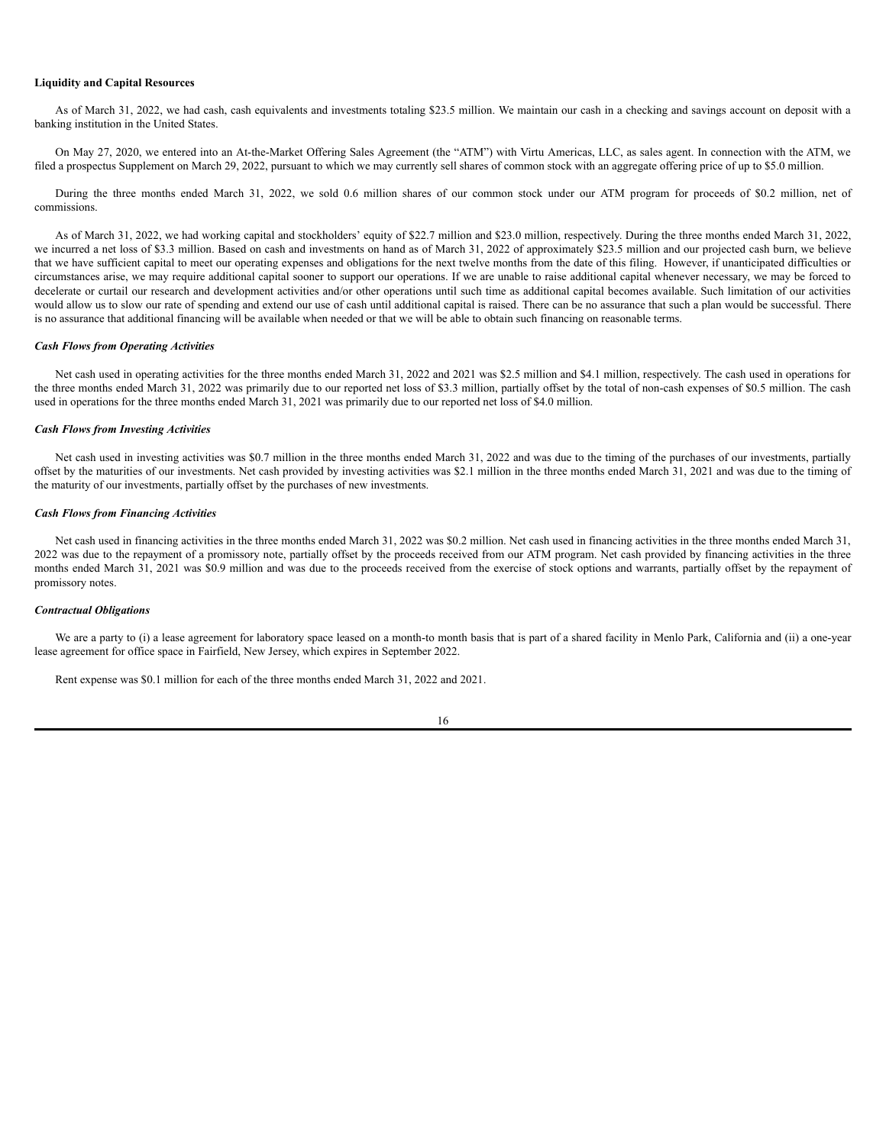#### **Liquidity and Capital Resources**

As of March 31, 2022, we had cash, cash equivalents and investments totaling \$23.5 million. We maintain our cash in a checking and savings account on deposit with a banking institution in the United States.

On May 27, 2020, we entered into an At-the-Market Offering Sales Agreement (the "ATM") with Virtu Americas, LLC, as sales agent. In connection with the ATM, we filed a prospectus Supplement on March 29, 2022, pursuant to which we may currently sell shares of common stock with an aggregate offering price of up to \$5.0 million.

During the three months ended March 31, 2022, we sold 0.6 million shares of our common stock under our ATM program for proceeds of \$0.2 million, net of commissions.

As of March 31, 2022, we had working capital and stockholders' equity of \$22.7 million and \$23.0 million, respectively. During the three months ended March 31, 2022, we incurred a net loss of \$3.3 million. Based on cash and investments on hand as of March 31, 2022 of approximately \$23.5 million and our projected cash burn, we believe that we have sufficient capital to meet our operating expenses and obligations for the next twelve months from the date of this filing. However, if unanticipated difficulties or circumstances arise, we may require additional capital sooner to support our operations. If we are unable to raise additional capital whenever necessary, we may be forced to decelerate or curtail our research and development activities and/or other operations until such time as additional capital becomes available. Such limitation of our activities would allow us to slow our rate of spending and extend our use of cash until additional capital is raised. There can be no assurance that such a plan would be successful. There is no assurance that additional financing will be available when needed or that we will be able to obtain such financing on reasonable terms.

#### *Cash Flows from Operating Activities*

Net cash used in operating activities for the three months ended March 31, 2022 and 2021 was \$2.5 million and \$4.1 million, respectively. The cash used in operations for the three months ended March 31, 2022 was primarily due to our reported net loss of \$3.3 million, partially offset by the total of non-cash expenses of \$0.5 million. The cash used in operations for the three months ended March 31, 2021 was primarily due to our reported net loss of \$4.0 million.

#### *Cash Flows from Investing Activities*

Net cash used in investing activities was \$0.7 million in the three months ended March 31, 2022 and was due to the timing of the purchases of our investments, partially offset by the maturities of our investments. Net cash provided by investing activities was \$2.1 million in the three months ended March 31, 2021 and was due to the timing of the maturity of our investments, partially offset by the purchases of new investments.

#### *Cash Flows from Financing Activities*

Net cash used in financing activities in the three months ended March 31, 2022 was \$0.2 million. Net cash used in financing activities in the three months ended March 31, 2022 was due to the repayment of a promissory note, partially offset by the proceeds received from our ATM program. Net cash provided by financing activities in the three months ended March 31, 2021 was \$0.9 million and was due to the proceeds received from the exercise of stock options and warrants, partially offset by the repayment of promissory notes.

### *Contractual Obligations*

We are a party to (i) a lease agreement for laboratory space leased on a month-to month basis that is part of a shared facility in Menlo Park, California and (ii) a one-year lease agreement for office space in Fairfield, New Jersey, which expires in September 2022.

Rent expense was \$0.1 million for each of the three months ended March 31, 2022 and 2021.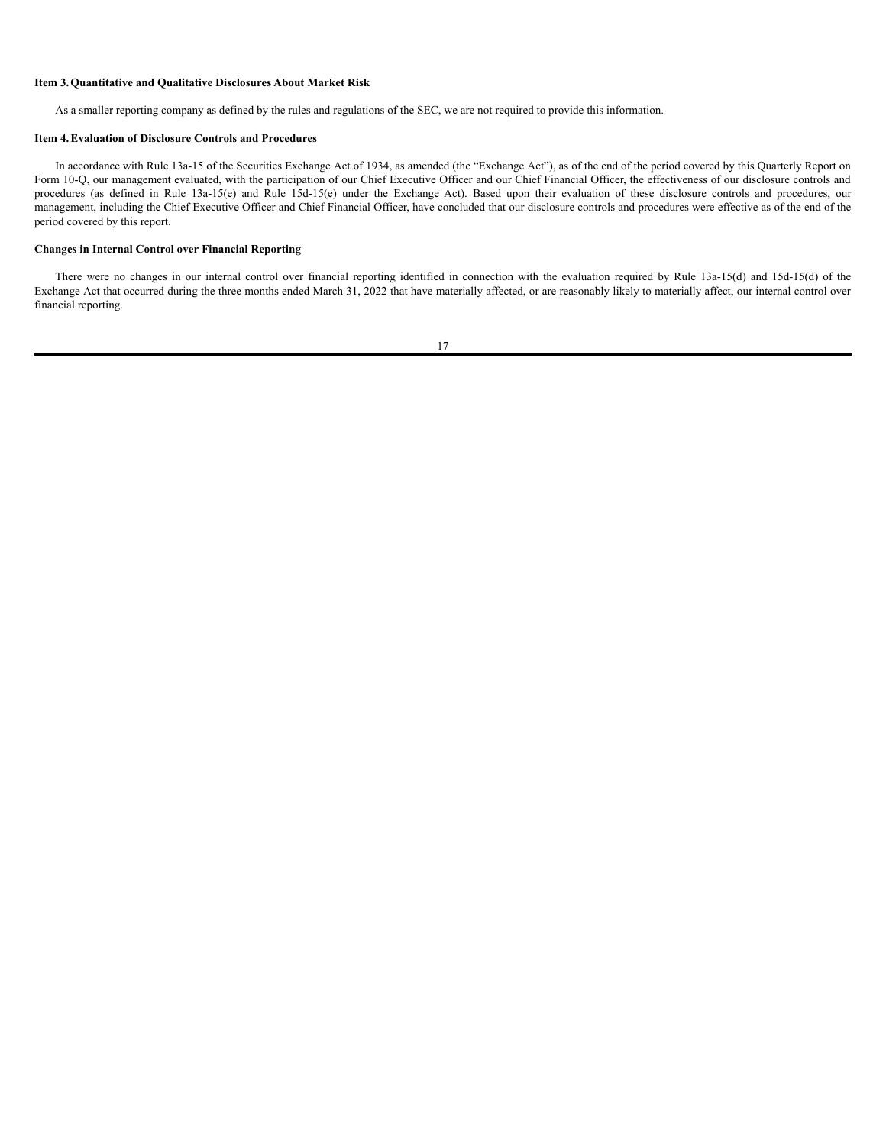### <span id="page-18-0"></span>**Item 3.Quantitative and Qualitative Disclosures About Market Risk**

As a smaller reporting company as defined by the rules and regulations of the SEC, we are not required to provide this information.

## <span id="page-18-1"></span>**Item 4.Evaluation of Disclosure Controls and Procedures**

In accordance with Rule 13a-15 of the Securities Exchange Act of 1934, as amended (the "Exchange Act"), as of the end of the period covered by this Quarterly Report on Form 10-Q, our management evaluated, with the participation of our Chief Executive Officer and our Chief Financial Officer, the effectiveness of our disclosure controls and procedures (as defined in Rule 13a-15(e) and Rule 15d-15(e) under the Exchange Act). Based upon their evaluation of these disclosure controls and procedures, our management, including the Chief Executive Officer and Chief Financial Officer, have concluded that our disclosure controls and procedures were effective as of the end of the period covered by this report.

## **Changes in Internal Control over Financial Reporting**

There were no changes in our internal control over financial reporting identified in connection with the evaluation required by Rule 13a-15(d) and 15d-15(d) of the Exchange Act that occurred during the three months ended March 31, 2022 that have materially affected, or are reasonably likely to materially affect, our internal control over financial reporting.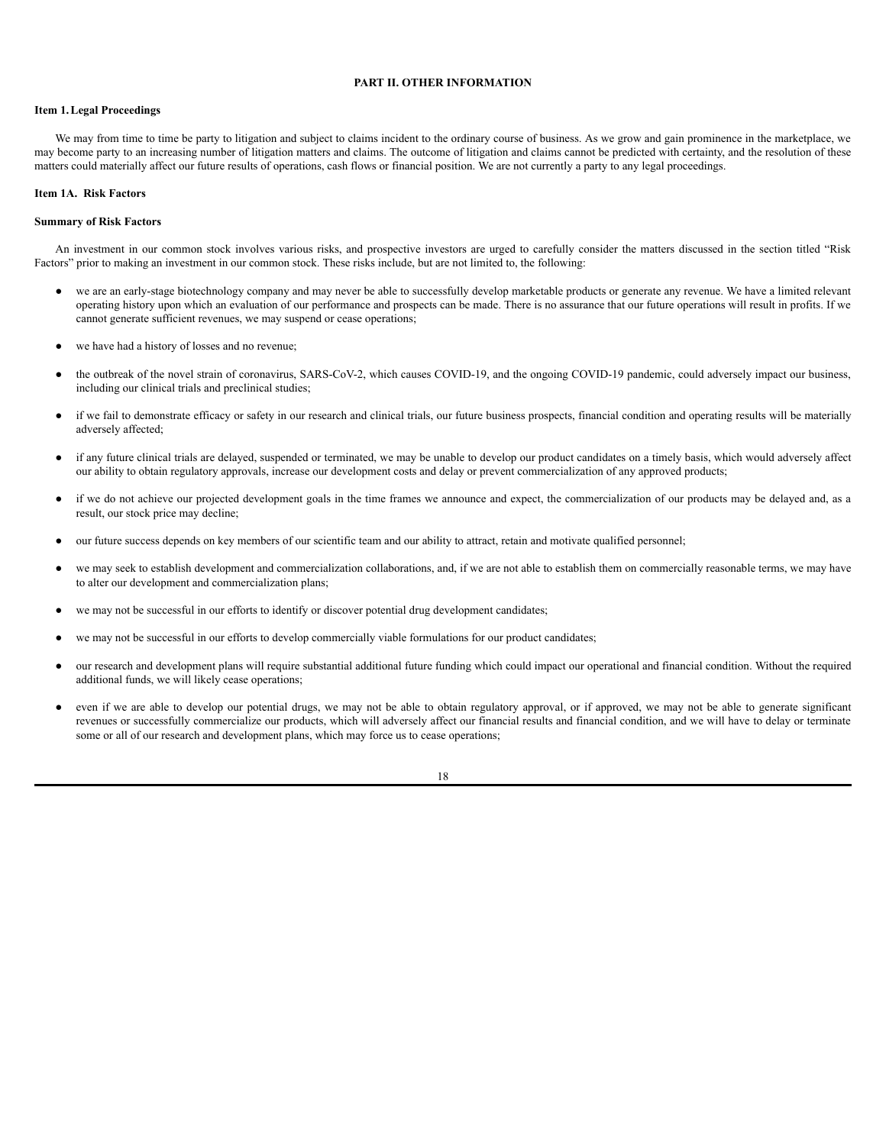## **PART II. OTHER INFORMATION**

## <span id="page-19-1"></span><span id="page-19-0"></span>**Item 1.Legal Proceedings**

We may from time to time be party to litigation and subject to claims incident to the ordinary course of business. As we grow and gain prominence in the marketplace, we may become party to an increasing number of litigation matters and claims. The outcome of litigation and claims cannot be predicted with certainty, and the resolution of these matters could materially affect our future results of operations, cash flows or financial position. We are not currently a party to any legal proceedings.

### <span id="page-19-2"></span>**Item 1A. Risk Factors**

## **Summary of Risk Factors**

An investment in our common stock involves various risks, and prospective investors are urged to carefully consider the matters discussed in the section titled "Risk Factors" prior to making an investment in our common stock. These risks include, but are not limited to, the following:

- we are an early-stage biotechnology company and may never be able to successfully develop marketable products or generate any revenue. We have a limited relevant operating history upon which an evaluation of our performance and prospects can be made. There is no assurance that our future operations will result in profits. If we cannot generate sufficient revenues, we may suspend or cease operations;
- we have had a history of losses and no revenue;
- the outbreak of the novel strain of coronavirus, SARS-CoV-2, which causes COVID-19, and the ongoing COVID-19 pandemic, could adversely impact our business, including our clinical trials and preclinical studies;
- if we fail to demonstrate efficacy or safety in our research and clinical trials, our future business prospects, financial condition and operating results will be materially adversely affected;
- if any future clinical trials are delayed, suspended or terminated, we may be unable to develop our product candidates on a timely basis, which would adversely affect our ability to obtain regulatory approvals, increase our development costs and delay or prevent commercialization of any approved products;
- if we do not achieve our projected development goals in the time frames we announce and expect, the commercialization of our products may be delayed and, as a result, our stock price may decline;
- our future success depends on key members of our scientific team and our ability to attract, retain and motivate qualified personnel;
- we may seek to establish development and commercialization collaborations, and, if we are not able to establish them on commercially reasonable terms, we may have to alter our development and commercialization plans;
- we may not be successful in our efforts to identify or discover potential drug development candidates;
- we may not be successful in our efforts to develop commercially viable formulations for our product candidates;
- our research and development plans will require substantial additional future funding which could impact our operational and financial condition. Without the required additional funds, we will likely cease operations;
- even if we are able to develop our potential drugs, we may not be able to obtain regulatory approval, or if approved, we may not be able to generate significant revenues or successfully commercialize our products, which will adversely affect our financial results and financial condition, and we will have to delay or terminate some or all of our research and development plans, which may force us to cease operations;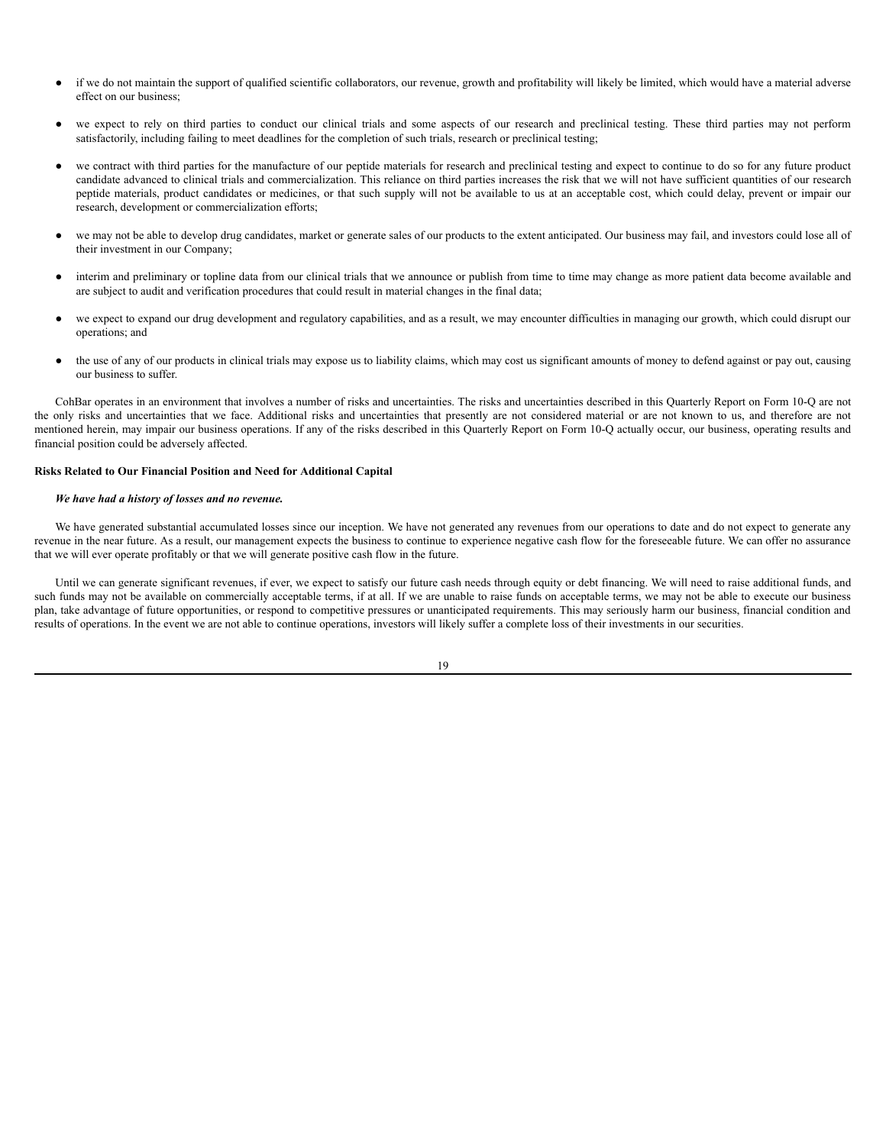- if we do not maintain the support of qualified scientific collaborators, our revenue, growth and profitability will likely be limited, which would have a material adverse effect on our business;
- we expect to rely on third parties to conduct our clinical trials and some aspects of our research and preclinical testing. These third parties may not perform satisfactorily, including failing to meet deadlines for the completion of such trials, research or preclinical testing;
- we contract with third parties for the manufacture of our peptide materials for research and preclinical testing and expect to continue to do so for any future product candidate advanced to clinical trials and commercialization. This reliance on third parties increases the risk that we will not have sufficient quantities of our research peptide materials, product candidates or medicines, or that such supply will not be available to us at an acceptable cost, which could delay, prevent or impair our research, development or commercialization efforts;
- we may not be able to develop drug candidates, market or generate sales of our products to the extent anticipated. Our business may fail, and investors could lose all of their investment in our Company;
- interim and preliminary or topline data from our clinical trials that we announce or publish from time to time may change as more patient data become available and are subject to audit and verification procedures that could result in material changes in the final data;
- we expect to expand our drug development and regulatory capabilities, and as a result, we may encounter difficulties in managing our growth, which could disrupt our operations; and
- the use of any of our products in clinical trials may expose us to liability claims, which may cost us significant amounts of money to defend against or pay out, causing our business to suffer.

CohBar operates in an environment that involves a number of risks and uncertainties. The risks and uncertainties described in this Quarterly Report on Form 10-Q are not the only risks and uncertainties that we face. Additional risks and uncertainties that presently are not considered material or are not known to us, and therefore are not mentioned herein, may impair our business operations. If any of the risks described in this Quarterly Report on Form 10-Q actually occur, our business, operating results and financial position could be adversely affected.

## **Risks Related to Our Financial Position and Need for Additional Capital**

## *We have had a history of losses and no revenue.*

We have generated substantial accumulated losses since our inception. We have not generated any revenues from our operations to date and do not expect to generate any revenue in the near future. As a result, our management expects the business to continue to experience negative cash flow for the foreseeable future. We can offer no assurance that we will ever operate profitably or that we will generate positive cash flow in the future.

Until we can generate significant revenues, if ever, we expect to satisfy our future cash needs through equity or debt financing. We will need to raise additional funds, and such funds may not be available on commercially acceptable terms, if at all. If we are unable to raise funds on acceptable terms, we may not be able to execute our business plan, take advantage of future opportunities, or respond to competitive pressures or unanticipated requirements. This may seriously harm our business, financial condition and results of operations. In the event we are not able to continue operations, investors will likely suffer a complete loss of their investments in our securities.

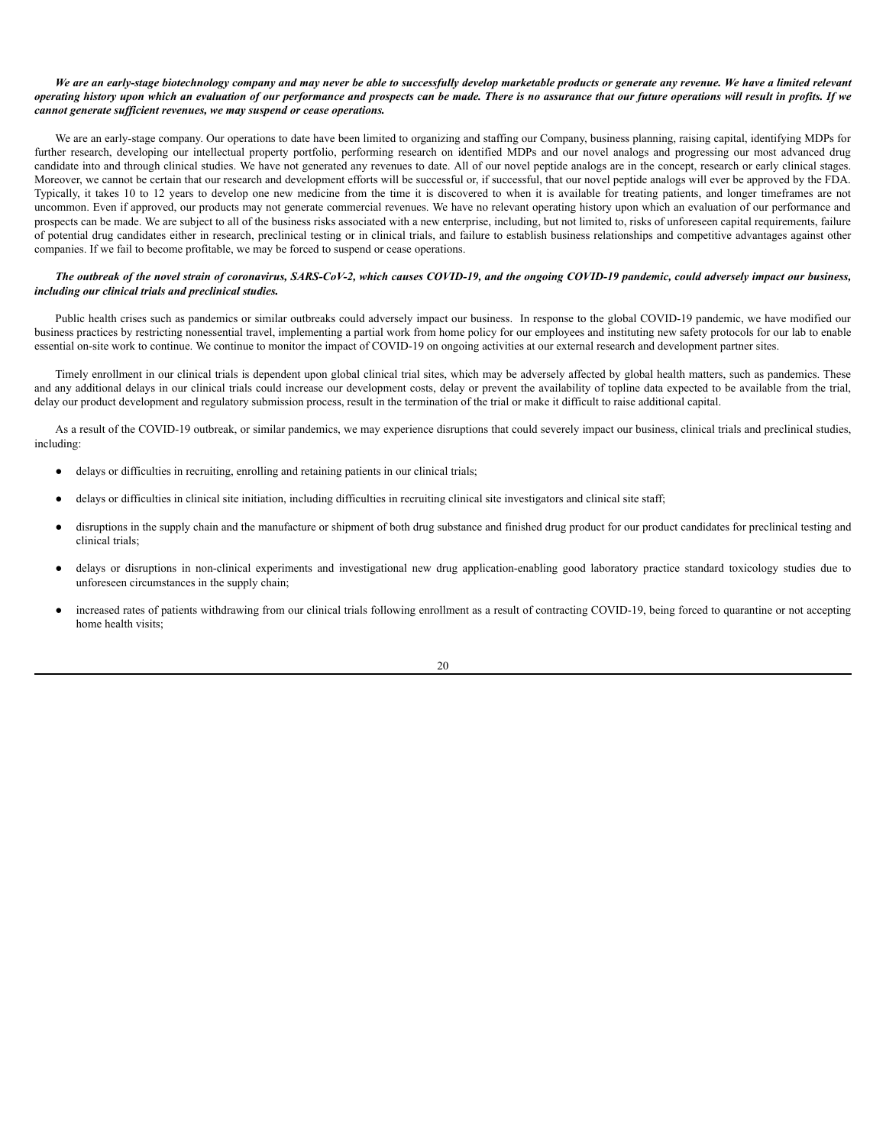## We are an early-stage biotechnology company and may never be able to successfully develop marketable products or generate any revenue. We have a limited relevant operating history upon which an evaluation of our performance and prospects can be made. There is no assurance that our future operations will result in profits. If we *cannot generate suf icient revenues, we may suspend or cease operations.*

We are an early-stage company. Our operations to date have been limited to organizing and staffing our Company, business planning, raising capital, identifying MDPs for further research, developing our intellectual property portfolio, performing research on identified MDPs and our novel analogs and progressing our most advanced drug candidate into and through clinical studies. We have not generated any revenues to date. All of our novel peptide analogs are in the concept, research or early clinical stages. Moreover, we cannot be certain that our research and development efforts will be successful or, if successful, that our novel peptide analogs will ever be approved by the FDA. Typically, it takes 10 to 12 years to develop one new medicine from the time it is discovered to when it is available for treating patients, and longer timeframes are not uncommon. Even if approved, our products may not generate commercial revenues. We have no relevant operating history upon which an evaluation of our performance and prospects can be made. We are subject to all of the business risks associated with a new enterprise, including, but not limited to, risks of unforeseen capital requirements, failure of potential drug candidates either in research, preclinical testing or in clinical trials, and failure to establish business relationships and competitive advantages against other companies. If we fail to become profitable, we may be forced to suspend or cease operations.

## The outbreak of the novel strain of coronavirus, SARS-CoV-2, which causes COVID-19, and the ongoing COVID-19 pandemic, could adversely impact our business, *including our clinical trials and preclinical studies.*

Public health crises such as pandemics or similar outbreaks could adversely impact our business. In response to the global COVID-19 pandemic, we have modified our business practices by restricting nonessential travel, implementing a partial work from home policy for our employees and instituting new safety protocols for our lab to enable essential on-site work to continue. We continue to monitor the impact of COVID-19 on ongoing activities at our external research and development partner sites.

Timely enrollment in our clinical trials is dependent upon global clinical trial sites, which may be adversely affected by global health matters, such as pandemics. These and any additional delays in our clinical trials could increase our development costs, delay or prevent the availability of topline data expected to be available from the trial, delay our product development and regulatory submission process, result in the termination of the trial or make it difficult to raise additional capital.

As a result of the COVID-19 outbreak, or similar pandemics, we may experience disruptions that could severely impact our business, clinical trials and preclinical studies, including:

- delays or difficulties in recruiting, enrolling and retaining patients in our clinical trials;
- delays or difficulties in clinical site initiation, including difficulties in recruiting clinical site investigators and clinical site staff;
- disruptions in the supply chain and the manufacture or shipment of both drug substance and finished drug product for our product candidates for preclinical testing and clinical trials;
- delays or disruptions in non-clinical experiments and investigational new drug application-enabling good laboratory practice standard toxicology studies due to unforeseen circumstances in the supply chain;
- increased rates of patients withdrawing from our clinical trials following enrollment as a result of contracting COVID-19, being forced to quarantine or not accepting home health visits;

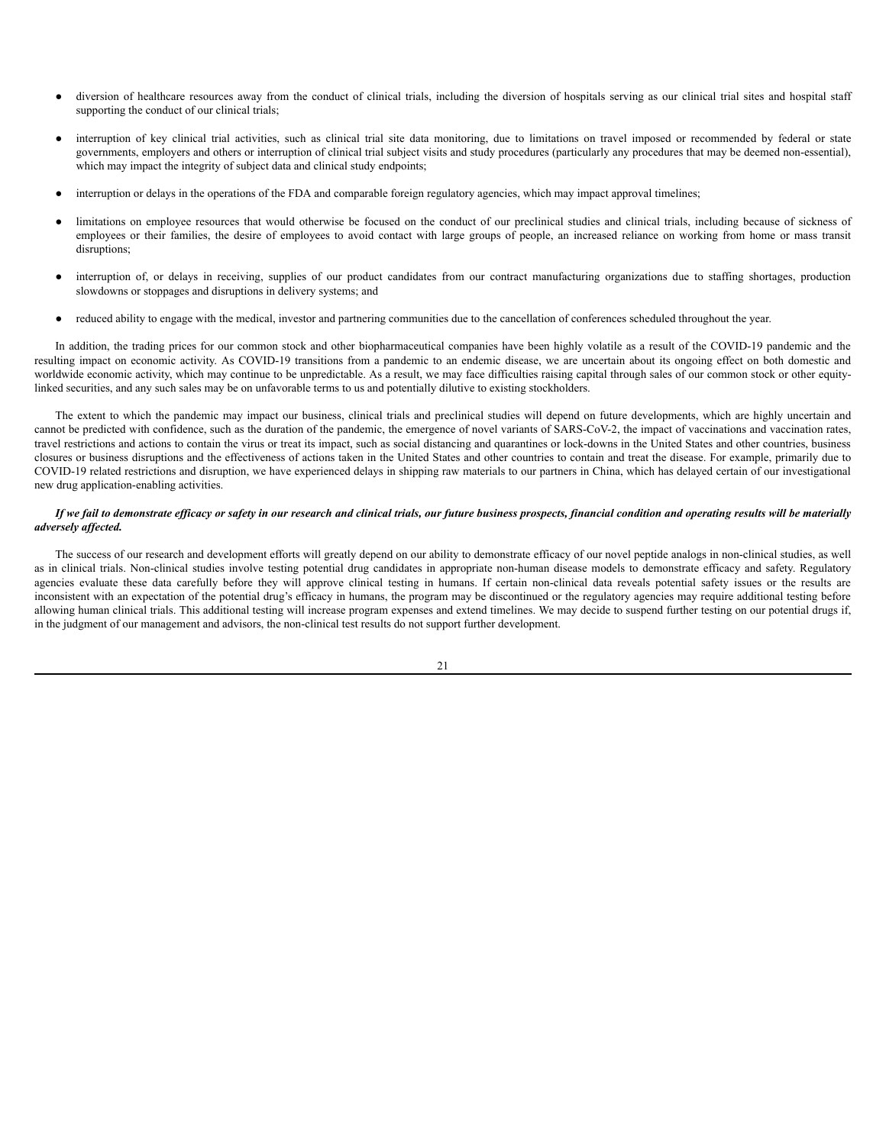- diversion of healthcare resources away from the conduct of clinical trials, including the diversion of hospitals serving as our clinical trial sites and hospital staff supporting the conduct of our clinical trials;
- interruption of key clinical trial activities, such as clinical trial site data monitoring, due to limitations on travel imposed or recommended by federal or state governments, employers and others or interruption of clinical trial subject visits and study procedures (particularly any procedures that may be deemed non-essential), which may impact the integrity of subject data and clinical study endpoints;
- interruption or delays in the operations of the FDA and comparable foreign regulatory agencies, which may impact approval timelines;
- limitations on employee resources that would otherwise be focused on the conduct of our preclinical studies and clinical trials, including because of sickness of employees or their families, the desire of employees to avoid contact with large groups of people, an increased reliance on working from home or mass transit disruptions;
- interruption of, or delays in receiving, supplies of our product candidates from our contract manufacturing organizations due to staffing shortages, production slowdowns or stoppages and disruptions in delivery systems; and
- reduced ability to engage with the medical, investor and partnering communities due to the cancellation of conferences scheduled throughout the year.

In addition, the trading prices for our common stock and other biopharmaceutical companies have been highly volatile as a result of the COVID-19 pandemic and the resulting impact on economic activity. As COVID-19 transitions from a pandemic to an endemic disease, we are uncertain about its ongoing effect on both domestic and worldwide economic activity, which may continue to be unpredictable. As a result, we may face difficulties raising capital through sales of our common stock or other equitylinked securities, and any such sales may be on unfavorable terms to us and potentially dilutive to existing stockholders.

The extent to which the pandemic may impact our business, clinical trials and preclinical studies will depend on future developments, which are highly uncertain and cannot be predicted with confidence, such as the duration of the pandemic, the emergence of novel variants of SARS-CoV-2, the impact of vaccinations and vaccination rates, travel restrictions and actions to contain the virus or treat its impact, such as social distancing and quarantines or lock-downs in the United States and other countries, business closures or business disruptions and the effectiveness of actions taken in the United States and other countries to contain and treat the disease. For example, primarily due to COVID-19 related restrictions and disruption, we have experienced delays in shipping raw materials to our partners in China, which has delayed certain of our investigational new drug application-enabling activities.

## If we fail to demonstrate efficacy or safety in our research and clinical trials, our future business prospects, financial condition and operating results will be materially *adversely af ected.*

The success of our research and development efforts will greatly depend on our ability to demonstrate efficacy of our novel peptide analogs in non-clinical studies, as well as in clinical trials. Non-clinical studies involve testing potential drug candidates in appropriate non-human disease models to demonstrate efficacy and safety. Regulatory agencies evaluate these data carefully before they will approve clinical testing in humans. If certain non-clinical data reveals potential safety issues or the results are inconsistent with an expectation of the potential drug's efficacy in humans, the program may be discontinued or the regulatory agencies may require additional testing before allowing human clinical trials. This additional testing will increase program expenses and extend timelines. We may decide to suspend further testing on our potential drugs if, in the judgment of our management and advisors, the non-clinical test results do not support further development.

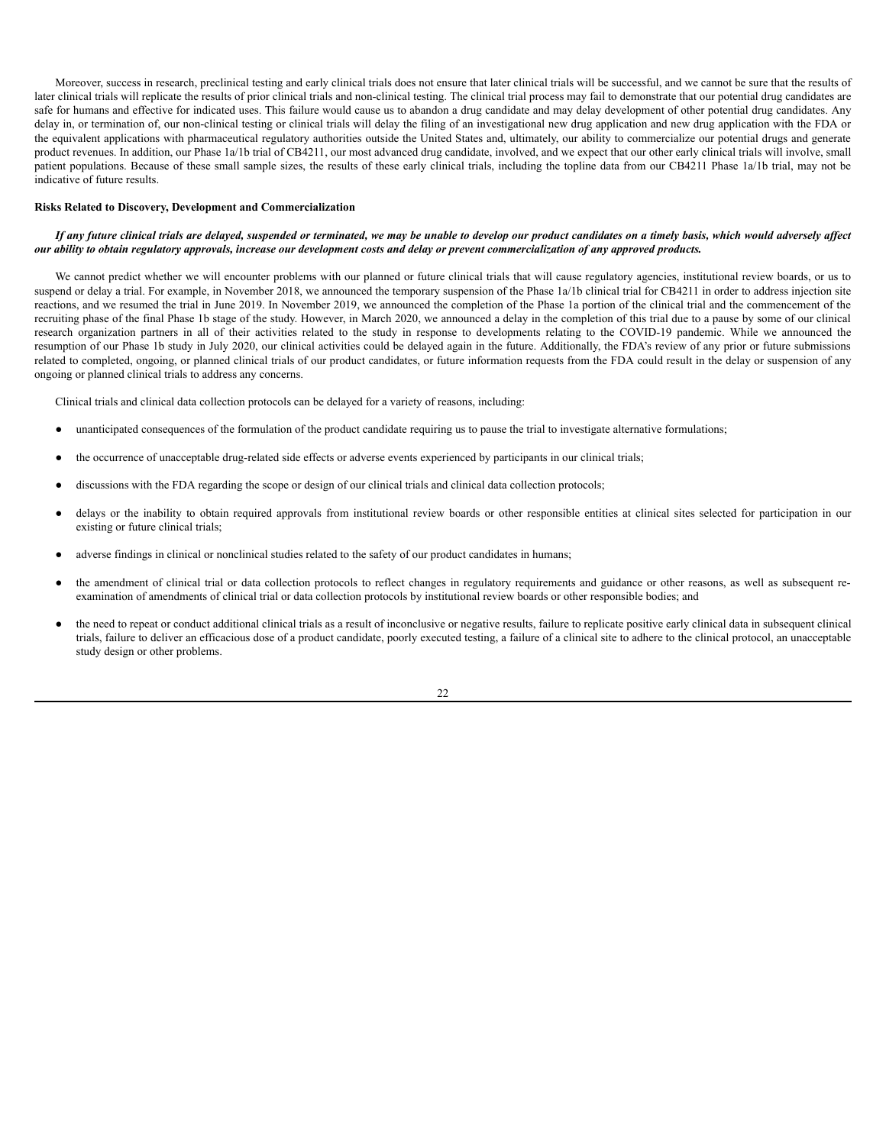Moreover, success in research, preclinical testing and early clinical trials does not ensure that later clinical trials will be successful, and we cannot be sure that the results of later clinical trials will replicate the results of prior clinical trials and non-clinical testing. The clinical trial process may fail to demonstrate that our potential drug candidates are safe for humans and effective for indicated uses. This failure would cause us to abandon a drug candidate and may delay development of other potential drug candidates. Any delay in, or termination of, our non-clinical testing or clinical trials will delay the filing of an investigational new drug application and new drug application with the FDA or the equivalent applications with pharmaceutical regulatory authorities outside the United States and, ultimately, our ability to commercialize our potential drugs and generate product revenues. In addition, our Phase 1a/1b trial of CB4211, our most advanced drug candidate, involved, and we expect that our other early clinical trials will involve, small patient populations. Because of these small sample sizes, the results of these early clinical trials, including the topline data from our CB4211 Phase 1a/1b trial, may not be indicative of future results.

### **Risks Related to Discovery, Development and Commercialization**

## If any future clinical trials are delayed, suspended or terminated, we may be unable to develop our product candidates on a timely basis, which would adversely affect our ability to obtain regulatory approvals, increase our development costs and delay or prevent commercialization of any approved products.

We cannot predict whether we will encounter problems with our planned or future clinical trials that will cause regulatory agencies, institutional review boards, or us to suspend or delay a trial. For example, in November 2018, we announced the temporary suspension of the Phase 1a/1b clinical trial for CB4211 in order to address injection site reactions, and we resumed the trial in June 2019. In November 2019, we announced the completion of the Phase 1a portion of the clinical trial and the commencement of the recruiting phase of the final Phase 1b stage of the study. However, in March 2020, we announced a delay in the completion of this trial due to a pause by some of our clinical research organization partners in all of their activities related to the study in response to developments relating to the COVID-19 pandemic. While we announced the resumption of our Phase 1b study in July 2020, our clinical activities could be delayed again in the future. Additionally, the FDA's review of any prior or future submissions related to completed, ongoing, or planned clinical trials of our product candidates, or future information requests from the FDA could result in the delay or suspension of any ongoing or planned clinical trials to address any concerns.

Clinical trials and clinical data collection protocols can be delayed for a variety of reasons, including:

- unanticipated consequences of the formulation of the product candidate requiring us to pause the trial to investigate alternative formulations;
- the occurrence of unacceptable drug-related side effects or adverse events experienced by participants in our clinical trials;
- discussions with the FDA regarding the scope or design of our clinical trials and clinical data collection protocols;
- delays or the inability to obtain required approvals from institutional review boards or other responsible entities at clinical sites selected for participation in our existing or future clinical trials;
- adverse findings in clinical or nonclinical studies related to the safety of our product candidates in humans;
- the amendment of clinical trial or data collection protocols to reflect changes in regulatory requirements and guidance or other reasons, as well as subsequent reexamination of amendments of clinical trial or data collection protocols by institutional review boards or other responsible bodies; and
- the need to repeat or conduct additional clinical trials as a result of inconclusive or negative results, failure to replicate positive early clinical data in subsequent clinical trials, failure to deliver an efficacious dose of a product candidate, poorly executed testing, a failure of a clinical site to adhere to the clinical protocol, an unacceptable study design or other problems.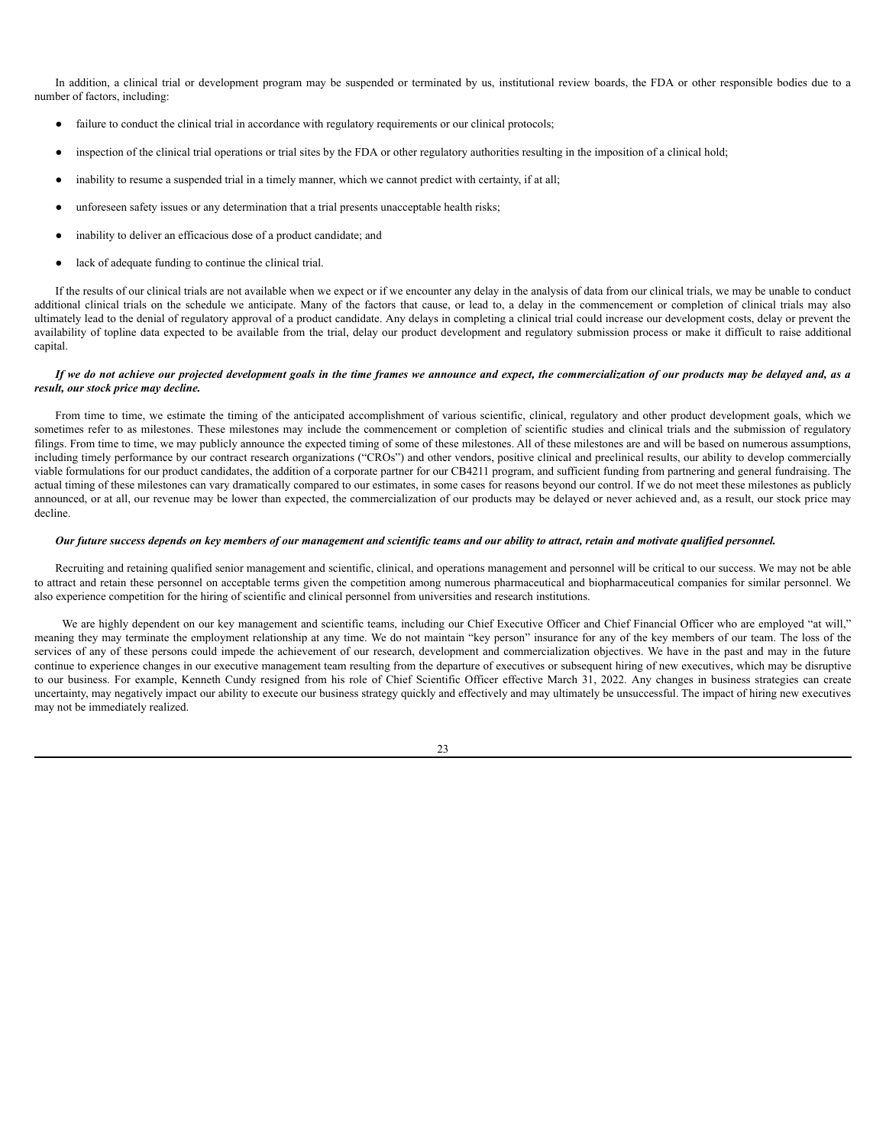In addition, a clinical trial or development program may be suspended or terminated by us, institutional review boards, the FDA or other responsible bodies due to a number of factors, including:

- failure to conduct the clinical trial in accordance with regulatory requirements or our clinical protocols;
- inspection of the clinical trial operations or trial sites by the FDA or other regulatory authorities resulting in the imposition of a clinical hold;
- inability to resume a suspended trial in a timely manner, which we cannot predict with certainty, if at all;
- unforeseen safety issues or any determination that a trial presents unacceptable health risks;
- inability to deliver an efficacious dose of a product candidate; and
- lack of adequate funding to continue the clinical trial.

If the results of our clinical trials are not available when we expect or if we encounter any delay in the analysis of data from our clinical trials, we may be unable to conduct additional clinical trials on the schedule we anticipate. Many of the factors that cause, or lead to, a delay in the commencement or completion of clinical trials may also ultimately lead to the denial of regulatory approval of a product candidate. Any delays in completing a clinical trial could increase our development costs, delay or prevent the availability of topline data expected to be available from the trial, delay our product development and regulatory submission process or make it difficult to raise additional capital.

## If we do not achieve our projected development goals in the time frames we announce and expect, the commercialization of our products may be delayed and, as a *result, our stock price may decline.*

From time to time, we estimate the timing of the anticipated accomplishment of various scientific, clinical, regulatory and other product development goals, which we sometimes refer to as milestones. These milestones may include the commencement or completion of scientific studies and clinical trials and the submission of regulatory filings. From time to time, we may publicly announce the expected timing of some of these milestones. All of these milestones are and will be based on numerous assumptions, including timely performance by our contract research organizations ("CROs") and other vendors, positive clinical and preclinical results, our ability to develop commercially viable formulations for our product candidates, the addition of a corporate partner for our CB4211 program, and sufficient funding from partnering and general fundraising. The actual timing of these milestones can vary dramatically compared to our estimates, in some cases for reasons beyond our control. If we do not meet these milestones as publicly announced, or at all, our revenue may be lower than expected, the commercialization of our products may be delayed or never achieved and, as a result, our stock price may decline.

## Our future success depends on key members of our management and scientific teams and our ability to attract, retain and motivate qualified personnel.

Recruiting and retaining qualified senior management and scientific, clinical, and operations management and personnel will be critical to our success. We may not be able to attract and retain these personnel on acceptable terms given the competition among numerous pharmaceutical and biopharmaceutical companies for similar personnel. We also experience competition for the hiring of scientific and clinical personnel from universities and research institutions.

We are highly dependent on our key management and scientific teams, including our Chief Executive Officer and Chief Financial Officer who are employed "at will," meaning they may terminate the employment relationship at any time. We do not maintain "key person" insurance for any of the key members of our team. The loss of the services of any of these persons could impede the achievement of our research, development and commercialization objectives. We have in the past and may in the future continue to experience changes in our executive management team resulting from the departure of executives or subsequent hiring of new executives, which may be disruptive to our business. For example, Kenneth Cundy resigned from his role of Chief Scientific Officer effective March 31, 2022. Any changes in business strategies can create uncertainty, may negatively impact our ability to execute our business strategy quickly and effectively and may ultimately be unsuccessful. The impact of hiring new executives may not be immediately realized.

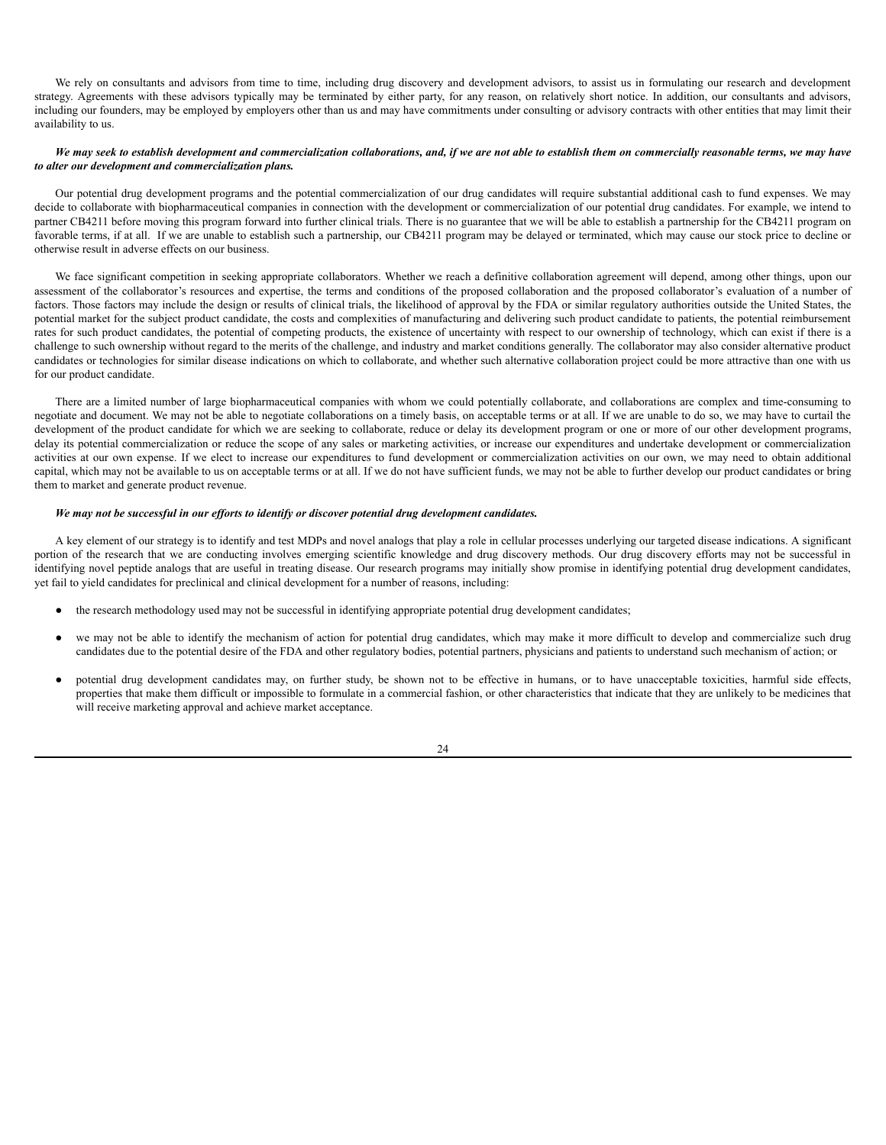We rely on consultants and advisors from time to time, including drug discovery and development advisors, to assist us in formulating our research and development strategy. Agreements with these advisors typically may be terminated by either party, for any reason, on relatively short notice. In addition, our consultants and advisors, including our founders, may be employed by employers other than us and may have commitments under consulting or advisory contracts with other entities that may limit their availability to us.

## We may seek to establish development and commercialization collaborations, and, if we are not able to establish them on commercially reasonable terms, we may have *to alter our development and commercialization plans.*

Our potential drug development programs and the potential commercialization of our drug candidates will require substantial additional cash to fund expenses. We may decide to collaborate with biopharmaceutical companies in connection with the development or commercialization of our potential drug candidates. For example, we intend to partner CB4211 before moving this program forward into further clinical trials. There is no guarantee that we will be able to establish a partnership for the CB4211 program on favorable terms, if at all. If we are unable to establish such a partnership, our CB4211 program may be delayed or terminated, which may cause our stock price to decline or otherwise result in adverse effects on our business.

We face significant competition in seeking appropriate collaborators. Whether we reach a definitive collaboration agreement will depend, among other things, upon our assessment of the collaborator's resources and expertise, the terms and conditions of the proposed collaboration and the proposed collaborator's evaluation of a number of factors. Those factors may include the design or results of clinical trials, the likelihood of approval by the FDA or similar regulatory authorities outside the United States, the potential market for the subject product candidate, the costs and complexities of manufacturing and delivering such product candidate to patients, the potential reimbursement rates for such product candidates, the potential of competing products, the existence of uncertainty with respect to our ownership of technology, which can exist if there is a challenge to such ownership without regard to the merits of the challenge, and industry and market conditions generally. The collaborator may also consider alternative product candidates or technologies for similar disease indications on which to collaborate, and whether such alternative collaboration project could be more attractive than one with us for our product candidate.

There are a limited number of large biopharmaceutical companies with whom we could potentially collaborate, and collaborations are complex and time-consuming to negotiate and document. We may not be able to negotiate collaborations on a timely basis, on acceptable terms or at all. If we are unable to do so, we may have to curtail the development of the product candidate for which we are seeking to collaborate, reduce or delay its development program or one or more of our other development programs, delay its potential commercialization or reduce the scope of any sales or marketing activities, or increase our expenditures and undertake development or commercialization activities at our own expense. If we elect to increase our expenditures to fund development or commercialization activities on our own, we may need to obtain additional capital, which may not be available to us on acceptable terms or at all. If we do not have sufficient funds, we may not be able to further develop our product candidates or bring them to market and generate product revenue.

## *We may not be successful in our ef orts to identify or discover potential drug development candidates.*

A key element of our strategy is to identify and test MDPs and novel analogs that play a role in cellular processes underlying our targeted disease indications. A significant portion of the research that we are conducting involves emerging scientific knowledge and drug discovery methods. Our drug discovery efforts may not be successful in identifying novel peptide analogs that are useful in treating disease. Our research programs may initially show promise in identifying potential drug development candidates, yet fail to yield candidates for preclinical and clinical development for a number of reasons, including:

- the research methodology used may not be successful in identifying appropriate potential drug development candidates;
- we may not be able to identify the mechanism of action for potential drug candidates, which may make it more difficult to develop and commercialize such drug candidates due to the potential desire of the FDA and other regulatory bodies, potential partners, physicians and patients to understand such mechanism of action; or
- potential drug development candidates may, on further study, be shown not to be effective in humans, or to have unacceptable toxicities, harmful side effects, properties that make them difficult or impossible to formulate in a commercial fashion, or other characteristics that indicate that they are unlikely to be medicines that will receive marketing approval and achieve market acceptance.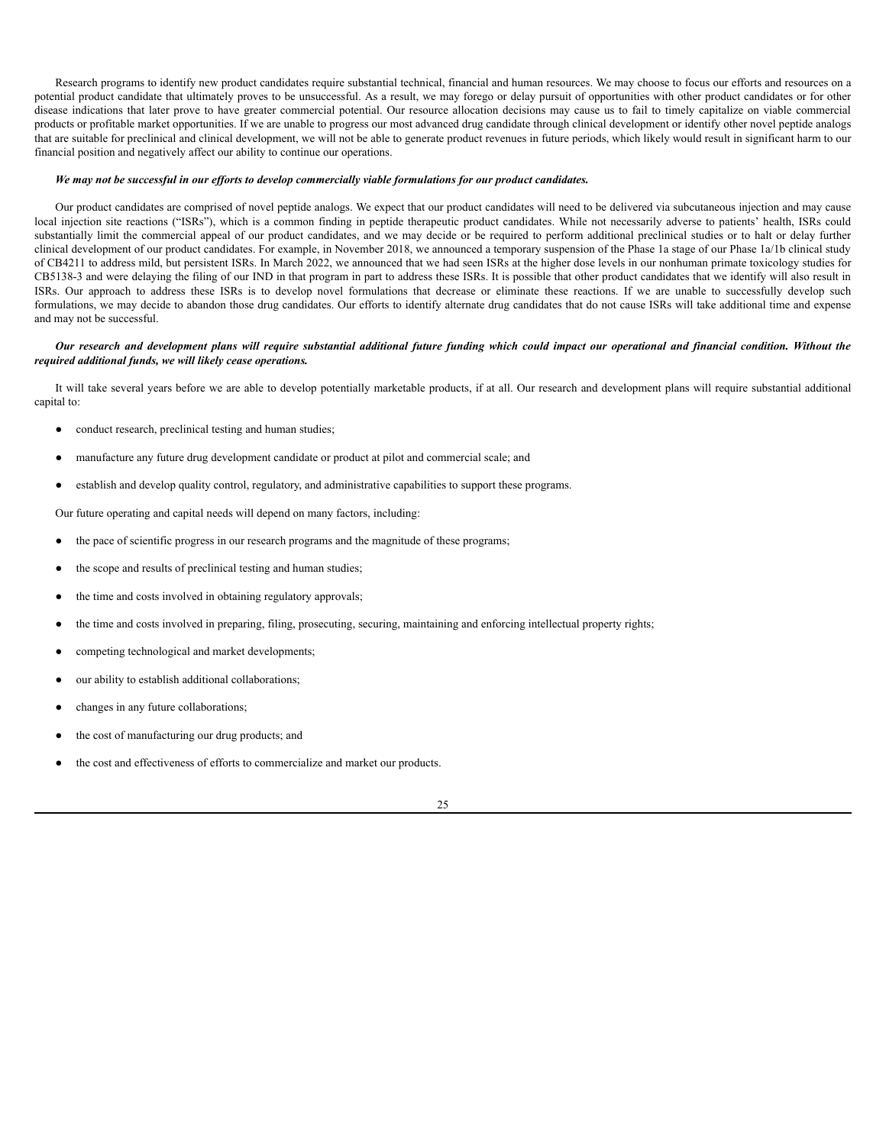Research programs to identify new product candidates require substantial technical, financial and human resources. We may choose to focus our efforts and resources on a potential product candidate that ultimately proves to be unsuccessful. As a result, we may forego or delay pursuit of opportunities with other product candidates or for other disease indications that later prove to have greater commercial potential. Our resource allocation decisions may cause us to fail to timely capitalize on viable commercial products or profitable market opportunities. If we are unable to progress our most advanced drug candidate through clinical development or identify other novel peptide analogs that are suitable for preclinical and clinical development, we will not be able to generate product revenues in future periods, which likely would result in significant harm to our financial position and negatively affect our ability to continue our operations.

## We may not be successful in our efforts to develop commercially viable formulations for our product candidates.

Our product candidates are comprised of novel peptide analogs. We expect that our product candidates will need to be delivered via subcutaneous injection and may cause local injection site reactions ("ISRs"), which is a common finding in peptide therapeutic product candidates. While not necessarily adverse to patients' health, ISRs could substantially limit the commercial appeal of our product candidates, and we may decide or be required to perform additional preclinical studies or to halt or delay further clinical development of our product candidates. For example, in November 2018, we announced a temporary suspension of the Phase 1a stage of our Phase 1a/1b clinical study of CB4211 to address mild, but persistent ISRs. In March 2022, we announced that we had seen ISRs at the higher dose levels in our nonhuman primate toxicology studies for CB5138-3 and were delaying the filing of our IND in that program in part to address these ISRs. It is possible that other product candidates that we identify will also result in ISRs. Our approach to address these ISRs is to develop novel formulations that decrease or eliminate these reactions. If we are unable to successfully develop such formulations, we may decide to abandon those drug candidates. Our efforts to identify alternate drug candidates that do not cause ISRs will take additional time and expense and may not be successful.

### Our research and development plans will require substantial additional future funding which could impact our operational and financial condition. Without the *required additional funds, we will likely cease operations.*

It will take several years before we are able to develop potentially marketable products, if at all. Our research and development plans will require substantial additional capital to:

- conduct research, preclinical testing and human studies;
- manufacture any future drug development candidate or product at pilot and commercial scale; and
- establish and develop quality control, regulatory, and administrative capabilities to support these programs.

Our future operating and capital needs will depend on many factors, including:

- the pace of scientific progress in our research programs and the magnitude of these programs;
- the scope and results of preclinical testing and human studies;
- the time and costs involved in obtaining regulatory approvals;
- the time and costs involved in preparing, filing, prosecuting, securing, maintaining and enforcing intellectual property rights;
- competing technological and market developments;
- our ability to establish additional collaborations;
- changes in any future collaborations;
- the cost of manufacturing our drug products; and
- the cost and effectiveness of efforts to commercialize and market our products.

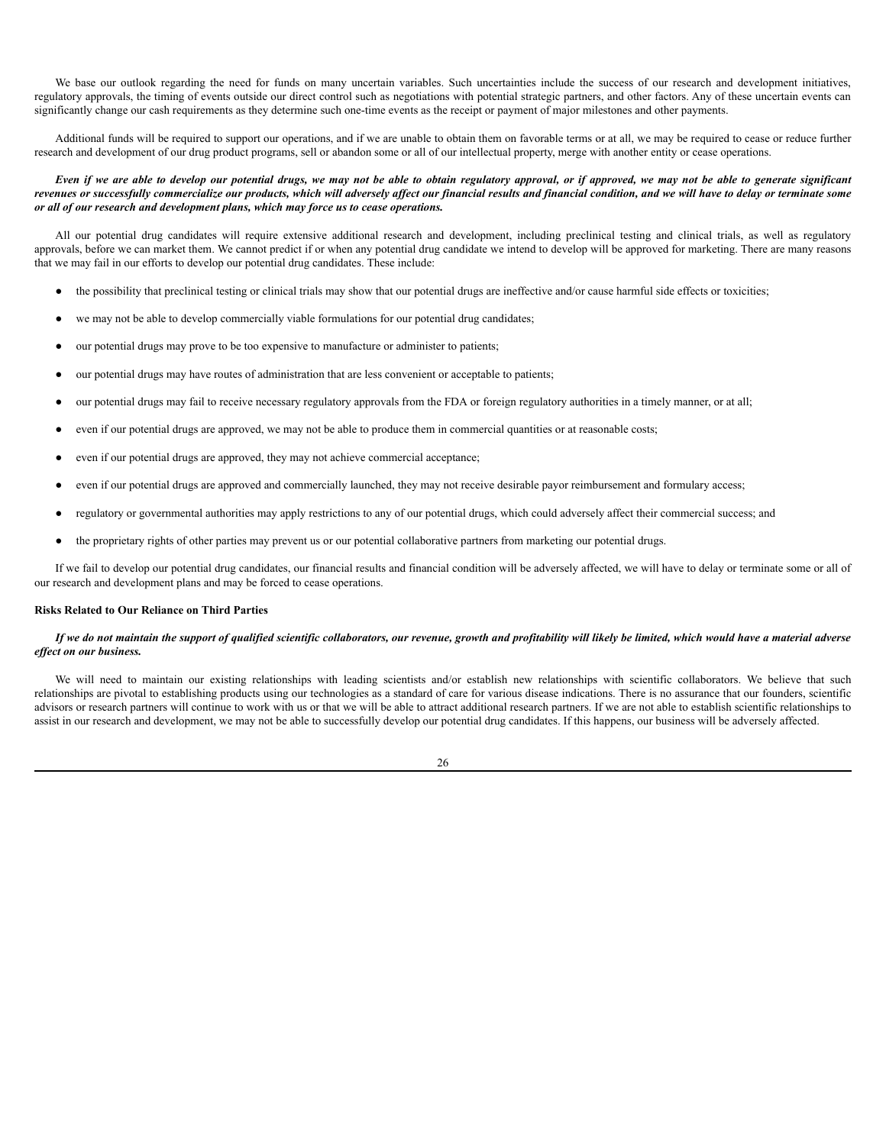We base our outlook regarding the need for funds on many uncertain variables. Such uncertainties include the success of our research and development initiatives, regulatory approvals, the timing of events outside our direct control such as negotiations with potential strategic partners, and other factors. Any of these uncertain events can significantly change our cash requirements as they determine such one-time events as the receipt or payment of major milestones and other payments.

Additional funds will be required to support our operations, and if we are unable to obtain them on favorable terms or at all, we may be required to cease or reduce further research and development of our drug product programs, sell or abandon some or all of our intellectual property, merge with another entity or cease operations.

## Even if we are able to develop our potential drugs, we may not be able to obtain regulatory approval, or if approved, we may not be able to generate significant revenues or successfully commercialize our products, which will adversely affect our financial results and financial condition, and we will have to delay or terminate some *or all of our research and development plans, which may force us to cease operations.*

All our potential drug candidates will require extensive additional research and development, including preclinical testing and clinical trials, as well as regulatory approvals, before we can market them. We cannot predict if or when any potential drug candidate we intend to develop will be approved for marketing. There are many reasons that we may fail in our efforts to develop our potential drug candidates. These include:

- the possibility that preclinical testing or clinical trials may show that our potential drugs are ineffective and/or cause harmful side effects or toxicities;
- we may not be able to develop commercially viable formulations for our potential drug candidates;
- our potential drugs may prove to be too expensive to manufacture or administer to patients;
- our potential drugs may have routes of administration that are less convenient or acceptable to patients;
- our potential drugs may fail to receive necessary regulatory approvals from the FDA or foreign regulatory authorities in a timely manner, or at all;
- even if our potential drugs are approved, we may not be able to produce them in commercial quantities or at reasonable costs;
- even if our potential drugs are approved, they may not achieve commercial acceptance;
- even if our potential drugs are approved and commercially launched, they may not receive desirable payor reimbursement and formulary access;
- regulatory or governmental authorities may apply restrictions to any of our potential drugs, which could adversely affect their commercial success; and
- the proprietary rights of other parties may prevent us or our potential collaborative partners from marketing our potential drugs.

If we fail to develop our potential drug candidates, our financial results and financial condition will be adversely affected, we will have to delay or terminate some or all of our research and development plans and may be forced to cease operations.

### **Risks Related to Our Reliance on Third Parties**

## If we do not maintain the support of qualified scientific collaborators, our revenue, growth and profitability will likely be limited, which would have a material adverse *ef ect on our business.*

We will need to maintain our existing relationships with leading scientists and/or establish new relationships with scientific collaborators. We believe that such relationships are pivotal to establishing products using our technologies as a standard of care for various disease indications. There is no assurance that our founders, scientific advisors or research partners will continue to work with us or that we will be able to attract additional research partners. If we are not able to establish scientific relationships to assist in our research and development, we may not be able to successfully develop our potential drug candidates. If this happens, our business will be adversely affected.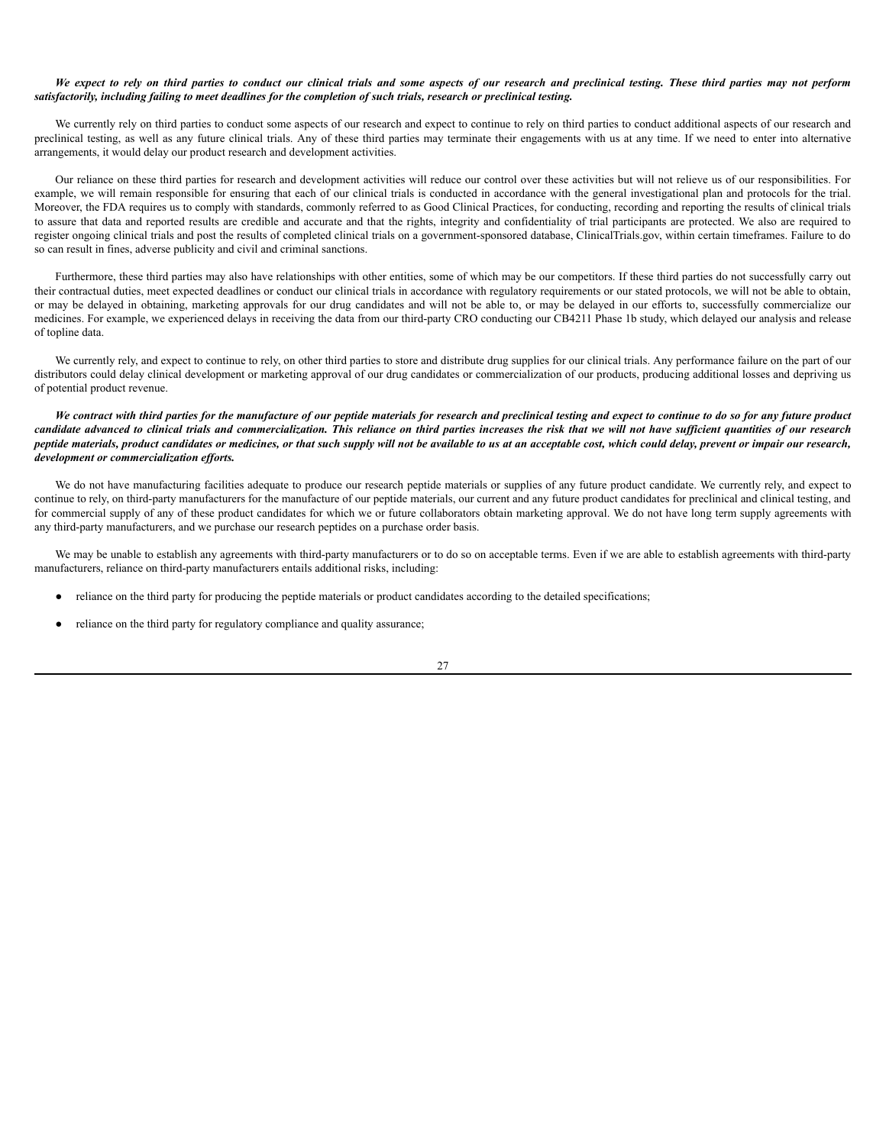## We expect to rely on third parties to conduct our clinical trials and some aspects of our research and preclinical testing. These third parties may not perform satisfactorily, including failing to meet deadlines for the completion of such trials, research or preclinical testing.

We currently rely on third parties to conduct some aspects of our research and expect to continue to rely on third parties to conduct additional aspects of our research and preclinical testing, as well as any future clinical trials. Any of these third parties may terminate their engagements with us at any time. If we need to enter into alternative arrangements, it would delay our product research and development activities.

Our reliance on these third parties for research and development activities will reduce our control over these activities but will not relieve us of our responsibilities. For example, we will remain responsible for ensuring that each of our clinical trials is conducted in accordance with the general investigational plan and protocols for the trial. Moreover, the FDA requires us to comply with standards, commonly referred to as Good Clinical Practices, for conducting, recording and reporting the results of clinical trials to assure that data and reported results are credible and accurate and that the rights, integrity and confidentiality of trial participants are protected. We also are required to register ongoing clinical trials and post the results of completed clinical trials on a government-sponsored database, ClinicalTrials.gov, within certain timeframes. Failure to do so can result in fines, adverse publicity and civil and criminal sanctions.

Furthermore, these third parties may also have relationships with other entities, some of which may be our competitors. If these third parties do not successfully carry out their contractual duties, meet expected deadlines or conduct our clinical trials in accordance with regulatory requirements or our stated protocols, we will not be able to obtain, or may be delayed in obtaining, marketing approvals for our drug candidates and will not be able to, or may be delayed in our efforts to, successfully commercialize our medicines. For example, we experienced delays in receiving the data from our third-party CRO conducting our CB4211 Phase 1b study, which delayed our analysis and release of topline data.

We currently rely, and expect to continue to rely, on other third parties to store and distribute drug supplies for our clinical trials. Any performance failure on the part of our distributors could delay clinical development or marketing approval of our drug candidates or commercialization of our products, producing additional losses and depriving us of potential product revenue.

## We contract with third parties for the manufacture of our peptide materials for research and preclinical testing and expect to continue to do so for any future product candidate advanced to clinical trials and commercialization. This reliance on third parties increases the risk that we will not have sufficient quantities of our research peptide materials, product candidates or medicines, or that such supply will not be available to us at an acceptable cost, which could delay, prevent or impair our research, *development or commercialization ef orts.*

We do not have manufacturing facilities adequate to produce our research peptide materials or supplies of any future product candidate. We currently rely, and expect to continue to rely, on third-party manufacturers for the manufacture of our peptide materials, our current and any future product candidates for preclinical and clinical testing, and for commercial supply of any of these product candidates for which we or future collaborators obtain marketing approval. We do not have long term supply agreements with any third-party manufacturers, and we purchase our research peptides on a purchase order basis.

We may be unable to establish any agreements with third-party manufacturers or to do so on acceptable terms. Even if we are able to establish agreements with third-party manufacturers, reliance on third-party manufacturers entails additional risks, including:

- reliance on the third party for producing the peptide materials or product candidates according to the detailed specifications;
- reliance on the third party for regulatory compliance and quality assurance;

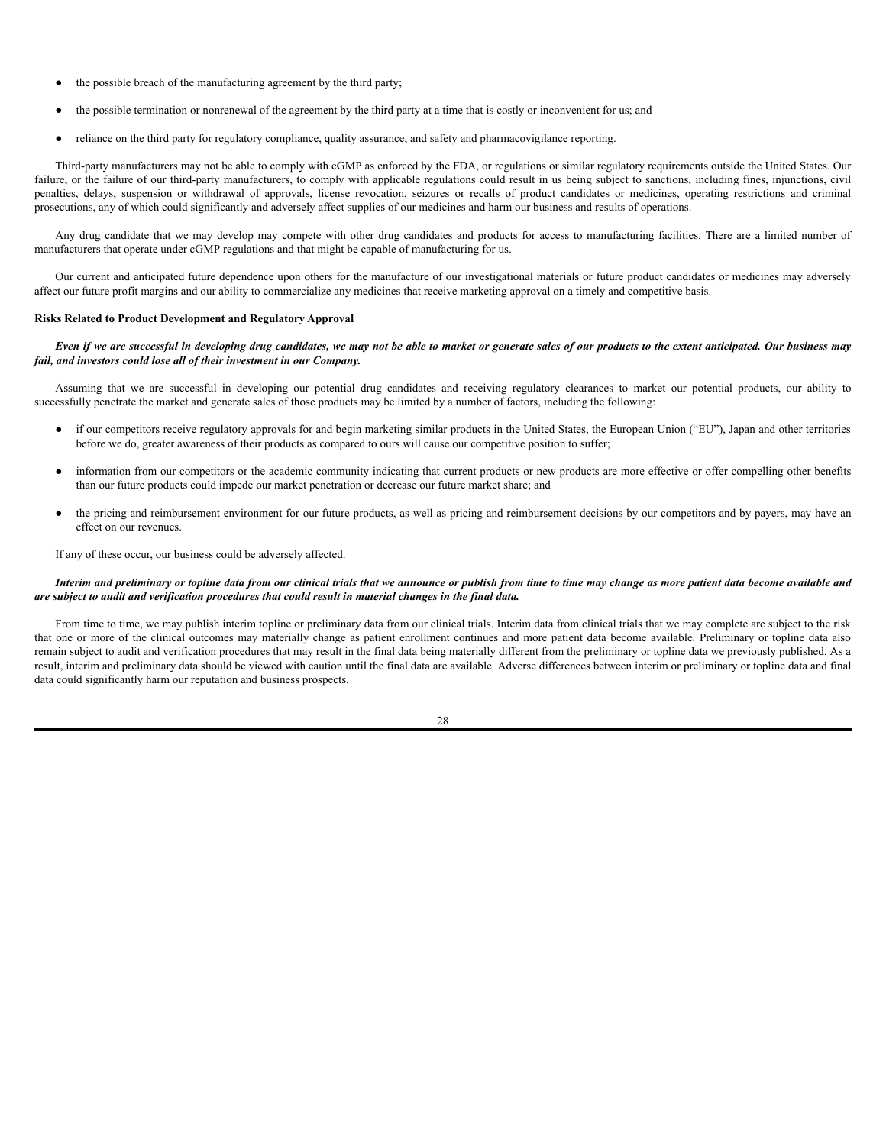- the possible breach of the manufacturing agreement by the third party;
- the possible termination or nonrenewal of the agreement by the third party at a time that is costly or inconvenient for us; and
- reliance on the third party for regulatory compliance, quality assurance, and safety and pharmacovigilance reporting.

Third-party manufacturers may not be able to comply with cGMP as enforced by the FDA, or regulations or similar regulatory requirements outside the United States. Our failure, or the failure of our third-party manufacturers, to comply with applicable regulations could result in us being subject to sanctions, including fines, injunctions, civil penalties, delays, suspension or withdrawal of approvals, license revocation, seizures or recalls of product candidates or medicines, operating restrictions and criminal prosecutions, any of which could significantly and adversely affect supplies of our medicines and harm our business and results of operations.

Any drug candidate that we may develop may compete with other drug candidates and products for access to manufacturing facilities. There are a limited number of manufacturers that operate under cGMP regulations and that might be capable of manufacturing for us.

Our current and anticipated future dependence upon others for the manufacture of our investigational materials or future product candidates or medicines may adversely affect our future profit margins and our ability to commercialize any medicines that receive marketing approval on a timely and competitive basis.

## **Risks Related to Product Development and Regulatory Approval**

Even if we are successful in developing drug candidates, we may not be able to market or generate sales of our products to the extent anticipated. Our business may *fail, and investors could lose all of their investment in our Company.*

Assuming that we are successful in developing our potential drug candidates and receiving regulatory clearances to market our potential products, our ability to successfully penetrate the market and generate sales of those products may be limited by a number of factors, including the following:

- if our competitors receive regulatory approvals for and begin marketing similar products in the United States, the European Union ("EU"), Japan and other territories before we do, greater awareness of their products as compared to ours will cause our competitive position to suffer;
- information from our competitors or the academic community indicating that current products or new products are more effective or offer compelling other benefits than our future products could impede our market penetration or decrease our future market share; and
- the pricing and reimbursement environment for our future products, as well as pricing and reimbursement decisions by our competitors and by payers, may have an effect on our revenues.

If any of these occur, our business could be adversely affected.

### Interim and preliminary or topline data from our clinical trials that we announce or publish from time to time may change as more patient data become available and *are subject to audit and verification procedures that could result in material changes in the final data.*

From time to time, we may publish interim topline or preliminary data from our clinical trials. Interim data from clinical trials that we may complete are subject to the risk that one or more of the clinical outcomes may materially change as patient enrollment continues and more patient data become available. Preliminary or topline data also remain subject to audit and verification procedures that may result in the final data being materially different from the preliminary or topline data we previously published. As a result, interim and preliminary data should be viewed with caution until the final data are available. Adverse differences between interim or preliminary or topline data and final data could significantly harm our reputation and business prospects.

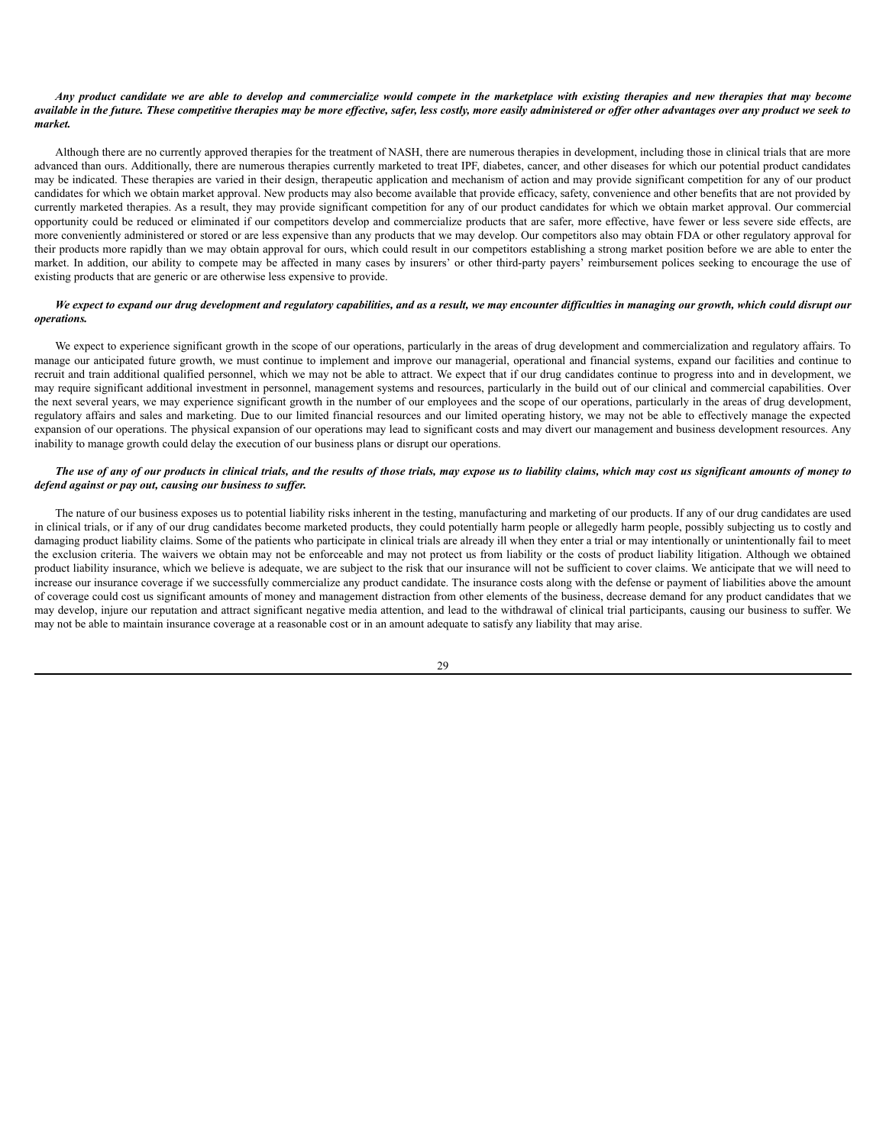## Any product candidate we are able to develop and commercialize would compete in the marketplace with existing therapies and new therapies that may become available in the future. These competitive therapies may be more effective, safer, less costly, more easily administered or offer other advantages over any product we seek to *market.*

Although there are no currently approved therapies for the treatment of NASH, there are numerous therapies in development, including those in clinical trials that are more advanced than ours. Additionally, there are numerous therapies currently marketed to treat IPF, diabetes, cancer, and other diseases for which our potential product candidates may be indicated. These therapies are varied in their design, therapeutic application and mechanism of action and may provide significant competition for any of our product candidates for which we obtain market approval. New products may also become available that provide efficacy, safety, convenience and other benefits that are not provided by currently marketed therapies. As a result, they may provide significant competition for any of our product candidates for which we obtain market approval. Our commercial opportunity could be reduced or eliminated if our competitors develop and commercialize products that are safer, more effective, have fewer or less severe side effects, are more conveniently administered or stored or are less expensive than any products that we may develop. Our competitors also may obtain FDA or other regulatory approval for their products more rapidly than we may obtain approval for ours, which could result in our competitors establishing a strong market position before we are able to enter the market. In addition, our ability to compete may be affected in many cases by insurers' or other third-party payers' reimbursement polices seeking to encourage the use of existing products that are generic or are otherwise less expensive to provide.

## We expect to expand our drug development and regulatory capabilities, and as a result, we may encounter difficulties in managing our growth, which could disrupt our *operations.*

We expect to experience significant growth in the scope of our operations, particularly in the areas of drug development and commercialization and regulatory affairs. To manage our anticipated future growth, we must continue to implement and improve our managerial, operational and financial systems, expand our facilities and continue to recruit and train additional qualified personnel, which we may not be able to attract. We expect that if our drug candidates continue to progress into and in development, we may require significant additional investment in personnel, management systems and resources, particularly in the build out of our clinical and commercial capabilities. Over the next several years, we may experience significant growth in the number of our employees and the scope of our operations, particularly in the areas of drug development, regulatory affairs and sales and marketing. Due to our limited financial resources and our limited operating history, we may not be able to effectively manage the expected expansion of our operations. The physical expansion of our operations may lead to significant costs and may divert our management and business development resources. Any inability to manage growth could delay the execution of our business plans or disrupt our operations.

## The use of any of our products in clinical trials, and the results of those trials, may expose us to liability claims, which may cost us significant amounts of money to *defend against or pay out, causing our business to suf er.*

The nature of our business exposes us to potential liability risks inherent in the testing, manufacturing and marketing of our products. If any of our drug candidates are used in clinical trials, or if any of our drug candidates become marketed products, they could potentially harm people or allegedly harm people, possibly subjecting us to costly and damaging product liability claims. Some of the patients who participate in clinical trials are already ill when they enter a trial or may intentionally or unintentionally fail to meet the exclusion criteria. The waivers we obtain may not be enforceable and may not protect us from liability or the costs of product liability litigation. Although we obtained product liability insurance, which we believe is adequate, we are subject to the risk that our insurance will not be sufficient to cover claims. We anticipate that we will need to increase our insurance coverage if we successfully commercialize any product candidate. The insurance costs along with the defense or payment of liabilities above the amount of coverage could cost us significant amounts of money and management distraction from other elements of the business, decrease demand for any product candidates that we may develop, injure our reputation and attract significant negative media attention, and lead to the withdrawal of clinical trial participants, causing our business to suffer. We may not be able to maintain insurance coverage at a reasonable cost or in an amount adequate to satisfy any liability that may arise.

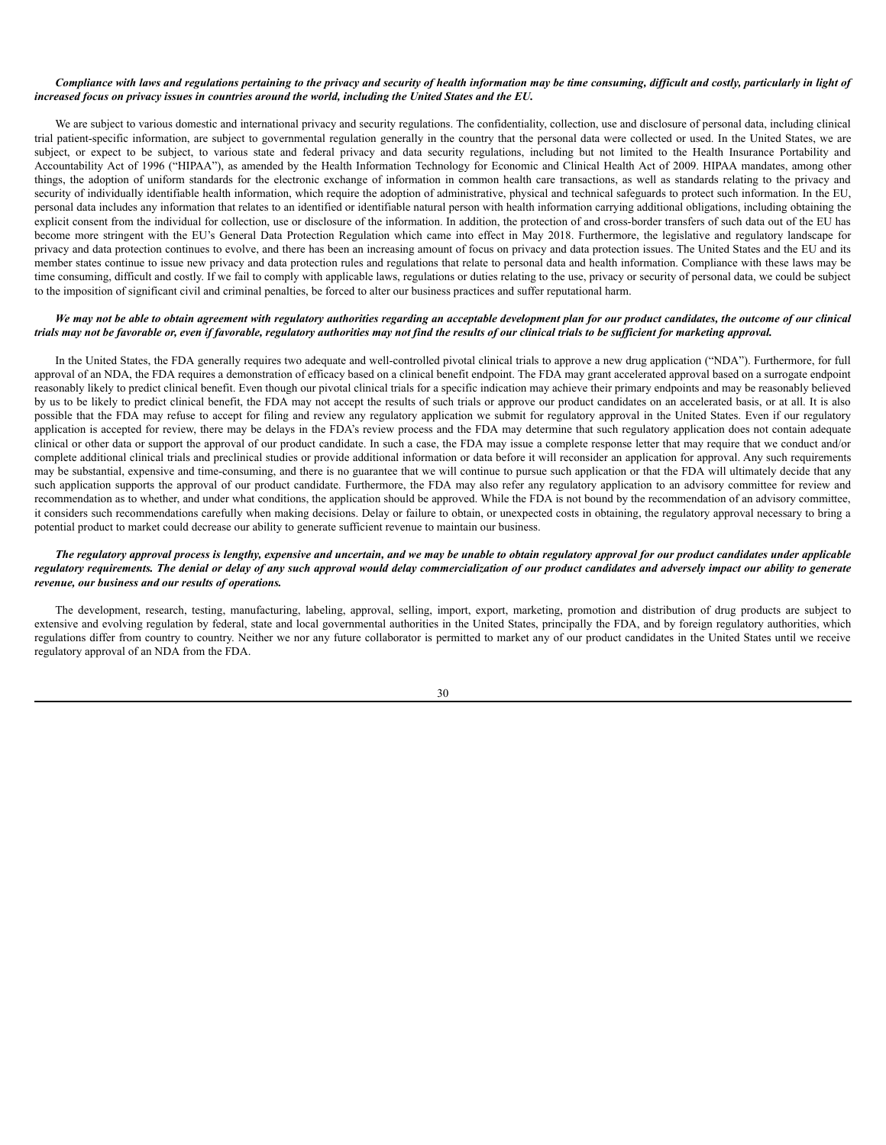## Compliance with laws and regulations pertaining to the privacy and security of health information may be time consuming, difficult and costly, particularly in light of *increased focus on privacy issues in countries around the world, including the United States and the EU.*

We are subject to various domestic and international privacy and security regulations. The confidentiality, collection, use and disclosure of personal data, including clinical trial patient-specific information, are subject to governmental regulation generally in the country that the personal data were collected or used. In the United States, we are subject, or expect to be subject, to various state and federal privacy and data security regulations, including but not limited to the Health Insurance Portability and Accountability Act of 1996 ("HIPAA"), as amended by the Health Information Technology for Economic and Clinical Health Act of 2009. HIPAA mandates, among other things, the adoption of uniform standards for the electronic exchange of information in common health care transactions, as well as standards relating to the privacy and security of individually identifiable health information, which require the adoption of administrative, physical and technical safeguards to protect such information. In the EU, personal data includes any information that relates to an identified or identifiable natural person with health information carrying additional obligations, including obtaining the explicit consent from the individual for collection, use or disclosure of the information. In addition, the protection of and cross-border transfers of such data out of the EU has become more stringent with the EU's General Data Protection Regulation which came into effect in May 2018. Furthermore, the legislative and regulatory landscape for privacy and data protection continues to evolve, and there has been an increasing amount of focus on privacy and data protection issues. The United States and the EU and its member states continue to issue new privacy and data protection rules and regulations that relate to personal data and health information. Compliance with these laws may be time consuming, difficult and costly. If we fail to comply with applicable laws, regulations or duties relating to the use, privacy or security of personal data, we could be subject to the imposition of significant civil and criminal penalties, be forced to alter our business practices and suffer reputational harm.

## We may not be able to obtain agreement with regulatory authorities regarding an acceptable development plan for our product candidates, the outcome of our clinical trials may not be favorable or, even if favorable, regulatory authorities may not find the results of our clinical trials to be sufficient for marketing approval.

In the United States, the FDA generally requires two adequate and well-controlled pivotal clinical trials to approve a new drug application ("NDA"). Furthermore, for full approval of an NDA, the FDA requires a demonstration of efficacy based on a clinical benefit endpoint. The FDA may grant accelerated approval based on a surrogate endpoint reasonably likely to predict clinical benefit. Even though our pivotal clinical trials for a specific indication may achieve their primary endpoints and may be reasonably believed by us to be likely to predict clinical benefit, the FDA may not accept the results of such trials or approve our product candidates on an accelerated basis, or at all. It is also possible that the FDA may refuse to accept for filing and review any regulatory application we submit for regulatory approval in the United States. Even if our regulatory application is accepted for review, there may be delays in the FDA's review process and the FDA may determine that such regulatory application does not contain adequate clinical or other data or support the approval of our product candidate. In such a case, the FDA may issue a complete response letter that may require that we conduct and/or complete additional clinical trials and preclinical studies or provide additional information or data before it will reconsider an application for approval. Any such requirements may be substantial, expensive and time-consuming, and there is no guarantee that we will continue to pursue such application or that the FDA will ultimately decide that any such application supports the approval of our product candidate. Furthermore, the FDA may also refer any regulatory application to an advisory committee for review and recommendation as to whether, and under what conditions, the application should be approved. While the FDA is not bound by the recommendation of an advisory committee, it considers such recommendations carefully when making decisions. Delay or failure to obtain, or unexpected costs in obtaining, the regulatory approval necessary to bring a potential product to market could decrease our ability to generate sufficient revenue to maintain our business.

## The regulatory approval process is lengthy, expensive and uncertain, and we may be unable to obtain regulatory approval for our product candidates under applicable regulatory requirements. The denial or delay of any such approval would delay commercialization of our product candidates and adversely impact our ability to generate *revenue, our business and our results of operations.*

The development, research, testing, manufacturing, labeling, approval, selling, import, export, marketing, promotion and distribution of drug products are subject to extensive and evolving regulation by federal, state and local governmental authorities in the United States, principally the FDA, and by foreign regulatory authorities, which regulations differ from country to country. Neither we nor any future collaborator is permitted to market any of our product candidates in the United States until we receive regulatory approval of an NDA from the FDA.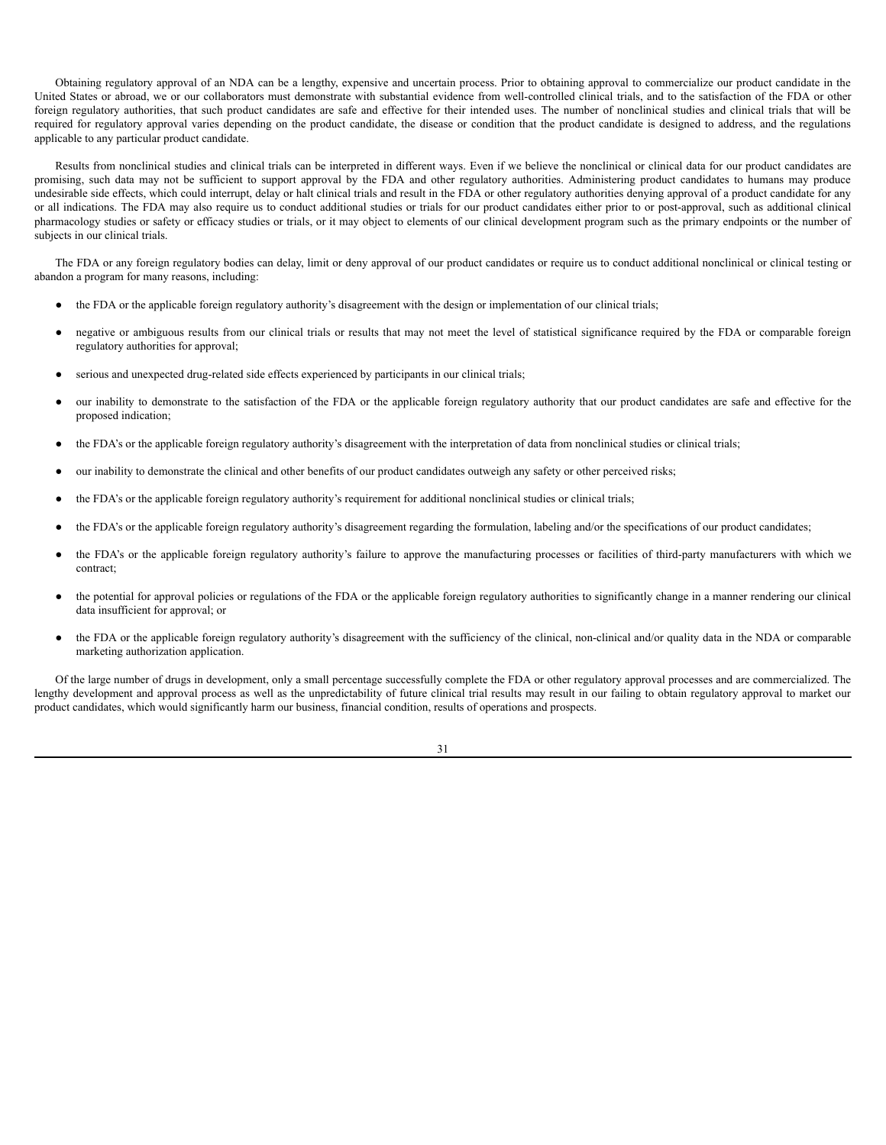Obtaining regulatory approval of an NDA can be a lengthy, expensive and uncertain process. Prior to obtaining approval to commercialize our product candidate in the United States or abroad, we or our collaborators must demonstrate with substantial evidence from well-controlled clinical trials, and to the satisfaction of the FDA or other foreign regulatory authorities, that such product candidates are safe and effective for their intended uses. The number of nonclinical studies and clinical trials that will be required for regulatory approval varies depending on the product candidate, the disease or condition that the product candidate is designed to address, and the regulations applicable to any particular product candidate.

Results from nonclinical studies and clinical trials can be interpreted in different ways. Even if we believe the nonclinical or clinical data for our product candidates are promising, such data may not be sufficient to support approval by the FDA and other regulatory authorities. Administering product candidates to humans may produce undesirable side effects, which could interrupt, delay or halt clinical trials and result in the FDA or other regulatory authorities denying approval of a product candidate for any or all indications. The FDA may also require us to conduct additional studies or trials for our product candidates either prior to or post-approval, such as additional clinical pharmacology studies or safety or efficacy studies or trials, or it may object to elements of our clinical development program such as the primary endpoints or the number of subjects in our clinical trials.

The FDA or any foreign regulatory bodies can delay, limit or deny approval of our product candidates or require us to conduct additional nonclinical or clinical testing or abandon a program for many reasons, including:

- the FDA or the applicable foreign regulatory authority's disagreement with the design or implementation of our clinical trials;
- negative or ambiguous results from our clinical trials or results that may not meet the level of statistical significance required by the FDA or comparable foreign regulatory authorities for approval;
- serious and unexpected drug-related side effects experienced by participants in our clinical trials;
- our inability to demonstrate to the satisfaction of the FDA or the applicable foreign regulatory authority that our product candidates are safe and effective for the proposed indication;
- the FDA's or the applicable foreign regulatory authority's disagreement with the interpretation of data from nonclinical studies or clinical trials;
- our inability to demonstrate the clinical and other benefits of our product candidates outweigh any safety or other perceived risks;
- the FDA's or the applicable foreign regulatory authority's requirement for additional nonclinical studies or clinical trials;
- the FDA's or the applicable foreign regulatory authority's disagreement regarding the formulation, labeling and/or the specifications of our product candidates;
- the FDA's or the applicable foreign regulatory authority's failure to approve the manufacturing processes or facilities of third-party manufacturers with which we contract;
- the potential for approval policies or regulations of the FDA or the applicable foreign regulatory authorities to significantly change in a manner rendering our clinical data insufficient for approval; or
- the FDA or the applicable foreign regulatory authority's disagreement with the sufficiency of the clinical, non-clinical and/or quality data in the NDA or comparable marketing authorization application.

Of the large number of drugs in development, only a small percentage successfully complete the FDA or other regulatory approval processes and are commercialized. The lengthy development and approval process as well as the unpredictability of future clinical trial results may result in our failing to obtain regulatory approval to market our product candidates, which would significantly harm our business, financial condition, results of operations and prospects.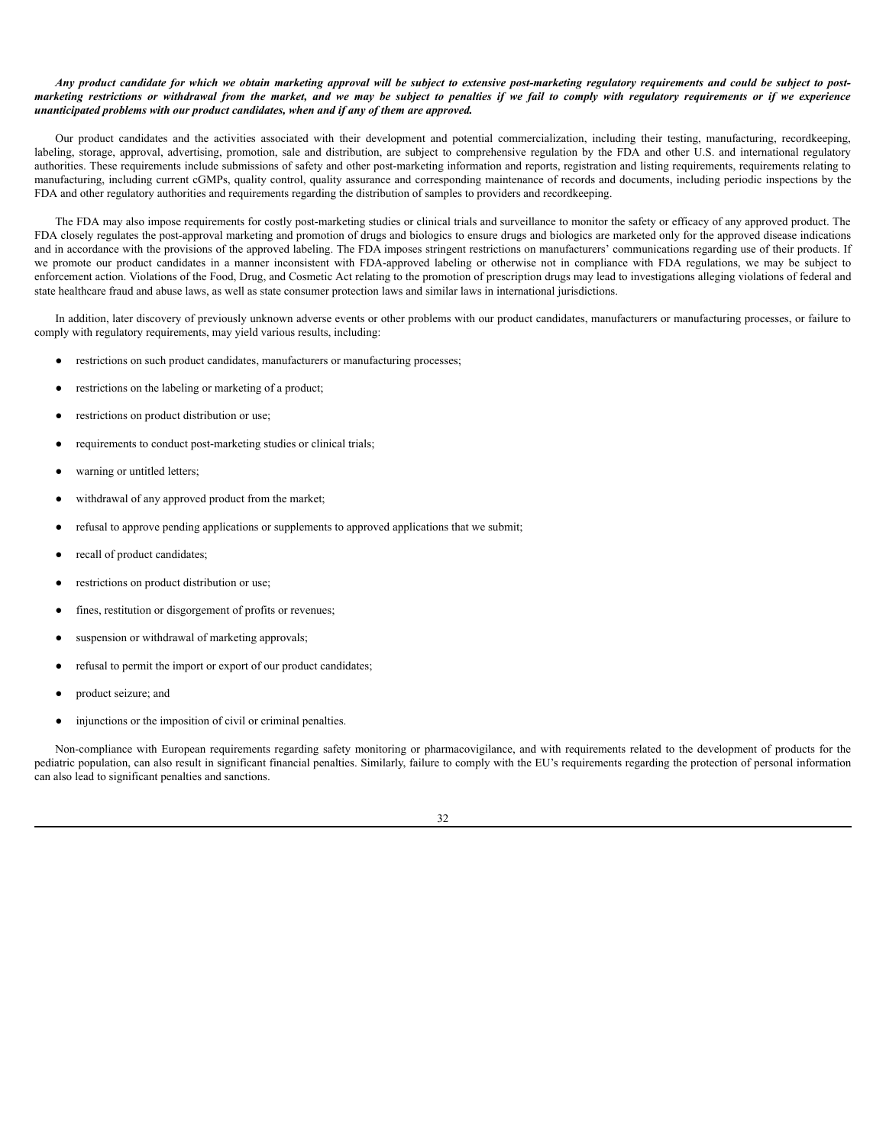## Any product candidate for which we obtain marketing approval will be subject to extensive post-marketing regulatory requirements and could be subject to postmarketing restrictions or withdrawal from the market, and we may be subject to penalties if we fail to comply with regulatory requirements or if we experience *unanticipated problems with our product candidates, when and if any of them are approved.*

Our product candidates and the activities associated with their development and potential commercialization, including their testing, manufacturing, recordkeeping, labeling, storage, approval, advertising, promotion, sale and distribution, are subject to comprehensive regulation by the FDA and other U.S. and international regulatory authorities. These requirements include submissions of safety and other post-marketing information and reports, registration and listing requirements, requirements relating to manufacturing, including current cGMPs, quality control, quality assurance and corresponding maintenance of records and documents, including periodic inspections by the FDA and other regulatory authorities and requirements regarding the distribution of samples to providers and recordkeeping.

The FDA may also impose requirements for costly post-marketing studies or clinical trials and surveillance to monitor the safety or efficacy of any approved product. The FDA closely regulates the post-approval marketing and promotion of drugs and biologics to ensure drugs and biologics are marketed only for the approved disease indications and in accordance with the provisions of the approved labeling. The FDA imposes stringent restrictions on manufacturers' communications regarding use of their products. If we promote our product candidates in a manner inconsistent with FDA-approved labeling or otherwise not in compliance with FDA regulations, we may be subject to enforcement action. Violations of the Food, Drug, and Cosmetic Act relating to the promotion of prescription drugs may lead to investigations alleging violations of federal and state healthcare fraud and abuse laws, as well as state consumer protection laws and similar laws in international jurisdictions.

In addition, later discovery of previously unknown adverse events or other problems with our product candidates, manufacturers or manufacturing processes, or failure to comply with regulatory requirements, may yield various results, including:

- restrictions on such product candidates, manufacturers or manufacturing processes;
- restrictions on the labeling or marketing of a product;
- restrictions on product distribution or use;
- requirements to conduct post-marketing studies or clinical trials;
- warning or untitled letters;
- withdrawal of any approved product from the market;
- refusal to approve pending applications or supplements to approved applications that we submit;
- recall of product candidates;
- restrictions on product distribution or use;
- fines, restitution or disgorgement of profits or revenues;
- suspension or withdrawal of marketing approvals;
- refusal to permit the import or export of our product candidates;
- product seizure; and
- injunctions or the imposition of civil or criminal penalties.

Non-compliance with European requirements regarding safety monitoring or pharmacovigilance, and with requirements related to the development of products for the pediatric population, can also result in significant financial penalties. Similarly, failure to comply with the EU's requirements regarding the protection of personal information can also lead to significant penalties and sanctions.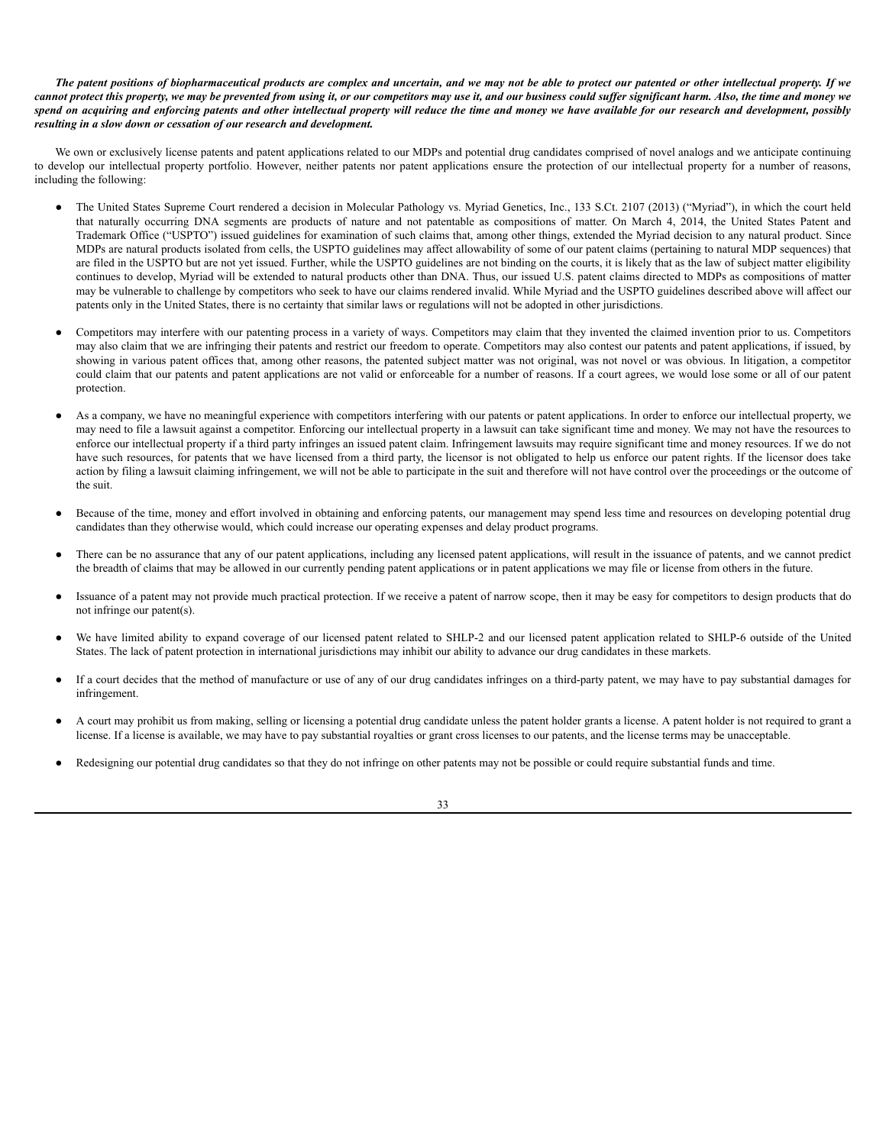The patent positions of biopharmaceutical products are complex and uncertain, and we may not be able to protect our patented or other intellectual property. If we cannot protect this property, we may be prevented from using it, or our competitors may use it, and our business could suffer significant harm. Also, the time and money we spend on acquiring and enforcing patents and other intellectual property will reduce the time and money we have available for our research and development, possibly *resulting in a slow down or cessation of our research and development.*

We own or exclusively license patents and patent applications related to our MDPs and potential drug candidates comprised of novel analogs and we anticipate continuing to develop our intellectual property portfolio. However, neither patents nor patent applications ensure the protection of our intellectual property for a number of reasons, including the following:

- The United States Supreme Court rendered a decision in Molecular Pathology vs. Myriad Genetics, Inc., 133 S.Ct. 2107 (2013) ("Myriad"), in which the court held that naturally occurring DNA segments are products of nature and not patentable as compositions of matter. On March 4, 2014, the United States Patent and Trademark Office ("USPTO") issued guidelines for examination of such claims that, among other things, extended the Myriad decision to any natural product. Since MDPs are natural products isolated from cells, the USPTO guidelines may affect allowability of some of our patent claims (pertaining to natural MDP sequences) that are filed in the USPTO but are not yet issued. Further, while the USPTO guidelines are not binding on the courts, it is likely that as the law of subject matter eligibility continues to develop, Myriad will be extended to natural products other than DNA. Thus, our issued U.S. patent claims directed to MDPs as compositions of matter may be vulnerable to challenge by competitors who seek to have our claims rendered invalid. While Myriad and the USPTO guidelines described above will affect our patents only in the United States, there is no certainty that similar laws or regulations will not be adopted in other jurisdictions.
- Competitors may interfere with our patenting process in a variety of ways. Competitors may claim that they invented the claimed invention prior to us. Competitors may also claim that we are infringing their patents and restrict our freedom to operate. Competitors may also contest our patents and patent applications, if issued, by showing in various patent offices that, among other reasons, the patented subject matter was not original, was not novel or was obvious. In litigation, a competitor could claim that our patents and patent applications are not valid or enforceable for a number of reasons. If a court agrees, we would lose some or all of our patent protection.
- As a company, we have no meaningful experience with competitors interfering with our patents or patent applications. In order to enforce our intellectual property, we may need to file a lawsuit against a competitor. Enforcing our intellectual property in a lawsuit can take significant time and money. We may not have the resources to enforce our intellectual property if a third party infringes an issued patent claim. Infringement lawsuits may require significant time and money resources. If we do not have such resources, for patents that we have licensed from a third party, the licensor is not obligated to help us enforce our patent rights. If the licensor does take action by filing a lawsuit claiming infringement, we will not be able to participate in the suit and therefore will not have control over the proceedings or the outcome of the suit.
- Because of the time, money and effort involved in obtaining and enforcing patents, our management may spend less time and resources on developing potential drug candidates than they otherwise would, which could increase our operating expenses and delay product programs.
- There can be no assurance that any of our patent applications, including any licensed patent applications, will result in the issuance of patents, and we cannot predict the breadth of claims that may be allowed in our currently pending patent applications or in patent applications we may file or license from others in the future.
- Issuance of a patent may not provide much practical protection. If we receive a patent of narrow scope, then it may be easy for competitors to design products that do not infringe our patent(s).
- We have limited ability to expand coverage of our licensed patent related to SHLP-2 and our licensed patent application related to SHLP-6 outside of the United States. The lack of patent protection in international jurisdictions may inhibit our ability to advance our drug candidates in these markets.
- If a court decides that the method of manufacture or use of any of our drug candidates infringes on a third-party patent, we may have to pay substantial damages for infringement.
- A court may prohibit us from making, selling or licensing a potential drug candidate unless the patent holder grants a license. A patent holder is not required to grant a license. If a license is available, we may have to pay substantial royalties or grant cross licenses to our patents, and the license terms may be unacceptable.
- Redesigning our potential drug candidates so that they do not infringe on other patents may not be possible or could require substantial funds and time.

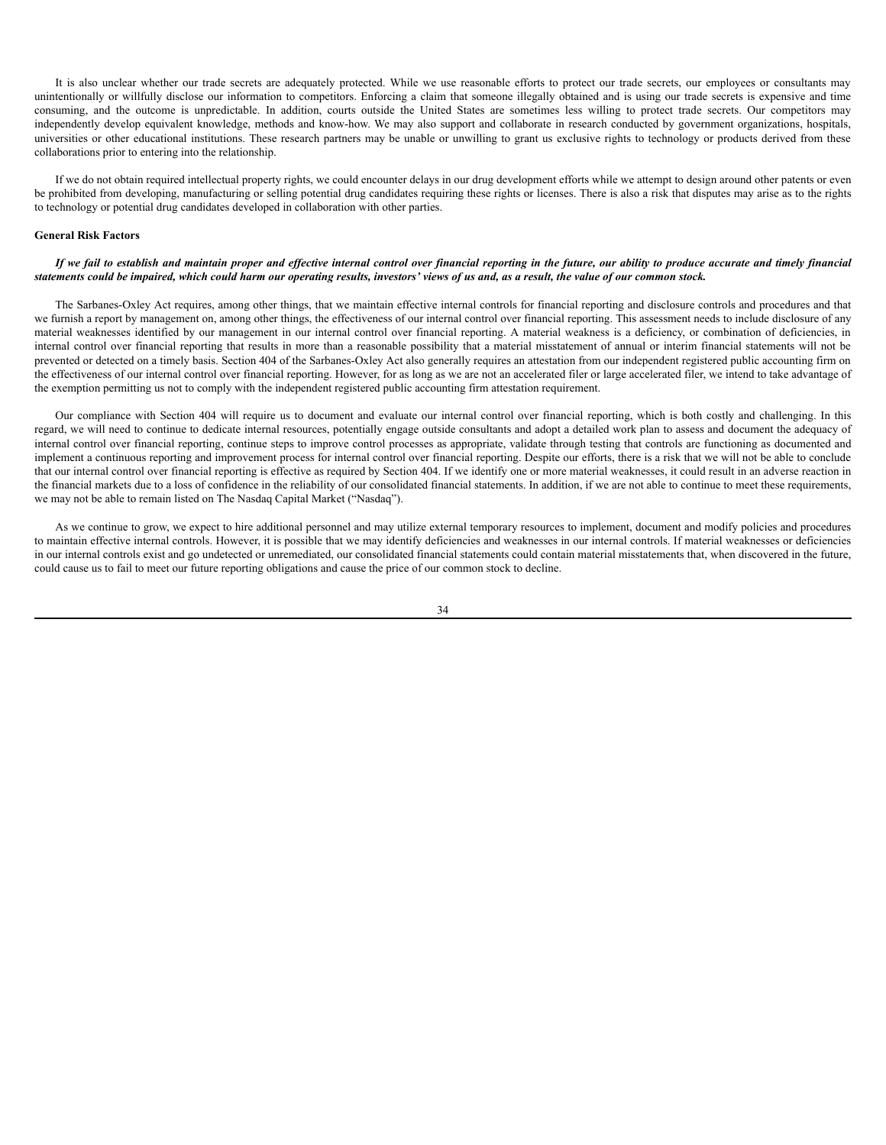It is also unclear whether our trade secrets are adequately protected. While we use reasonable efforts to protect our trade secrets, our employees or consultants may unintentionally or willfully disclose our information to competitors. Enforcing a claim that someone illegally obtained and is using our trade secrets is expensive and time consuming, and the outcome is unpredictable. In addition, courts outside the United States are sometimes less willing to protect trade secrets. Our competitors may independently develop equivalent knowledge, methods and know-how. We may also support and collaborate in research conducted by government organizations, hospitals, universities or other educational institutions. These research partners may be unable or unwilling to grant us exclusive rights to technology or products derived from these collaborations prior to entering into the relationship.

If we do not obtain required intellectual property rights, we could encounter delays in our drug development efforts while we attempt to design around other patents or even be prohibited from developing, manufacturing or selling potential drug candidates requiring these rights or licenses. There is also a risk that disputes may arise as to the rights to technology or potential drug candidates developed in collaboration with other parties.

## **General Risk Factors**

## If we fail to establish and maintain proper and effective internal control over financial reporting in the future, our ability to produce accurate and timely financial statements could be impaired, which could harm our operating results, investors' views of us and, as a result, the value of our common stock.

The Sarbanes-Oxley Act requires, among other things, that we maintain effective internal controls for financial reporting and disclosure controls and procedures and that we furnish a report by management on, among other things, the effectiveness of our internal control over financial reporting. This assessment needs to include disclosure of any material weaknesses identified by our management in our internal control over financial reporting. A material weakness is a deficiency, or combination of deficiencies, in internal control over financial reporting that results in more than a reasonable possibility that a material misstatement of annual or interim financial statements will not be prevented or detected on a timely basis. Section 404 of the Sarbanes-Oxley Act also generally requires an attestation from our independent registered public accounting firm on the effectiveness of our internal control over financial reporting. However, for as long as we are not an accelerated filer or large accelerated filer, we intend to take advantage of the exemption permitting us not to comply with the independent registered public accounting firm attestation requirement.

Our compliance with Section 404 will require us to document and evaluate our internal control over financial reporting, which is both costly and challenging. In this regard, we will need to continue to dedicate internal resources, potentially engage outside consultants and adopt a detailed work plan to assess and document the adequacy of internal control over financial reporting, continue steps to improve control processes as appropriate, validate through testing that controls are functioning as documented and implement a continuous reporting and improvement process for internal control over financial reporting. Despite our efforts, there is a risk that we will not be able to conclude that our internal control over financial reporting is effective as required by Section 404. If we identify one or more material weaknesses, it could result in an adverse reaction in the financial markets due to a loss of confidence in the reliability of our consolidated financial statements. In addition, if we are not able to continue to meet these requirements, we may not be able to remain listed on The Nasdaq Capital Market ("Nasdaq").

As we continue to grow, we expect to hire additional personnel and may utilize external temporary resources to implement, document and modify policies and procedures to maintain effective internal controls. However, it is possible that we may identify deficiencies and weaknesses in our internal controls. If material weaknesses or deficiencies in our internal controls exist and go undetected or unremediated, our consolidated financial statements could contain material misstatements that, when discovered in the future, could cause us to fail to meet our future reporting obligations and cause the price of our common stock to decline.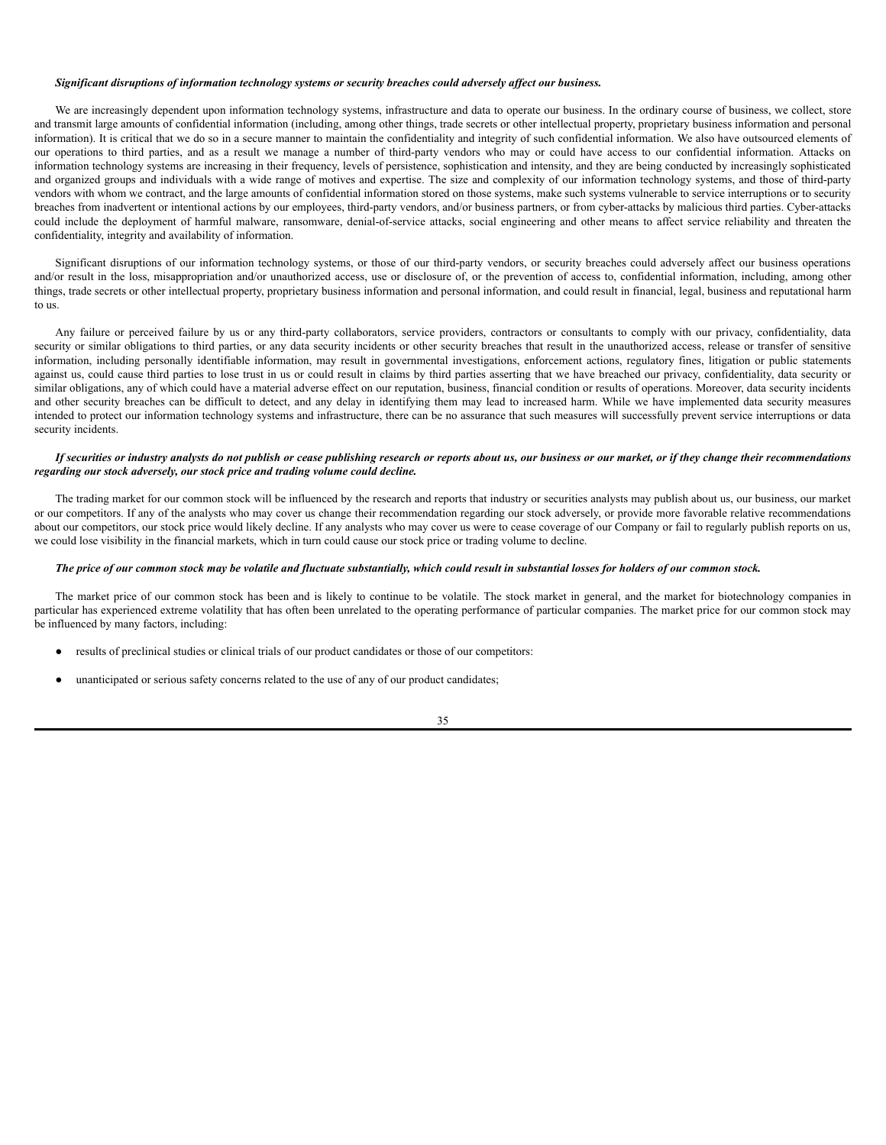#### *Significant disruptions of information technology systems or security breaches could adversely af ect our business.*

We are increasingly dependent upon information technology systems, infrastructure and data to operate our business. In the ordinary course of business, we collect, store and transmit large amounts of confidential information (including, among other things, trade secrets or other intellectual property, proprietary business information and personal information). It is critical that we do so in a secure manner to maintain the confidentiality and integrity of such confidential information. We also have outsourced elements of our operations to third parties, and as a result we manage a number of third-party vendors who may or could have access to our confidential information. Attacks on information technology systems are increasing in their frequency, levels of persistence, sophistication and intensity, and they are being conducted by increasingly sophisticated and organized groups and individuals with a wide range of motives and expertise. The size and complexity of our information technology systems, and those of third-party vendors with whom we contract, and the large amounts of confidential information stored on those systems, make such systems vulnerable to service interruptions or to security breaches from inadvertent or intentional actions by our employees, third-party vendors, and/or business partners, or from cyber-attacks by malicious third parties. Cyber-attacks could include the deployment of harmful malware, ransomware, denial-of-service attacks, social engineering and other means to affect service reliability and threaten the confidentiality, integrity and availability of information.

Significant disruptions of our information technology systems, or those of our third-party vendors, or security breaches could adversely affect our business operations and/or result in the loss, misappropriation and/or unauthorized access, use or disclosure of, or the prevention of access to, confidential information, including, among other things, trade secrets or other intellectual property, proprietary business information and personal information, and could result in financial, legal, business and reputational harm to us.

Any failure or perceived failure by us or any third-party collaborators, service providers, contractors or consultants to comply with our privacy, confidentiality, data security or similar obligations to third parties, or any data security incidents or other security breaches that result in the unauthorized access, release or transfer of sensitive information, including personally identifiable information, may result in governmental investigations, enforcement actions, regulatory fines, litigation or public statements against us, could cause third parties to lose trust in us or could result in claims by third parties asserting that we have breached our privacy, confidentiality, data security or similar obligations, any of which could have a material adverse effect on our reputation, business, financial condition or results of operations. Moreover, data security incidents and other security breaches can be difficult to detect, and any delay in identifying them may lead to increased harm. While we have implemented data security measures intended to protect our information technology systems and infrastructure, there can be no assurance that such measures will successfully prevent service interruptions or data security incidents.

## If securities or industry analysts do not publish or cease publishing research or reports about us, our business or our market, or if they change their recommendations *regarding our stock adversely, our stock price and trading volume could decline.*

The trading market for our common stock will be influenced by the research and reports that industry or securities analysts may publish about us, our business, our market or our competitors. If any of the analysts who may cover us change their recommendation regarding our stock adversely, or provide more favorable relative recommendations about our competitors, our stock price would likely decline. If any analysts who may cover us were to cease coverage of our Company or fail to regularly publish reports on us, we could lose visibility in the financial markets, which in turn could cause our stock price or trading volume to decline.

## The price of our common stock may be volatile and fluctuate substantially, which could result in substantial losses for holders of our common stock.

The market price of our common stock has been and is likely to continue to be volatile. The stock market in general, and the market for biotechnology companies in particular has experienced extreme volatility that has often been unrelated to the operating performance of particular companies. The market price for our common stock may be influenced by many factors, including:

- results of preclinical studies or clinical trials of our product candidates or those of our competitors:
- unanticipated or serious safety concerns related to the use of any of our product candidates;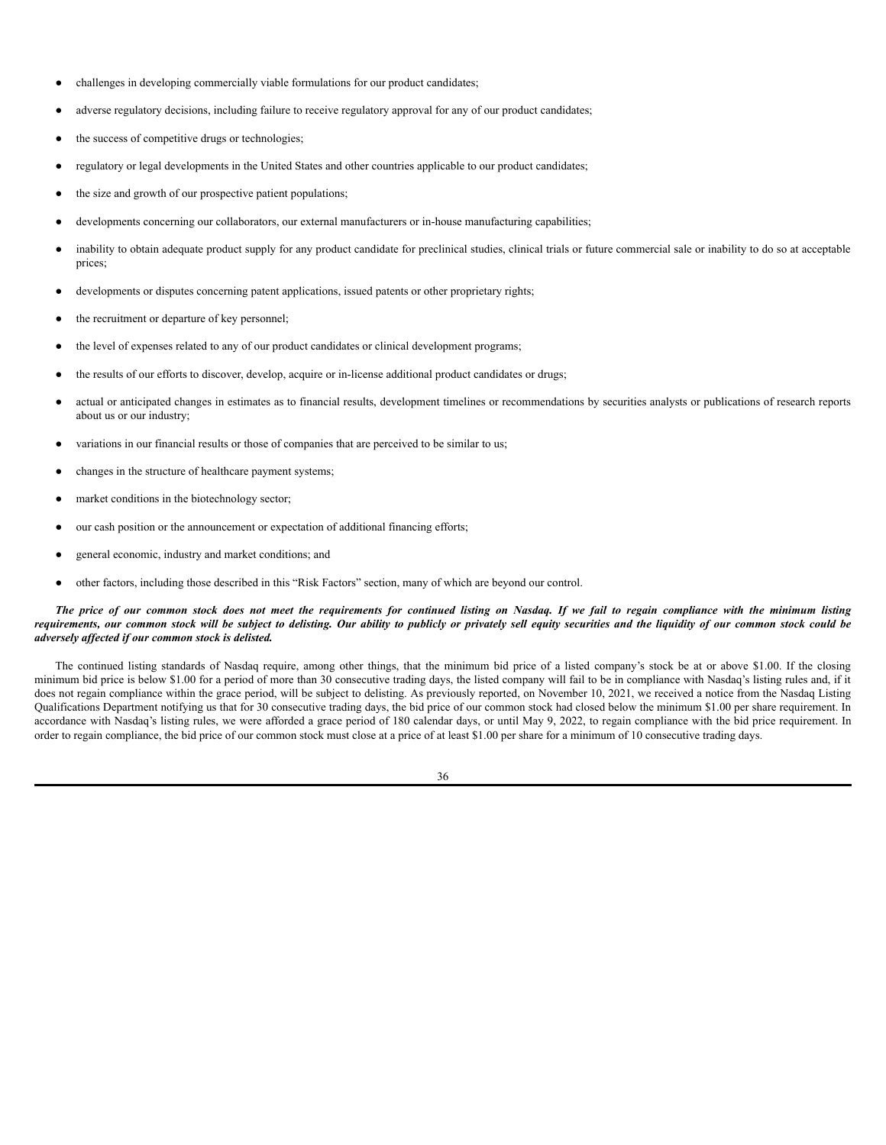- challenges in developing commercially viable formulations for our product candidates;
- adverse regulatory decisions, including failure to receive regulatory approval for any of our product candidates;
- the success of competitive drugs or technologies;
- regulatory or legal developments in the United States and other countries applicable to our product candidates;
- the size and growth of our prospective patient populations;
- developments concerning our collaborators, our external manufacturers or in-house manufacturing capabilities;
- inability to obtain adequate product supply for any product candidate for preclinical studies, clinical trials or future commercial sale or inability to do so at acceptable prices;
- developments or disputes concerning patent applications, issued patents or other proprietary rights;
- the recruitment or departure of key personnel;
- the level of expenses related to any of our product candidates or clinical development programs;
- the results of our efforts to discover, develop, acquire or in-license additional product candidates or drugs;
- actual or anticipated changes in estimates as to financial results, development timelines or recommendations by securities analysts or publications of research reports about us or our industry;
- variations in our financial results or those of companies that are perceived to be similar to us;
- changes in the structure of healthcare payment systems;
- market conditions in the biotechnology sector;
- our cash position or the announcement or expectation of additional financing efforts;
- general economic, industry and market conditions; and
- other factors, including those described in this "Risk Factors" section, many of which are beyond our control.

## The price of our common stock does not meet the requirements for continued listing on Nasdaq. If we fail to regain compliance with the minimum listing requirements, our common stock will be subject to delisting. Our ability to publicly or privately sell equity securities and the liquidity of our common stock could be *adversely af ected if our common stock is delisted.*

The continued listing standards of Nasdaq require, among other things, that the minimum bid price of a listed company's stock be at or above \$1.00. If the closing minimum bid price is below \$1.00 for a period of more than 30 consecutive trading days, the listed company will fail to be in compliance with Nasdaq's listing rules and, if it does not regain compliance within the grace period, will be subject to delisting. As previously reported, on November 10, 2021, we received a notice from the Nasdaq Listing Qualifications Department notifying us that for 30 consecutive trading days, the bid price of our common stock had closed below the minimum \$1.00 per share requirement. In accordance with Nasdaq's listing rules, we were afforded a grace period of 180 calendar days, or until May 9, 2022, to regain compliance with the bid price requirement. In order to regain compliance, the bid price of our common stock must close at a price of at least \$1.00 per share for a minimum of 10 consecutive trading days.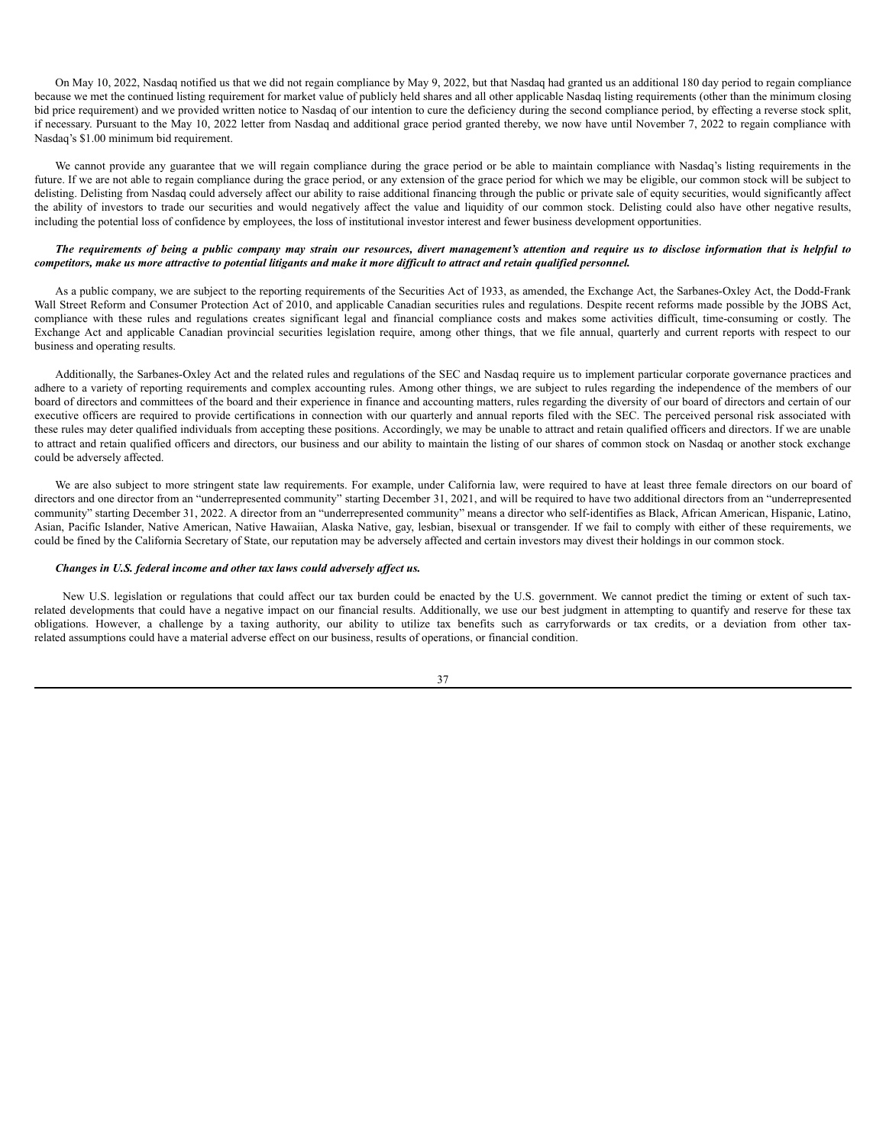On May 10, 2022, Nasdaq notified us that we did not regain compliance by May 9, 2022, but that Nasdaq had granted us an additional 180 day period to regain compliance because we met the continued listing requirement for market value of publicly held shares and all other applicable Nasdaq listing requirements (other than the minimum closing bid price requirement) and we provided written notice to Nasdaq of our intention to cure the deficiency during the second compliance period, by effecting a reverse stock split, if necessary. Pursuant to the May 10, 2022 letter from Nasdaq and additional grace period granted thereby, we now have until November 7, 2022 to regain compliance with Nasdaq's \$1.00 minimum bid requirement.

We cannot provide any guarantee that we will regain compliance during the grace period or be able to maintain compliance with Nasdaq's listing requirements in the future. If we are not able to regain compliance during the grace period, or any extension of the grace period for which we may be eligible, our common stock will be subject to delisting. Delisting from Nasdaq could adversely affect our ability to raise additional financing through the public or private sale of equity securities, would significantly affect the ability of investors to trade our securities and would negatively affect the value and liquidity of our common stock. Delisting could also have other negative results, including the potential loss of confidence by employees, the loss of institutional investor interest and fewer business development opportunities.

## The requirements of being a public company may strain our resources, divert management's attention and require us to disclose information that is helpful to competitors, make us more attractive to potential litigants and make it more difficult to attract and retain qualified personnel.

As a public company, we are subject to the reporting requirements of the Securities Act of 1933, as amended, the Exchange Act, the Sarbanes-Oxley Act, the Dodd-Frank Wall Street Reform and Consumer Protection Act of 2010, and applicable Canadian securities rules and regulations. Despite recent reforms made possible by the JOBS Act, compliance with these rules and regulations creates significant legal and financial compliance costs and makes some activities difficult, time-consuming or costly. The Exchange Act and applicable Canadian provincial securities legislation require, among other things, that we file annual, quarterly and current reports with respect to our business and operating results.

Additionally, the Sarbanes-Oxley Act and the related rules and regulations of the SEC and Nasdaq require us to implement particular corporate governance practices and adhere to a variety of reporting requirements and complex accounting rules. Among other things, we are subject to rules regarding the independence of the members of our board of directors and committees of the board and their experience in finance and accounting matters, rules regarding the diversity of our board of directors and certain of our executive officers are required to provide certifications in connection with our quarterly and annual reports filed with the SEC. The perceived personal risk associated with these rules may deter qualified individuals from accepting these positions. Accordingly, we may be unable to attract and retain qualified officers and directors. If we are unable to attract and retain qualified officers and directors, our business and our ability to maintain the listing of our shares of common stock on Nasdaq or another stock exchange could be adversely affected.

We are also subject to more stringent state law requirements. For example, under California law, were required to have at least three female directors on our board of directors and one director from an "underrepresented community" starting December 31, 2021, and will be required to have two additional directors from an "underrepresented community" starting December 31, 2022. A director from an "underrepresented community" means a director who self-identifies as Black, African American, Hispanic, Latino, Asian, Pacific Islander, Native American, Native Hawaiian, Alaska Native, gay, lesbian, bisexual or transgender. If we fail to comply with either of these requirements, we could be fined by the California Secretary of State, our reputation may be adversely affected and certain investors may divest their holdings in our common stock.

#### *Changes in U.S. federal income and other tax laws could adversely af ect us.*

New U.S. legislation or regulations that could affect our tax burden could be enacted by the U.S. government. We cannot predict the timing or extent of such taxrelated developments that could have a negative impact on our financial results. Additionally, we use our best judgment in attempting to quantify and reserve for these tax obligations. However, a challenge by a taxing authority, our ability to utilize tax benefits such as carryforwards or tax credits, or a deviation from other taxrelated assumptions could have a material adverse effect on our business, results of operations, or financial condition.

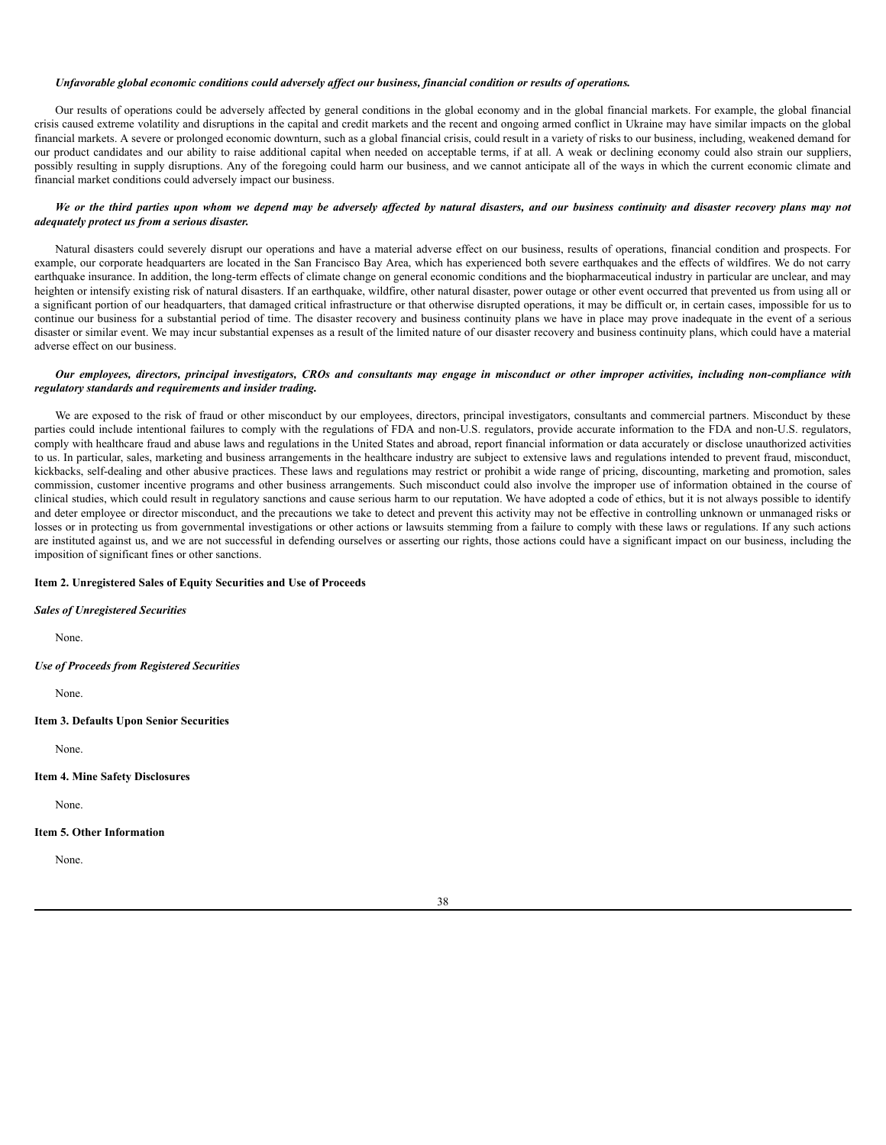### Unfavorable global economic conditions could adversely affect our business, financial condition or results of operations.

Our results of operations could be adversely affected by general conditions in the global economy and in the global financial markets. For example, the global financial crisis caused extreme volatility and disruptions in the capital and credit markets and the recent and ongoing armed conflict in Ukraine may have similar impacts on the global financial markets. A severe or prolonged economic downturn, such as a global financial crisis, could result in a variety of risks to our business, including, weakened demand for our product candidates and our ability to raise additional capital when needed on acceptable terms, if at all. A weak or declining economy could also strain our suppliers, possibly resulting in supply disruptions. Any of the foregoing could harm our business, and we cannot anticipate all of the ways in which the current economic climate and financial market conditions could adversely impact our business.

## We or the third parties upon whom we depend may be adversely affected by natural disasters, and our business continuity and disaster recovery plans may not *adequately protect us from a serious disaster.*

Natural disasters could severely disrupt our operations and have a material adverse effect on our business, results of operations, financial condition and prospects. For example, our corporate headquarters are located in the San Francisco Bay Area, which has experienced both severe earthquakes and the effects of wildfires. We do not carry earthquake insurance. In addition, the long-term effects of climate change on general economic conditions and the biopharmaceutical industry in particular are unclear, and may heighten or intensify existing risk of natural disasters. If an earthquake, wildfire, other natural disaster, power outage or other event occurred that prevented us from using all or a significant portion of our headquarters, that damaged critical infrastructure or that otherwise disrupted operations, it may be difficult or, in certain cases, impossible for us to continue our business for a substantial period of time. The disaster recovery and business continuity plans we have in place may prove inadequate in the event of a serious disaster or similar event. We may incur substantial expenses as a result of the limited nature of our disaster recovery and business continuity plans, which could have a material adverse effect on our business.

## Our employees, directors, principal investigators, CROs and consultants may engage in misconduct or other improper activities, including non-compliance with *regulatory standards and requirements and insider trading.*

We are exposed to the risk of fraud or other misconduct by our employees, directors, principal investigators, consultants and commercial partners. Misconduct by these parties could include intentional failures to comply with the regulations of FDA and non-U.S. regulators, provide accurate information to the FDA and non-U.S. regulators, comply with healthcare fraud and abuse laws and regulations in the United States and abroad, report financial information or data accurately or disclose unauthorized activities to us. In particular, sales, marketing and business arrangements in the healthcare industry are subject to extensive laws and regulations intended to prevent fraud, misconduct, kickbacks, self-dealing and other abusive practices. These laws and regulations may restrict or prohibit a wide range of pricing, discounting, marketing and promotion, sales commission, customer incentive programs and other business arrangements. Such misconduct could also involve the improper use of information obtained in the course of clinical studies, which could result in regulatory sanctions and cause serious harm to our reputation. We have adopted a code of ethics, but it is not always possible to identify and deter employee or director misconduct, and the precautions we take to detect and prevent this activity may not be effective in controlling unknown or unmanaged risks or losses or in protecting us from governmental investigations or other actions or lawsuits stemming from a failure to comply with these laws or regulations. If any such actions are instituted against us, and we are not successful in defending ourselves or asserting our rights, those actions could have a significant impact on our business, including the imposition of significant fines or other sanctions.

## <span id="page-39-0"></span>**Item 2. Unregistered Sales of Equity Securities and Use of Proceeds**

*Sales of Unregistered Securities*

None.

*Use of Proceeds from Registered Securities*

None.

## <span id="page-39-1"></span>**Item 3. Defaults Upon Senior Securities**

None.

<span id="page-39-2"></span>**Item 4. Mine Safety Disclosures**

None.

## <span id="page-39-3"></span>**Item 5. Other Information**

None.

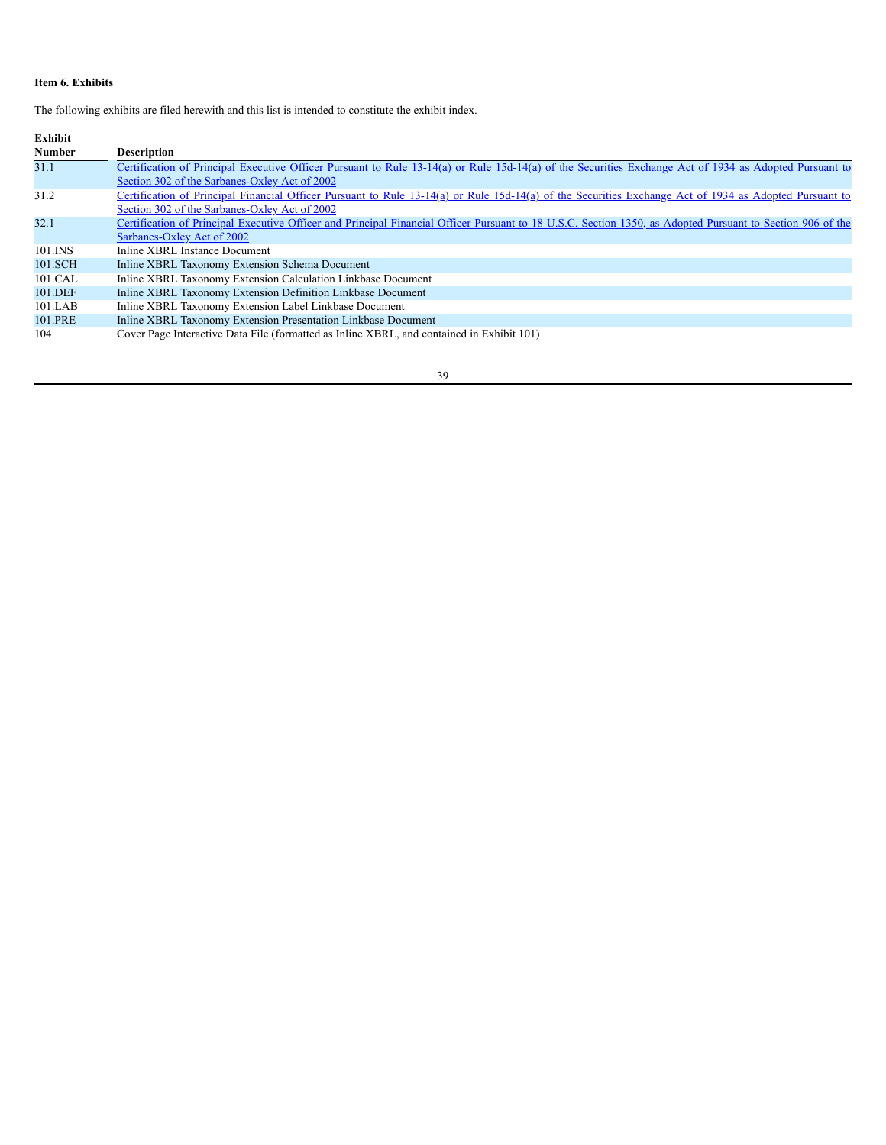# <span id="page-40-0"></span>**Item 6. Exhibits**

The following exhibits are filed herewith and this list is intended to constitute the exhibit index.

| <b>Exhibit</b> |                                                                                                                                                            |
|----------------|------------------------------------------------------------------------------------------------------------------------------------------------------------|
| <b>Number</b>  | <b>Description</b>                                                                                                                                         |
| 31.1           | Certification of Principal Executive Officer Pursuant to Rule 13-14(a) or Rule 15d-14(a) of the Securities Exchange Act of 1934 as Adopted Pursuant to     |
|                | Section 302 of the Sarbanes-Oxley Act of 2002                                                                                                              |
| 31.2           | Certification of Principal Financial Officer Pursuant to Rule 13-14(a) or Rule 15d-14(a) of the Securities Exchange Act of 1934 as Adopted Pursuant to     |
|                | Section 302 of the Sarbanes-Oxley Act of 2002                                                                                                              |
| 32.1           | Certification of Principal Executive Officer and Principal Financial Officer Pursuant to 18 U.S.C. Section 1350, as Adopted Pursuant to Section 906 of the |
|                | Sarbanes-Oxley Act of 2002                                                                                                                                 |
| $101$ . INS    | Inline XBRL Instance Document                                                                                                                              |
| 101.SCH        | Inline XBRL Taxonomy Extension Schema Document                                                                                                             |
| 101.CAL        | Inline XBRL Taxonomy Extension Calculation Linkbase Document                                                                                               |
| 101.DEF        | Inline XBRL Taxonomy Extension Definition Linkbase Document                                                                                                |
| 101.LAB        | Inline XBRL Taxonomy Extension Label Linkbase Document                                                                                                     |
| 101.PRE        | Inline XBRL Taxonomy Extension Presentation Linkbase Document                                                                                              |
| 104            | Cover Page Interactive Data File (formatted as Inline XBRL, and contained in Exhibit 101)                                                                  |
|                |                                                                                                                                                            |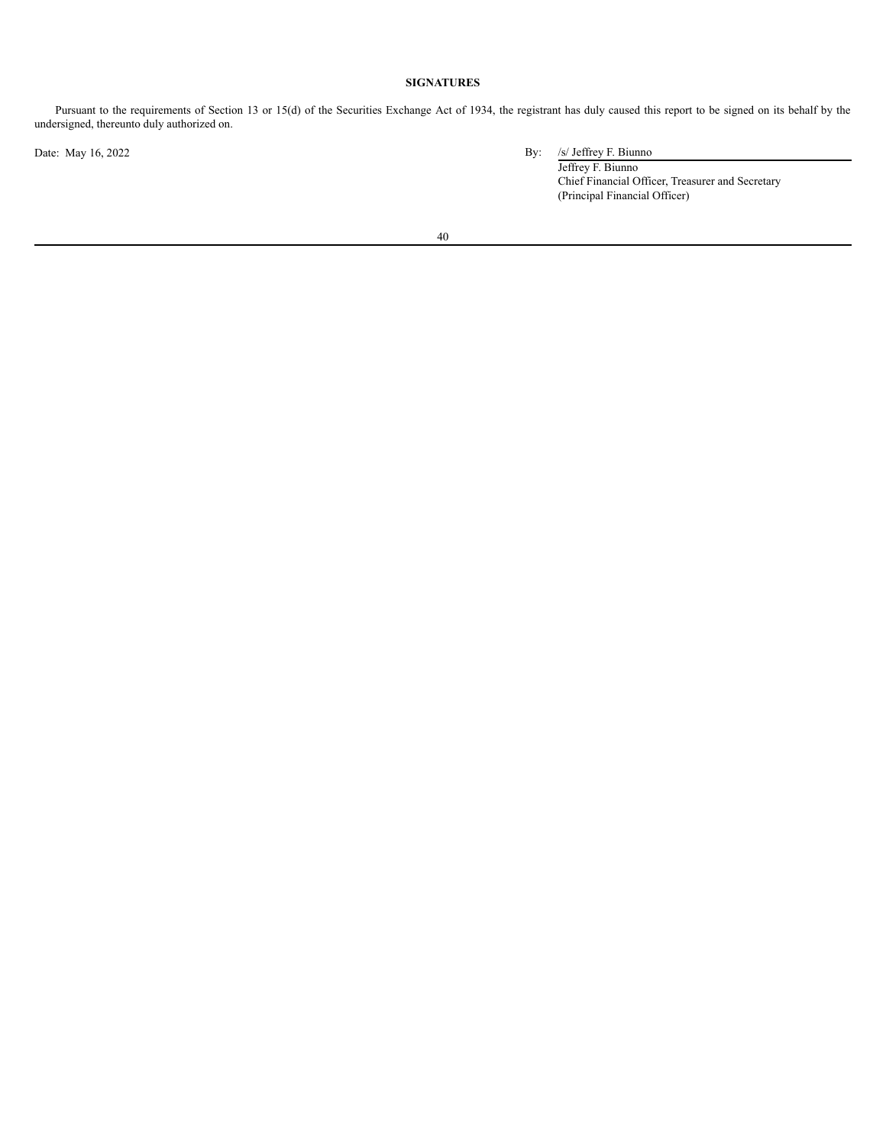# **SIGNATURES**

<span id="page-41-0"></span>Pursuant to the requirements of Section 13 or 15(d) of the Securities Exchange Act of 1934, the registrant has duly caused this report to be signed on its behalf by the undersigned, thereunto duly authorized on.

# Date: May 16, 2022 By: /s/ Jeffrey F. Biunno

Jeffrey F. Biunno Chief Financial Officer, Treasurer and Secretary (Principal Financial Officer)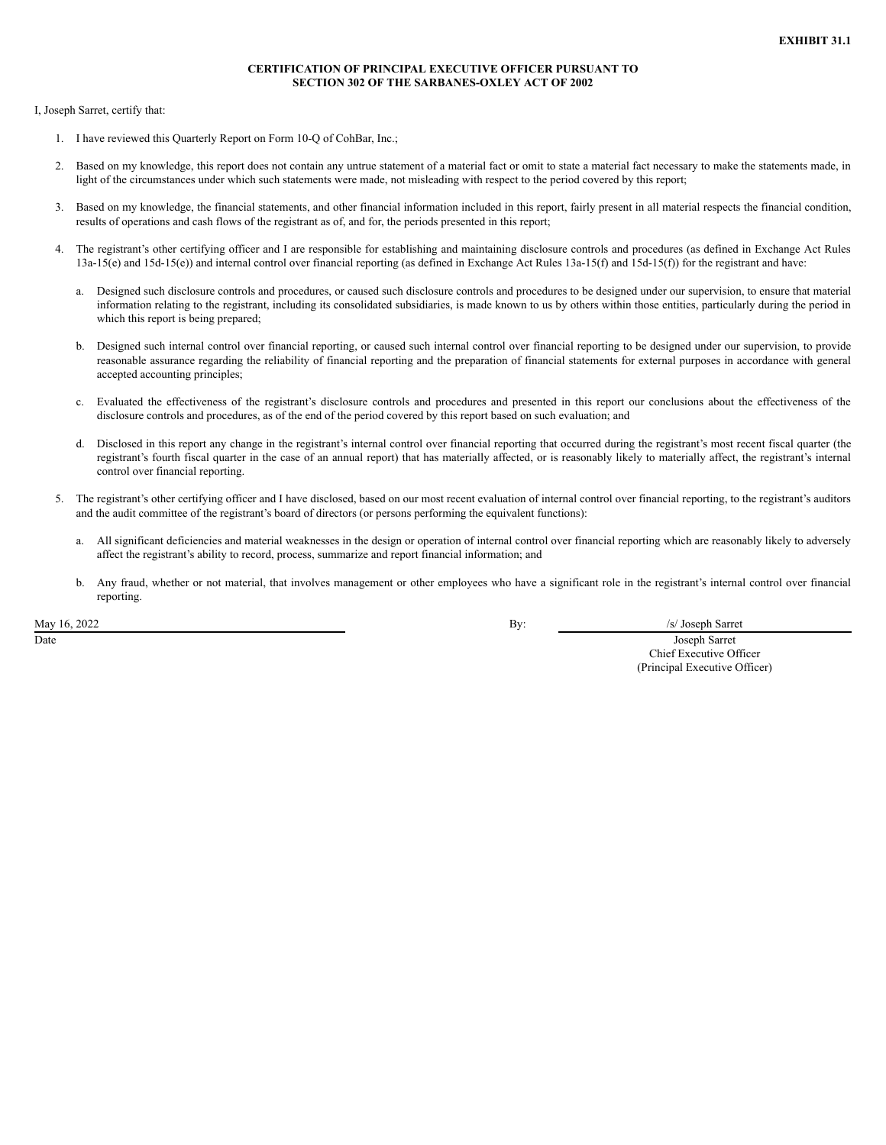## **CERTIFICATION OF PRINCIPAL EXECUTIVE OFFICER PURSUANT TO SECTION 302 OF THE SARBANES-OXLEY ACT OF 2002**

I, Joseph Sarret, certify that:

- 1. I have reviewed this Quarterly Report on Form 10-Q of CohBar, Inc.;
- 2. Based on my knowledge, this report does not contain any untrue statement of a material fact or omit to state a material fact necessary to make the statements made, in light of the circumstances under which such statements were made, not misleading with respect to the period covered by this report;
- 3. Based on my knowledge, the financial statements, and other financial information included in this report, fairly present in all material respects the financial condition, results of operations and cash flows of the registrant as of, and for, the periods presented in this report;
- 4. The registrant's other certifying officer and I are responsible for establishing and maintaining disclosure controls and procedures (as defined in Exchange Act Rules 13a-15(e) and 15d-15(e)) and internal control over financial reporting (as defined in Exchange Act Rules 13a-15(f) and 15d-15(f)) for the registrant and have:
	- a. Designed such disclosure controls and procedures, or caused such disclosure controls and procedures to be designed under our supervision, to ensure that material information relating to the registrant, including its consolidated subsidiaries, is made known to us by others within those entities, particularly during the period in which this report is being prepared;
	- b. Designed such internal control over financial reporting, or caused such internal control over financial reporting to be designed under our supervision, to provide reasonable assurance regarding the reliability of financial reporting and the preparation of financial statements for external purposes in accordance with general accepted accounting principles;
	- c. Evaluated the effectiveness of the registrant's disclosure controls and procedures and presented in this report our conclusions about the effectiveness of the disclosure controls and procedures, as of the end of the period covered by this report based on such evaluation; and
	- d. Disclosed in this report any change in the registrant's internal control over financial reporting that occurred during the registrant's most recent fiscal quarter (the registrant's fourth fiscal quarter in the case of an annual report) that has materially affected, or is reasonably likely to materially affect, the registrant's internal control over financial reporting.
- 5. The registrant's other certifying officer and I have disclosed, based on our most recent evaluation of internal control over financial reporting, to the registrant's auditors and the audit committee of the registrant's board of directors (or persons performing the equivalent functions):
	- a. All significant deficiencies and material weaknesses in the design or operation of internal control over financial reporting which are reasonably likely to adversely affect the registrant's ability to record, process, summarize and report financial information; and
	- b. Any fraud, whether or not material, that involves management or other employees who have a significant role in the registrant's internal control over financial reporting.

May 16, 2022 / /s/ Joseph Sarret

Date Joseph Sarret Chief Executive Officer (Principal Executive Officer)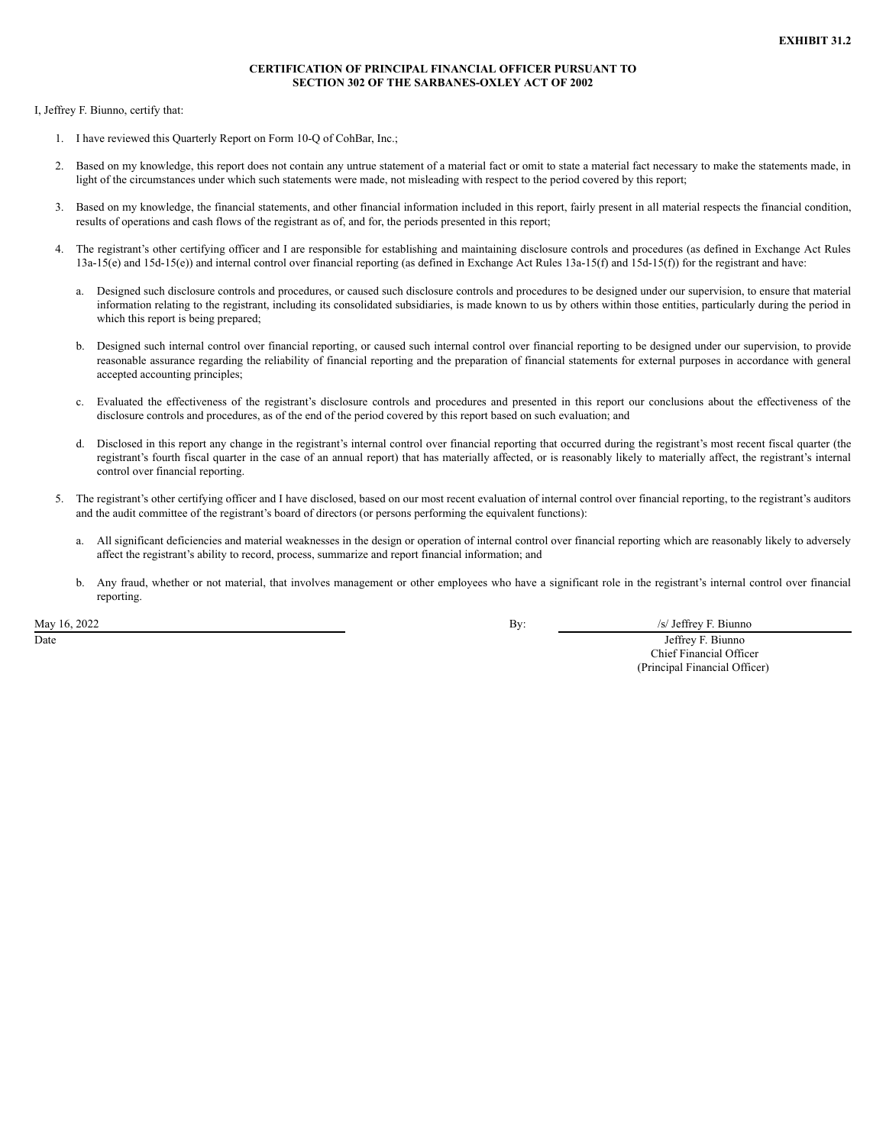## **CERTIFICATION OF PRINCIPAL FINANCIAL OFFICER PURSUANT TO SECTION 302 OF THE SARBANES-OXLEY ACT OF 2002**

I, Jeffrey F. Biunno, certify that:

- 1. I have reviewed this Quarterly Report on Form 10-Q of CohBar, Inc.;
- 2. Based on my knowledge, this report does not contain any untrue statement of a material fact or omit to state a material fact necessary to make the statements made, in light of the circumstances under which such statements were made, not misleading with respect to the period covered by this report;
- 3. Based on my knowledge, the financial statements, and other financial information included in this report, fairly present in all material respects the financial condition, results of operations and cash flows of the registrant as of, and for, the periods presented in this report;
- 4. The registrant's other certifying officer and I are responsible for establishing and maintaining disclosure controls and procedures (as defined in Exchange Act Rules 13a-15(e) and 15d-15(e)) and internal control over financial reporting (as defined in Exchange Act Rules 13a-15(f) and 15d-15(f)) for the registrant and have:
	- a. Designed such disclosure controls and procedures, or caused such disclosure controls and procedures to be designed under our supervision, to ensure that material information relating to the registrant, including its consolidated subsidiaries, is made known to us by others within those entities, particularly during the period in which this report is being prepared;
	- b. Designed such internal control over financial reporting, or caused such internal control over financial reporting to be designed under our supervision, to provide reasonable assurance regarding the reliability of financial reporting and the preparation of financial statements for external purposes in accordance with general accepted accounting principles;
	- c. Evaluated the effectiveness of the registrant's disclosure controls and procedures and presented in this report our conclusions about the effectiveness of the disclosure controls and procedures, as of the end of the period covered by this report based on such evaluation; and
	- d. Disclosed in this report any change in the registrant's internal control over financial reporting that occurred during the registrant's most recent fiscal quarter (the registrant's fourth fiscal quarter in the case of an annual report) that has materially affected, or is reasonably likely to materially affect, the registrant's internal control over financial reporting.
- 5. The registrant's other certifying officer and I have disclosed, based on our most recent evaluation of internal control over financial reporting, to the registrant's auditors and the audit committee of the registrant's board of directors (or persons performing the equivalent functions):
	- a. All significant deficiencies and material weaknesses in the design or operation of internal control over financial reporting which are reasonably likely to adversely affect the registrant's ability to record, process, summarize and report financial information; and
	- b. Any fraud, whether or not material, that involves management or other employees who have a significant role in the registrant's internal control over financial reporting.

May 16, 2022 / /s/ Jeffrey F. Biunno

Date Jeffrey F. Biunno Chief Financial Officer (Principal Financial Officer)